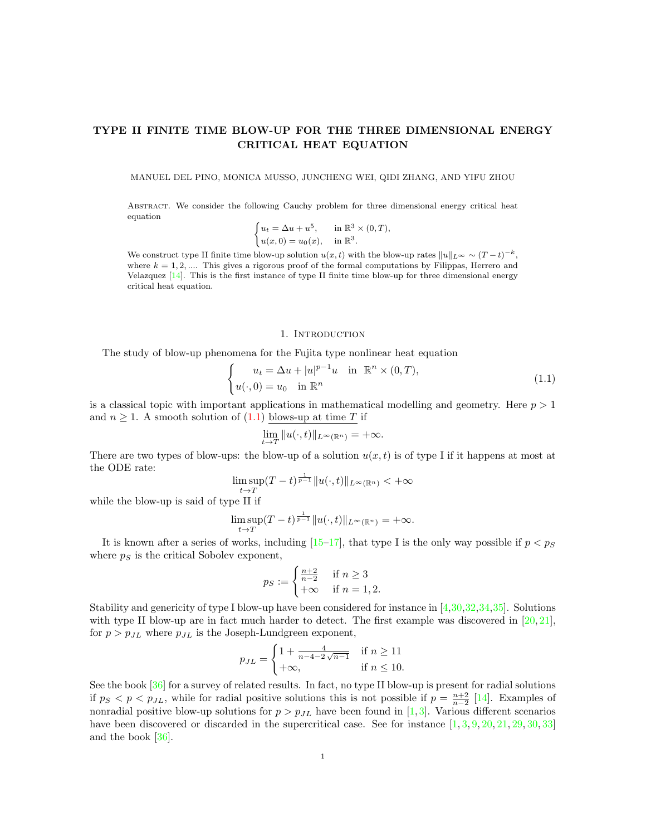# TYPE II FINITE TIME BLOW-UP FOR THE THREE DIMENSIONAL ENERGY CRITICAL HEAT EQUATION

MANUEL DEL PINO, MONICA MUSSO, JUNCHENG WEI, QIDI ZHANG, AND YIFU ZHOU

Abstract. We consider the following Cauchy problem for three dimensional energy critical heat equation

$$
\begin{cases} u_t = \Delta u + u^5, & \text{in } \mathbb{R}^3 \times (0, T), \\ u(x, 0) = u_0(x), & \text{in } \mathbb{R}^3. \end{cases}
$$

We construct type II finite time blow-up solution  $u(x, t)$  with the blow-up rates  $||u||_{L^{\infty}} \sim (T - t)^{-k}$ , where  $k = 1, 2, \dots$  This gives a rigorous proof of the formal computations by Filippas, Herrero and Velazquez [\[14\]](#page-41-0). This is the first instance of type II finite time blow-up for three dimensional energy critical heat equation.

#### 1. INTRODUCTION

The study of blow-up phenomena for the Fujita type nonlinear heat equation

<span id="page-0-0"></span>
$$
\begin{cases}\n u_t = \Delta u + |u|^{p-1}u \quad \text{in } \mathbb{R}^n \times (0,T), \\
 u(\cdot, 0) = u_0 \quad \text{in } \mathbb{R}^n\n\end{cases}
$$
\n(1.1)

is a classical topic with important applications in mathematical modelling and geometry. Here  $p > 1$ and  $n \geq 1$ . A smooth solution of [\(1.1\)](#page-0-0) blows-up at time T if

$$
\lim_{t \to T} ||u(\cdot, t)||_{L^{\infty}(\mathbb{R}^n)} = +\infty.
$$

There are two types of blow-ups: the blow-up of a solution  $u(x, t)$  is of type I if it happens at most at the ODE rate:

$$
\limsup_{t \to T} (T-t)^{\frac{1}{p-1}} \|u(\cdot,t)\|_{L^\infty(\mathbb{R}^n)} < +\infty
$$

while the blow-up is said of type II if

$$
\limsup_{t \to T} (T-t)^{\frac{1}{p-1}} \|u(\cdot,t)\|_{L^{\infty}(\mathbb{R}^n)} = +\infty.
$$

It is known after a series of works, including  $[15-17]$  $[15-17]$ , that type I is the only way possible if  $p < p<sub>S</sub>$ where  $p<sub>S</sub>$  is the critical Sobolev exponent,

$$
p_S := \begin{cases} \frac{n+2}{n-2} & \text{if } n \ge 3\\ +\infty & \text{if } n = 1, 2. \end{cases}
$$

Stability and genericity of type I blow-up have been considered for instance in [\[4,](#page-41-3)[30,](#page-41-4)[32,](#page-42-0)[34,](#page-42-1)[35\]](#page-42-2). Solutions with type II blow-up are in fact much harder to detect. The first example was discovered in  $[20, 21]$  $[20, 21]$ , for  $p > p_{JL}$  where  $p_{JL}$  is the Joseph-Lundgreen exponent,

$$
p_{JL} = \begin{cases} 1 + \frac{4}{n - 4 - 2\sqrt{n - 1}} & \text{if } n \ge 11 \\ +\infty, & \text{if } n \le 10. \end{cases}
$$

See the book [\[36\]](#page-42-3) for a survey of related results. In fact, no type II blow-up is present for radial solutions if  $p_S < p < p_{JL}$ , while for radial positive solutions this is not possible if  $p = \frac{n+2}{n-2}$  [\[14\]](#page-41-0). Examples of nonradial positive blow-up solutions for  $p > p_{JL}$  have been found in [\[1,](#page-41-7)[3\]](#page-41-8). Various different scenarios have been discovered or discarded in the supercritical case. See for instance  $[1, 3, 9, 20, 21, 29, 30, 33]$  $[1, 3, 9, 20, 21, 29, 30, 33]$  $[1, 3, 9, 20, 21, 29, 30, 33]$  $[1, 3, 9, 20, 21, 29, 30, 33]$  $[1, 3, 9, 20, 21, 29, 30, 33]$  $[1, 3, 9, 20, 21, 29, 30, 33]$  $[1, 3, 9, 20, 21, 29, 30, 33]$  $[1, 3, 9, 20, 21, 29, 30, 33]$  $[1, 3, 9, 20, 21, 29, 30, 33]$  $[1, 3, 9, 20, 21, 29, 30, 33]$  $[1, 3, 9, 20, 21, 29, 30, 33]$  $[1, 3, 9, 20, 21, 29, 30, 33]$  $[1, 3, 9, 20, 21, 29, 30, 33]$  $[1, 3, 9, 20, 21, 29, 30, 33]$ and the book [\[36\]](#page-42-3).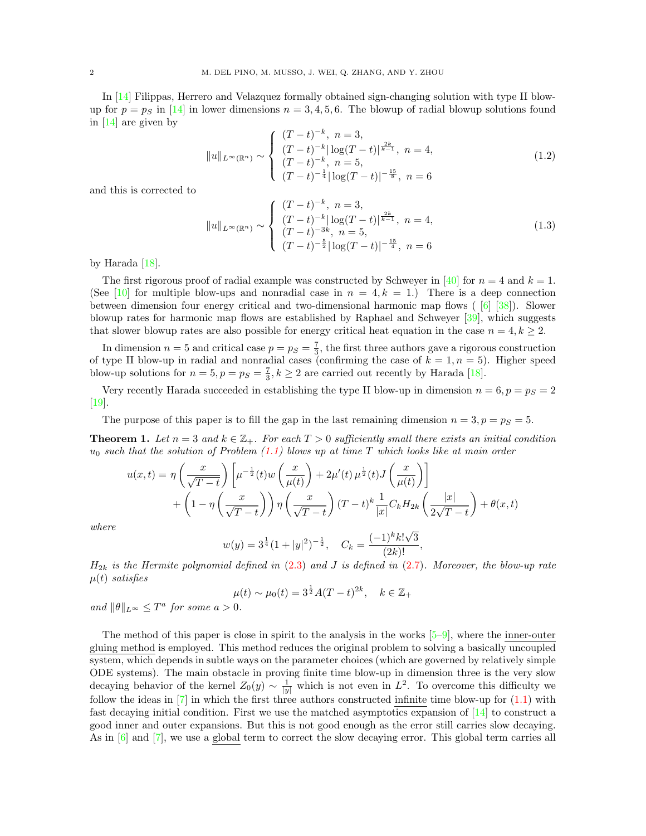In [\[14\]](#page-41-0) Filippas, Herrero and Velazquez formally obtained sign-changing solution with type II blowup for  $p = p<sub>S</sub>$  in [\[14\]](#page-41-0) in lower dimensions  $n = 3, 4, 5, 6$ . The blowup of radial blowup solutions found in [\[14\]](#page-41-0) are given by

$$
||u||_{L^{\infty}(\mathbb{R}^n)} \sim \begin{cases} (T-t)^{-k}, \ n=3, \\ (T-t)^{-k}|\log(T-t)|^{\frac{2k}{k-1}}, \ n=4, \\ (T-t)^{-k}, \ n=5, \\ (T-t)^{-\frac{1}{4}}|\log(T-t)|^{-\frac{15}{8}}, \ n=6 \end{cases}
$$
(1.2)

and this is corrected to

$$
||u||_{L^{\infty}(\mathbb{R}^n)} \sim \begin{cases} (T-t)^{-k}, \ n=3, \\ (T-t)^{-k}|\log(T-t)|^{\frac{2k}{k-1}}, \ n=4, \\ (T-t)^{-3k}, \ n=5, \\ (T-t)^{-\frac{5}{2}}|\log(T-t)|^{-\frac{15}{4}}, \ n=6 \end{cases}
$$
(1.3)

by Harada [\[18\]](#page-41-11).

The first rigorous proof of radial example was constructed by Schweyer in [\[40\]](#page-42-5) for  $n = 4$  and  $k = 1$ . (See [\[10\]](#page-41-12) for multiple blow-ups and nonradial case in  $n = 4, k = 1$ .) There is a deep connection between dimension four energy critical and two-dimensional harmonic map flows ( [\[6\]](#page-41-13) [\[38\]](#page-42-6)). Slower blowup rates for harmonic map flows are established by Raphael and Schweyer [\[39\]](#page-42-7), which suggests that slower blowup rates are also possible for energy critical heat equation in the case  $n = 4, k \geq 2$ .

In dimension  $n=5$  and critical case  $p=p_S=\frac{7}{3}$ , the first three authors gave a rigorous construction of type II blow-up in radial and nonradial cases (confirming the case of  $k = 1, n = 5$ ). Higher speed blow-up solutions for  $n = 5, p = p_S = \frac{7}{3}, k \ge 2$  are carried out recently by Harada [\[18\]](#page-41-11).

Very recently Harada succeeded in establishing the type II blow-up in dimension  $n = 6, p = p<sub>S</sub> = 2$ [\[19\]](#page-41-14).

The purpose of this paper is to fill the gap in the last remaining dimension  $n = 3, p = p<sub>S</sub> = 5$ .

<span id="page-1-0"></span>**Theorem 1.** Let  $n = 3$  and  $k \in \mathbb{Z}_+$ . For each  $T > 0$  sufficiently small there exists an initial condition  $u_0$  such that the solution of Problem [\(1.1\)](#page-0-0) blows up at time T which looks like at main order

$$
u(x,t) = \eta \left(\frac{x}{\sqrt{T-t}}\right) \left[ \mu^{-\frac{1}{2}}(t) w\left(\frac{x}{\mu(t)}\right) + 2\mu'(t) \mu^{\frac{1}{2}}(t) J\left(\frac{x}{\mu(t)}\right) \right] + \left(1 - \eta \left(\frac{x}{\sqrt{T-t}}\right) \eta \left(\frac{x}{\sqrt{T-t}}\right) (T-t)^k \frac{1}{|x|} C_k H_{2k} \left(\frac{|x|}{2\sqrt{T-t}}\right) + \theta(x,t) \right)
$$

where

$$
w(y) = 3^{\frac{1}{4}}(1+|y|^2)^{-\frac{1}{2}}, \quad C_k = \frac{(-1)^k k! \sqrt{3}}{(2k)!},
$$

 $H_{2k}$  is the Hermite polynomial defined in [\(2.3\)](#page-2-0) and J is defined in [\(2.7\)](#page-3-0). Moreover, the blow-up rate  $\mu(t)$  satisfies

$$
\mu(t) \sim \mu_0(t) = 3^{\frac{1}{2}} A(T - t)^{2k}, \quad k \in \mathbb{Z}_+
$$

and  $\|\theta\|_{L^{\infty}} \leq T^a$  for some  $a > 0$ .

The method of this paper is close in spirit to the analysis in the works  $[5-9]$  $[5-9]$ , where the inner-outer gluing method is employed. This method reduces the original problem to solving a basically uncoupled system, which depends in subtle ways on the parameter choices (which are governed by relatively simple ODE systems). The main obstacle in proving finite time blow-up in dimension three is the very slow decaying behavior of the kernel  $Z_0(y) \sim \frac{1}{|y|}$  which is not even in  $L^2$ . To overcome this difficulty we follow the ideas in  $[7]$  in which the first three authors constructed infinite time blow-up for  $(1.1)$  with fast decaying initial condition. First we use the matched asymptotics expansion of [\[14\]](#page-41-0) to construct a good inner and outer expansions. But this is not good enough as the error still carries slow decaying. As in [\[6\]](#page-41-13) and [\[7\]](#page-41-16), we use a global term to correct the slow decaying error. This global term carries all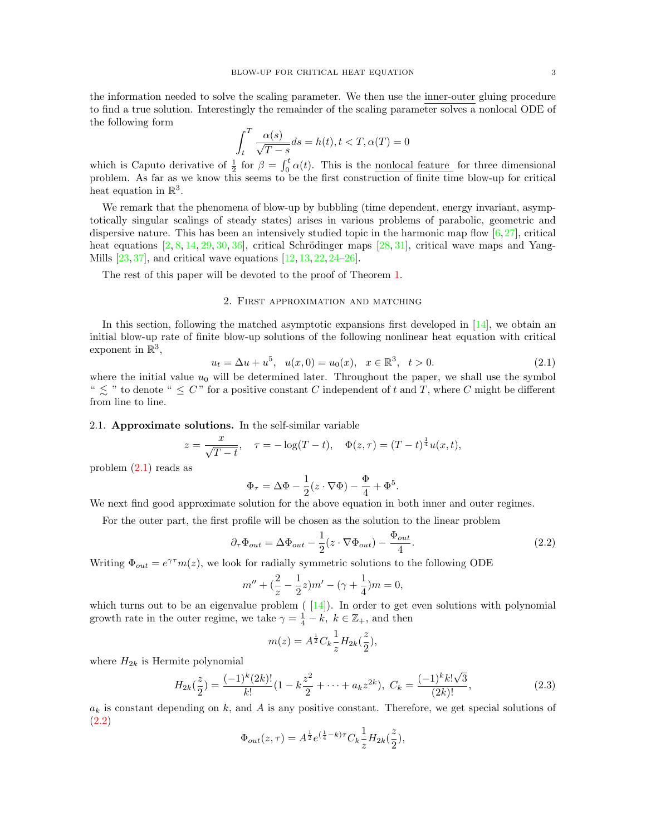the information needed to solve the scaling parameter. We then use the inner-outer gluing procedure to find a true solution. Interestingly the remainder of the scaling parameter solves a nonlocal ODE of the following form

$$
\int_{t}^{T} \frac{\alpha(s)}{\sqrt{T-s}} ds = h(t), t < T, \alpha(T) = 0
$$

which is Caputo derivative of  $\frac{1}{2}$  for  $\beta = \int_0^t \alpha(t)$ . This is the <u>nonlocal feature</u> for three dimensional problem. As far as we know this seems to be the first construction of finite time blow-up for critical heat equation in  $\mathbb{R}^3$ .

We remark that the phenomena of blow-up by bubbling (time dependent, energy invariant, asymptotically singular scalings of steady states) arises in various problems of parabolic, geometric and dispersive nature. This has been an intensively studied topic in the harmonic map flow  $[6,27]$  $[6,27]$ , critical heat equations  $[2, 8, 14, 29, 30, 36]$  $[2, 8, 14, 29, 30, 36]$  $[2, 8, 14, 29, 30, 36]$  $[2, 8, 14, 29, 30, 36]$  $[2, 8, 14, 29, 30, 36]$  $[2, 8, 14, 29, 30, 36]$  $[2, 8, 14, 29, 30, 36]$  $[2, 8, 14, 29, 30, 36]$  $[2, 8, 14, 29, 30, 36]$  $[2, 8, 14, 29, 30, 36]$ , critical Schrödinger maps  $[28, 31]$  $[28, 31]$ , critical wave maps and Yang-Mills [\[23,](#page-41-21) [37\]](#page-42-9), and critical wave equations [\[12,](#page-41-22) [13,](#page-41-23) [22,](#page-41-24) [24–](#page-41-25)[26\]](#page-41-26).

The rest of this paper will be devoted to the proof of Theorem [1.](#page-1-0)

# 2. First approximation and matching

In this section, following the matched asymptotic expansions first developed in  $[14]$ , we obtain an initial blow-up rate of finite blow-up solutions of the following nonlinear heat equation with critical exponent in  $\mathbb{R}^3$ ,

<span id="page-2-1"></span>
$$
u_t = \Delta u + u^5, \quad u(x,0) = u_0(x), \quad x \in \mathbb{R}^3, \quad t > 0.
$$
\n
$$
(2.1)
$$

where the initial value  $u_0$  will be determined later. Throughout the paper, we shall use the symbol "  $\leq$  " to denote "  $\leq$  C" for a positive constant C independent of t and T, where C might be different from line to line.

#### 2.1. Approximate solutions. In the self-similar variable

$$
z = \frac{x}{\sqrt{T-t}}, \quad \tau = -\log(T-t), \quad \Phi(z,\tau) = (T-t)^{\frac{1}{4}}u(x,t),
$$

problem [\(2.1\)](#page-2-1) reads as

$$
\Phi_{\tau} = \Delta \Phi - \frac{1}{2} (z \cdot \nabla \Phi) - \frac{\Phi}{4} + \Phi^5.
$$

We next find good approximate solution for the above equation in both inner and outer regimes.

For the outer part, the first profile will be chosen as the solution to the linear problem

<span id="page-2-2"></span>
$$
\partial_{\tau} \Phi_{out} = \Delta \Phi_{out} - \frac{1}{2} (z \cdot \nabla \Phi_{out}) - \frac{\Phi_{out}}{4}.
$$
\n(2.2)

Writing  $\Phi_{out} = e^{\gamma \tau} m(z)$ , we look for radially symmetric solutions to the following ODE

$$
m'' + \left(\frac{2}{z} - \frac{1}{2}z\right)m' - \left(\gamma + \frac{1}{4}\right)m = 0,
$$

which turns out to be an eigenvalue problem  $(14)$ . In order to get even solutions with polynomial growth rate in the outer regime, we take  $\gamma = \frac{1}{4} - k$ ,  $k \in \mathbb{Z}_+$ , and then

$$
m(z) = A^{\frac{1}{2}} C_k \frac{1}{z} H_{2k}(\frac{z}{2}),
$$

where  $H_{2k}$  is Hermite polynomial

<span id="page-2-0"></span>
$$
H_{2k}(\frac{z}{2}) = \frac{(-1)^k (2k)!}{k!} (1 - k\frac{z^2}{2} + \dots + a_k z^{2k}), \ C_k = \frac{(-1)^k k! \sqrt{3}}{(2k)!},
$$
 (2.3)

 $a_k$  is constant depending on k, and A is any positive constant. Therefore, we get special solutions of (2.[2\)](#page-2-2)

$$
\Phi_{out}(z,\tau)=A^{\frac{1}{2}}e^{(\frac{1}{4}-k)\tau}C_k\frac{1}{z}H_{2k}(\frac{z}{2}),
$$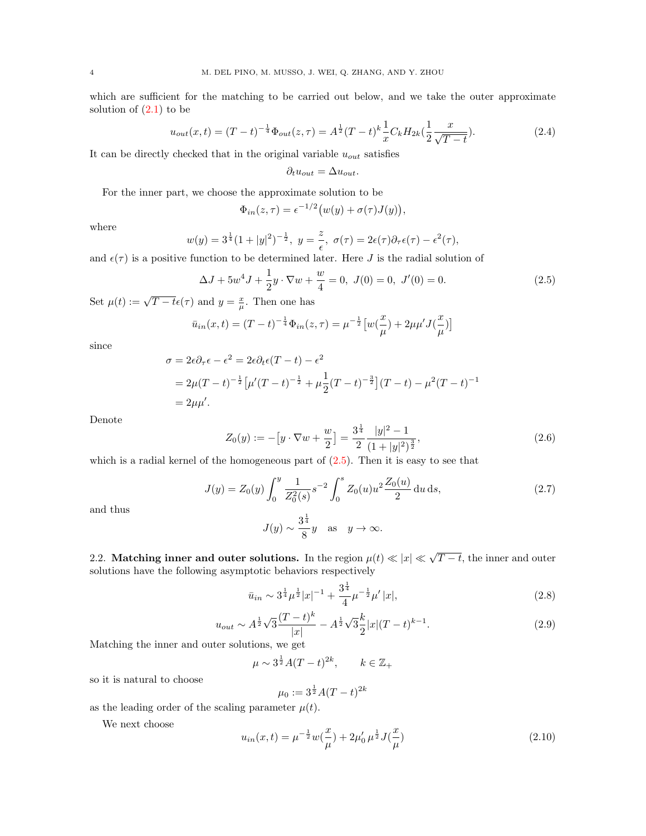which are sufficient for the matching to be carried out below, and we take the outer approximate solution of  $(2.1)$  $(2.1)$  to be

$$
u_{out}(x,t) = (T-t)^{-\frac{1}{4}} \Phi_{out}(z,\tau) = A^{\frac{1}{2}} (T-t)^{k} \frac{1}{x} C_k H_{2k}(\frac{1}{2} \frac{x}{\sqrt{T-t}}). \tag{2.4}
$$

It can be directly checked that in the original variable  $u_{out}$  satisfies

$$
\partial_t u_{out} = \Delta u_{out}.
$$

For the inner part, we choose the approximate solution to be

$$
\Phi_{in}(z,\tau) = \epsilon^{-1/2} \big( w(y) + \sigma(\tau) J(y) \big),
$$

where

$$
w(y) = 3^{\frac{1}{4}}(1+|y|^2)^{-\frac{1}{2}}, \ y = \frac{z}{\epsilon}, \ \sigma(\tau) = 2\epsilon(\tau)\partial_{\tau}\epsilon(\tau) - \epsilon^2(\tau),
$$

and  $\epsilon(\tau)$  is a positive function to be determined later. Here J is the radial solution of

<span id="page-3-1"></span>
$$
\Delta J + 5w^4 J + \frac{1}{2}y \cdot \nabla w + \frac{w}{4} = 0, \ J(0) = 0, \ J'(0) = 0.
$$
 (2.5)

Set  $\mu(t) := \sqrt{T - t} \epsilon(\tau)$  and  $y = \frac{x}{\mu}$ . Then one has

$$
\bar{u}_{in}(x,t) = (T-t)^{-\frac{1}{4}} \Phi_{in}(z,\tau) = \mu^{-\frac{1}{2}} \left[ w(\frac{x}{\mu}) + 2\mu\mu' J(\frac{x}{\mu}) \right]
$$

since

$$
\sigma = 2\epsilon \partial_{\tau} \epsilon - \epsilon^2 = 2\epsilon \partial_t \epsilon (T - t) - \epsilon^2
$$
  
=  $2\mu (T - t)^{-\frac{1}{2}} \left[ \mu'(T - t)^{-\frac{1}{2}} + \mu \frac{1}{2} (T - t)^{-\frac{3}{2}} \right] (T - t) - \mu^2 (T - t)^{-1}$   
=  $2\mu \mu'$ .

Denote

$$
Z_0(y) := -[y \cdot \nabla w + \frac{w}{2}] = \frac{3^{\frac{1}{4}}}{2} \frac{|y|^2 - 1}{(1 + |y|^2)^{\frac{3}{2}}},\tag{2.6}
$$

which is a radial kernel of the homogeneous part of  $(2.5)$ . Then it is easy to see that

<span id="page-3-0"></span>
$$
J(y) = Z_0(y) \int_0^y \frac{1}{Z_0^2(s)} s^{-2} \int_0^s Z_0(u) u^2 \frac{Z_0(u)}{2} du ds,
$$
\n(2.7)

and thus

$$
J(y) \sim \frac{3^{\frac{1}{4}}}{8}y
$$
 as  $y \to \infty$ .

2.2. Matching inner and outer solutions. In the region  $\mu(t) \ll |x| \ll \sqrt{T-t}$ , the inner and outer solutions have the following asymptotic behaviors respectively

<span id="page-3-2"></span>
$$
\bar{u}_{in} \sim 3^{\frac{1}{4}} \mu^{\frac{1}{2}} |x|^{-1} + \frac{3^{\frac{1}{4}}}{4} \mu^{-\frac{1}{2}} \mu' |x|,\tag{2.8}
$$

<span id="page-3-3"></span>
$$
u_{out} \sim A^{\frac{1}{2}} \sqrt{3} \frac{(T-t)^k}{|x|} - A^{\frac{1}{2}} \sqrt{3} \frac{k}{2} |x| (T-t)^{k-1}.
$$
 (2.9)

Matching the inner and outer solutions, we get

$$
\mu \sim 3^{\frac{1}{2}}A(T-t)^{2k}, \qquad k \in \mathbb{Z}_+
$$

so it is natural to choose

$$
\mu_0 := 3^{\frac{1}{2}} A(T - t)^{2k}
$$

as the leading order of the scaling parameter  $\mu(t)$ .

We next choose

$$
u_{in}(x,t) = \mu^{-\frac{1}{2}} w(\frac{x}{\mu}) + 2\mu_0' \mu^{\frac{1}{2}} J(\frac{x}{\mu})
$$
\n(2.10)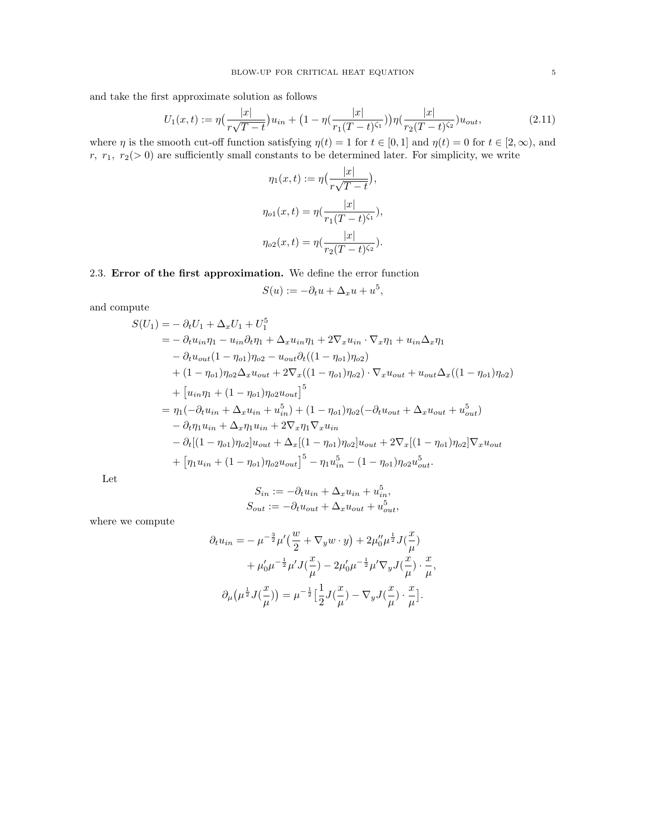and take the first approximate solution as follows

$$
U_1(x,t) := \eta \left(\frac{|x|}{r\sqrt{T-t}}\right) u_{in} + \left(1 - \eta \left(\frac{|x|}{r_1(T-t)^{\zeta_1}}\right)\right) \eta \left(\frac{|x|}{r_2(T-t)^{\zeta_2}}\right) u_{out},\tag{2.11}
$$

where  $\eta$  is the smooth cut-off function satisfying  $\eta(t) = 1$  for  $t \in [0, 1]$  and  $\eta(t) = 0$  for  $t \in [2, \infty)$ , and  $r, r_1, r_2(> 0)$  are sufficiently small constants to be determined later. For simplicity, we write

$$
\eta_1(x,t) := \eta\left(\frac{|x|}{r\sqrt{T-t}}\right),
$$

$$
\eta_{o1}(x,t) = \eta\left(\frac{|x|}{r_1(T-t)^{\zeta_1}}\right),
$$

$$
\eta_{o2}(x,t) = \eta\left(\frac{|x|}{r_2(T-t)^{\zeta_2}}\right).
$$

2.3. Error of the first approximation. We define the error function

$$
S(u) := -\partial_t u + \Delta_x u + u^5,
$$

and compute

$$
S(U_1) = -\partial_t U_1 + \Delta_x U_1 + U_1^5
$$
  
=  $-\partial_t u_{in} \eta_1 - u_{in} \partial_t \eta_1 + \Delta_x u_{in} \eta_1 + 2\nabla_x u_{in} \cdot \nabla_x \eta_1 + u_{in} \Delta_x \eta_1$   
 $-\partial_t u_{out} (1 - \eta_{o1}) \eta_{o2} - u_{out} \partial_t ((1 - \eta_{o1}) \eta_{o2})$   
 $+(1 - \eta_{o1}) \eta_{o2} \Delta_x u_{out} + 2\nabla_x ((1 - \eta_{o1}) \eta_{o2}) \cdot \nabla_x u_{out} + u_{out} \Delta_x ((1 - \eta_{o1}) \eta_{o2})$   
 $+ [u_{in} \eta_1 + (1 - \eta_{o1}) \eta_{o2} u_{out}]^5$   
 $= \eta_1 (-\partial_t u_{in} + \Delta_x u_{in} + u_{in}^5) + (1 - \eta_{o1}) \eta_{o2} (-\partial_t u_{out} + \Delta_x u_{out} + u_{out}^5)$   
 $-\partial_t \eta_1 u_{in} + \Delta_x \eta_1 u_{in} + 2\nabla_x \eta_1 \nabla_x u_{in}$   
 $-\partial_t [ (1 - \eta_{o1}) \eta_{o2}] u_{out} + \Delta_x [ (1 - \eta_{o1}) \eta_{o2}] u_{out} + 2\nabla_x [ (1 - \eta_{o1}) \eta_{o2}] \nabla_x u_{out}$   
 $+ [ \eta_1 u_{in} + (1 - \eta_{o1}) \eta_{o2} u_{out}]^5 - \eta_1 u_{in}^5 - (1 - \eta_{o1}) \eta_{o2} u_{out}^5.$ 

Let

$$
S_{in} := -\partial_t u_{in} + \Delta_x u_{in} + u_{in}^5,
$$
  

$$
S_{out} := -\partial_t u_{out} + \Delta_x u_{out} + u_{out}^5,
$$

where we compute

$$
\partial_t u_{in} = -\mu^{-\frac{3}{2}} \mu' \left( \frac{w}{2} + \nabla_y w \cdot y \right) + 2\mu_0'' \mu^{\frac{1}{2}} J(\frac{x}{\mu}) \n+ \mu_0' \mu^{-\frac{1}{2}} \mu' J(\frac{x}{\mu}) - 2\mu_0' \mu^{-\frac{1}{2}} \mu' \nabla_y J(\frac{x}{\mu}) \cdot \frac{x}{\mu}, \n\partial_\mu \left( \mu^{\frac{1}{2}} J(\frac{x}{\mu}) \right) = \mu^{-\frac{1}{2}} \left[ \frac{1}{2} J(\frac{x}{\mu}) - \nabla_y J(\frac{x}{\mu}) \cdot \frac{x}{\mu} \right].
$$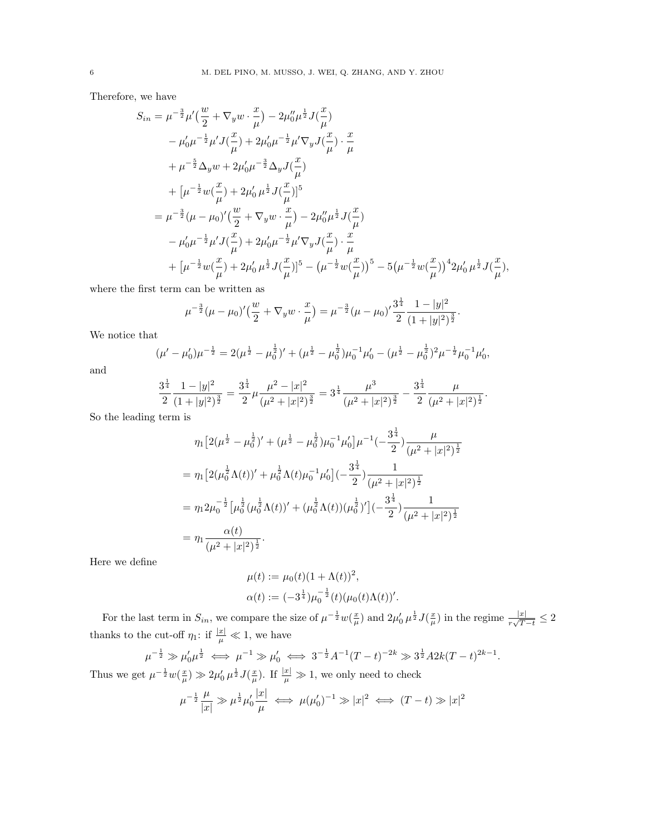Therefore, we have

$$
S_{in} = \mu^{-\frac{3}{2}} \mu' \left( \frac{w}{2} + \nabla_y w \cdot \frac{x}{\mu} \right) - 2\mu_0'' \mu^{\frac{1}{2}} J\left( \frac{x}{\mu} \right)
$$
  
\n
$$
- \mu_0' \mu^{-\frac{1}{2}} \mu' J\left( \frac{x}{\mu} \right) + 2\mu_0' \mu^{-\frac{1}{2}} \mu' \nabla_y J\left( \frac{x}{\mu} \right) \cdot \frac{x}{\mu}
$$
  
\n
$$
+ \mu^{-\frac{5}{2}} \Delta_y w + 2\mu_0' \mu^{-\frac{3}{2}} \Delta_y J\left( \frac{x}{\mu} \right)
$$
  
\n
$$
+ \left[ \mu^{-\frac{1}{2}} w \left( \frac{x}{\mu} \right) + 2\mu_0' \mu^{\frac{1}{2}} J\left( \frac{x}{\mu} \right) \right]^{5}
$$
  
\n
$$
= \mu^{-\frac{3}{2}} (\mu - \mu_0)' \left( \frac{w}{2} + \nabla_y w \cdot \frac{x}{\mu} \right) - 2\mu_0'' \mu^{\frac{1}{2}} J\left( \frac{x}{\mu} \right)
$$
  
\n
$$
- \mu_0' \mu^{-\frac{1}{2}} \mu' J\left( \frac{x}{\mu} \right) + 2\mu_0' \mu^{-\frac{1}{2}} \mu' \nabla_y J\left( \frac{x}{\mu} \right) \cdot \frac{x}{\mu}
$$
  
\n
$$
+ \left[ \mu^{-\frac{1}{2}} w \left( \frac{x}{\mu} \right) + 2\mu_0' \mu^{\frac{1}{2}} J\left( \frac{x}{\mu} \right) \right]^{5} - \left( \mu^{-\frac{1}{2}} w \left( \frac{x}{\mu} \right) \right)^{4} - 5 \left( \mu^{-\frac{1}{2}} w \left( \frac{x}{\mu} \right) \right)^{4} 2\mu_0' \mu^{\frac{1}{2}} J\left( \frac{x}{\mu} \right),
$$

where the first term can be written as

$$
\mu^{-\frac{3}{2}}(\mu-\mu_0)'(\frac{w}{2}+\nabla_y w \cdot \frac{x}{\mu}) = \mu^{-\frac{3}{2}}(\mu-\mu_0)' \frac{3^{\frac{1}{4}}}{2} \frac{1-|y|^2}{(1+|y|^2)^{\frac{3}{2}}}.
$$

We notice that

$$
(\mu' - \mu'_0)\mu^{-\frac{1}{2}} = 2(\mu^{\frac{1}{2}} - \mu_0^{\frac{1}{2}})' + (\mu^{\frac{1}{2}} - \mu_0^{\frac{1}{2}})\mu_0^{-1}\mu'_0 - (\mu^{\frac{1}{2}} - \mu_0^{\frac{1}{2}})^2\mu^{-\frac{1}{2}}\mu_0^{-1}\mu'_0,
$$

and

$$
\frac{3^{\frac{1}{4}}}{2} \frac{1-|y|^2}{(1+|y|^2)^{\frac{3}{2}}} = \frac{3^{\frac{1}{4}}}{2} \mu \frac{\mu^2-|x|^2}{(\mu^2+|x|^2)^{\frac{3}{2}}} = 3^{\frac{1}{4}} \frac{\mu^3}{(\mu^2+|x|^2)^{\frac{3}{2}}} - \frac{3^{\frac{1}{4}}}{2} \frac{\mu}{(\mu^2+|x|^2)^{\frac{1}{2}}}.
$$

1

So the leading term is

$$
\eta_1 \left[ 2(\mu^{\frac{1}{2}} - \mu_0^{\frac{1}{2}})' + (\mu^{\frac{1}{2}} - \mu_0^{\frac{1}{2}}) \mu_0^{-1} \mu_0' \right] \mu^{-1} \left( -\frac{3^{\frac{1}{4}}}{2} \right) \frac{\mu}{(\mu^2 + |x|^2)^{\frac{1}{2}}}
$$
\n
$$
= \eta_1 \left[ 2(\mu_0^{\frac{1}{2}} \Lambda(t))' + \mu_0^{\frac{1}{2}} \Lambda(t) \mu_0^{-1} \mu_0' \right] \left( -\frac{3^{\frac{1}{4}}}{2} \right) \frac{1}{(\mu^2 + |x|^2)^{\frac{1}{2}}}
$$
\n
$$
= \eta_1 2\mu_0^{-\frac{1}{2}} \left[ \mu_0^{\frac{1}{2}} (\mu_0^{\frac{1}{2}} \Lambda(t))' + (\mu_0^{\frac{1}{2}} \Lambda(t)) (\mu_0^{\frac{1}{2}})' \right] \left( -\frac{3^{\frac{1}{4}}}{2} \right) \frac{1}{(\mu^2 + |x|^2)^{\frac{1}{2}}}
$$
\n
$$
= \eta_1 \frac{\alpha(t)}{(\mu^2 + |x|^2)^{\frac{1}{2}}}.
$$

Here we define

$$
\mu(t) := \mu_0(t)(1 + \Lambda(t))^2,
$$
  
\n
$$
\alpha(t) := (-3^{\frac{1}{4}})\mu_0^{-\frac{1}{2}}(t)(\mu_0(t)\Lambda(t))'.
$$

For the last term in  $S_{in}$ , we compare the size of  $\mu^{-\frac{1}{2}}w(\frac{x}{\mu})$  and  $2\mu'_{0}\mu^{\frac{1}{2}}J(\frac{x}{\mu})$  in the regime  $\frac{|x|}{r\sqrt{T-t}} \leq 2$ thanks to the cut-off  $\eta_1$ : if  $\frac{|x|}{\mu} \ll 1$ , we have

$$
\mu^{-\frac{1}{2}} \gg \mu_0' \mu^{\frac{1}{2}} \iff \mu^{-1} \gg \mu_0' \iff 3^{-\frac{1}{2}} A^{-1} (T-t)^{-2k} \gg 3^{\frac{1}{2}} A 2k (T-t)^{2k-1}.
$$
  
  $\mu^{-\frac{1}{2}} \mu(\mathcal{Z}) \gg 2 \mu' \mu^{\frac{1}{2}} I(\mathcal{Z})$  If  $|\mathcal{Z}| \gg 1$  we only need to check

Thus we get  $\mu^{-\frac{1}{2}}w(\frac{x}{\mu}) \gg 2\mu'_0 \mu^{\frac{1}{2}}J(\frac{x}{\mu})$ . If  $\frac{|x|}{\mu} \gg 1$ , we only need to check

$$
\mu^{-\frac{1}{2}}\frac{\mu}{|x|}\gg \mu^{\frac{1}{2}}\mu'_0\frac{|x|}{\mu}\iff \mu(\mu'_0)^{-1}\gg |x|^2 \iff (T-t)\gg |x|^2
$$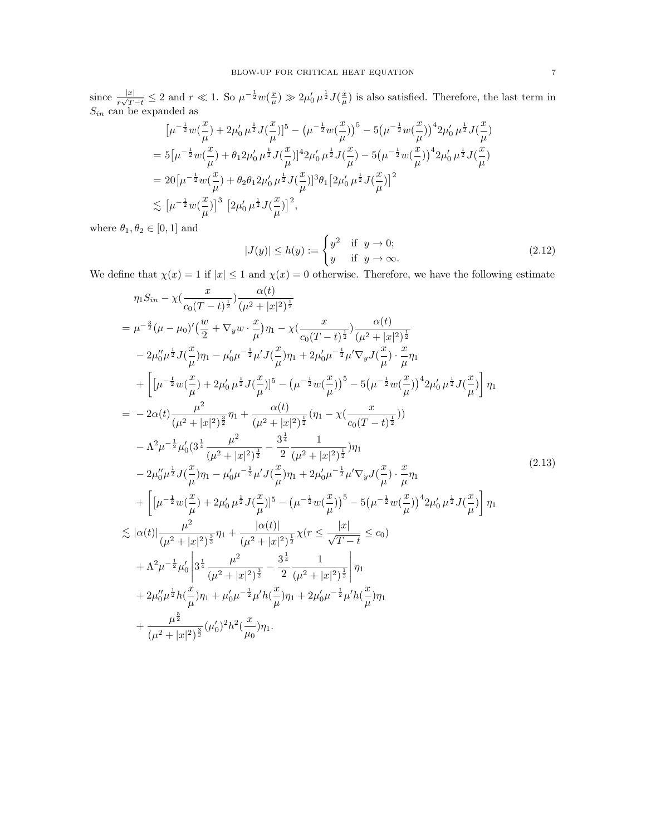since  $\frac{|x|}{r\sqrt{T-t}} \leq 2$  and  $r \ll 1$ . So  $\mu^{-\frac{1}{2}}w(\frac{x}{\mu}) \gg 2\mu'_0 \mu^{\frac{1}{2}}J(\frac{x}{\mu})$  is also satisfied. Therefore, the last term in  $S_{in}$  can be expanded as

$$
\begin{split} &\bigl[\mu^{-\frac{1}{2}}w(\frac{x}{\mu})+2\mu_0'\,\mu^{\frac{1}{2}}J(\frac{x}{\mu})\bigr]^5-\bigl(\mu^{-\frac{1}{2}}w(\frac{x}{\mu})\bigr)^5-5\bigl(\mu^{-\frac{1}{2}}w(\frac{x}{\mu})\bigr)^42\mu_0'\,\mu^{\frac{1}{2}}J(\frac{x}{\mu})\\ &=5\bigl[\mu^{-\frac{1}{2}}w(\frac{x}{\mu})+\theta_12\mu_0'\,\mu^{\frac{1}{2}}J(\frac{x}{\mu})\bigr]^42\mu_0'\,\mu^{\frac{1}{2}}J(\frac{x}{\mu})-5\bigl(\mu^{-\frac{1}{2}}w(\frac{x}{\mu})\bigr)^42\mu_0'\,\mu^{\frac{1}{2}}J(\frac{x}{\mu})\\ &=20\bigl[\mu^{-\frac{1}{2}}w(\frac{x}{\mu})+\theta_2\theta_12\mu_0'\,\mu^{\frac{1}{2}}J(\frac{x}{\mu})\bigr]^3\theta_1\bigl[2\mu_0'\,\mu^{\frac{1}{2}}J(\frac{x}{\mu})\bigr]^2\\ &\lesssim \bigl[\mu^{-\frac{1}{2}}w(\frac{x}{\mu})\bigr]^3\,\bigl[2\mu_0'\,\mu^{\frac{1}{2}}J(\frac{x}{\mu})\bigr]^2, \end{split}
$$

where  $\theta_1, \theta_2 \in [0, 1]$  and

<span id="page-6-1"></span>
$$
|J(y)| \le h(y) := \begin{cases} y^2 & \text{if } y \to 0; \\ y & \text{if } y \to \infty. \end{cases}
$$
 (2.12)

We define that  $\chi(x) = 1$  if  $|x| \le 1$  and  $\chi(x) = 0$  otherwise. Therefore, we have the following estimate

<span id="page-6-0"></span>
$$
\eta_{1}S_{in} - \chi\left(\frac{x}{c_{0}(T-t)^{\frac{1}{2}}}\right)\frac{\alpha(t)}{(\mu^{2} + |x|^{2})^{\frac{1}{2}}}
$$
\n
$$
= \mu^{-\frac{3}{2}}(\mu - \mu_{0})'\left(\frac{w}{2} + \nabla_{y}\omega\right)\frac{x}{\mu}\eta_{1} - \chi\left(\frac{x}{c_{0}(T-t)^{\frac{1}{2}}}\right)\frac{\alpha(t)}{(\mu^{2} + |x|^{2})^{\frac{1}{2}}}
$$
\n
$$
-2\mu_{0}''\mu^{\frac{1}{2}}J(\frac{x}{\mu})\eta_{1} - \mu_{0}'\mu^{-\frac{1}{2}}\mu'J(\frac{x}{\mu})\eta_{1} + 2\mu_{0}'\mu^{-\frac{1}{2}}\mu'\nabla_{y}J(\frac{x}{\mu})\cdot\frac{x}{\mu}\eta_{1}
$$
\n
$$
+ \left[ [\mu^{-\frac{1}{2}}w(\frac{x}{\mu}) + 2\mu_{0}'\mu^{\frac{1}{2}}J(\frac{x}{\mu})]^{5} - (\mu^{-\frac{1}{2}}w(\frac{x}{\mu}))^{5} - 5(\mu^{-\frac{1}{2}}w(\frac{x}{\mu}))^{4}2\mu_{0}'\mu^{\frac{1}{2}}J(\frac{x}{\mu}) \right]\eta_{1}
$$
\n
$$
= -2\alpha(t)\frac{\mu^{2}}{(\mu^{2} + |x|^{2})^{\frac{3}{2}}}\eta_{1} + \frac{\alpha(t)}{(\mu^{2} + |x|^{2})^{\frac{1}{2}}}\left(\eta_{1} - \chi\left(\frac{x}{c_{0}(T-t)^{\frac{1}{2}}}\right)\right)
$$
\n
$$
- \Lambda^{2}\mu^{-\frac{1}{2}}\mu_{0}'(3^{\frac{1}{4}}\frac{\mu^{2}}{(\mu^{2} + |x|^{2})^{\frac{3}{2}}} - \frac{3^{\frac{1}{4}}}{2} \frac{1}{(\mu^{2} + |x|^{2})^{\frac{1}{2}}}\eta_{1}
$$
\n
$$
- 2\mu_{0}''\mu^{\frac{1}{2}}J(\frac{x}{\mu})\eta_{1} - \mu_{0}'\mu^{-\frac{1}{2}}\mu'J(\frac{x}{\mu})\eta_{1} + 2\mu_{0}'\mu^{-\frac{1}{2}}\mu'\nabla_{y}J(\frac
$$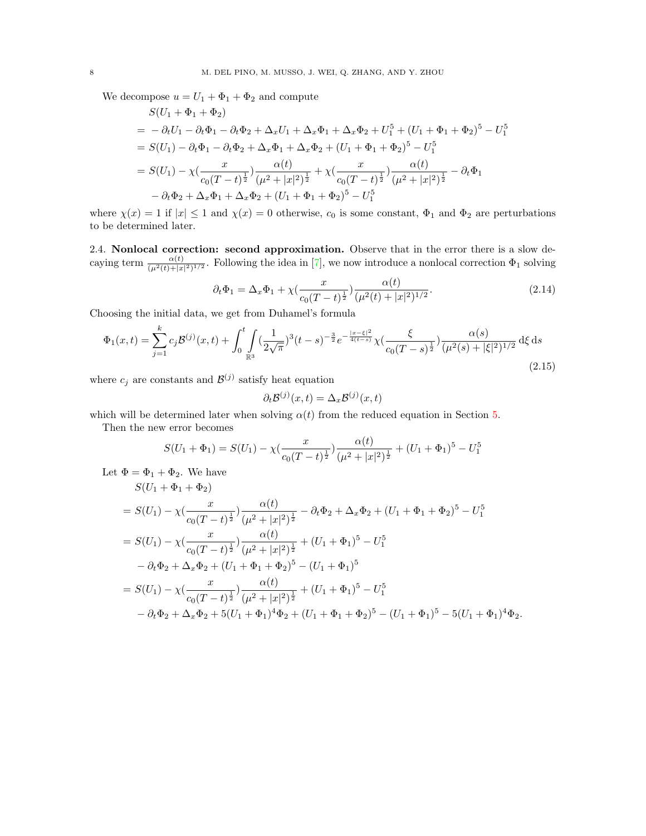We decompose  $u = U_1 + \Phi_1 + \Phi_2$  and compute  $S(U_1 + \delta + \delta)$ 

$$
S(U_1 + \Phi_1 + \Phi_2)
$$
  
=  $-\partial_t U_1 - \partial_t \Phi_1 - \partial_t \Phi_2 + \Delta_x U_1 + \Delta_x \Phi_1 + \Delta_x \Phi_2 + U_1^5 + (U_1 + \Phi_1 + \Phi_2)^5 - U_1^5$   
=  $S(U_1) - \partial_t \Phi_1 - \partial_t \Phi_2 + \Delta_x \Phi_1 + \Delta_x \Phi_2 + (U_1 + \Phi_1 + \Phi_2)^5 - U_1^5$   
=  $S(U_1) - \chi \left(\frac{x}{c_0(T-t)^{\frac{1}{2}}}\right) \frac{\alpha(t)}{(\mu^2 + |x|^2)^{\frac{1}{2}}} + \chi \left(\frac{x}{c_0(T-t)^{\frac{1}{2}}}\right) \frac{\alpha(t)}{(\mu^2 + |x|^2)^{\frac{1}{2}}} - \partial_t \Phi_1$   
 $-\partial_t \Phi_2 + \Delta_x \Phi_1 + \Delta_x \Phi_2 + (U_1 + \Phi_1 + \Phi_2)^5 - U_1^5$ 

where  $\chi(x) = 1$  if  $|x| \le 1$  and  $\chi(x) = 0$  otherwise,  $c_0$  is some constant,  $\Phi_1$  and  $\Phi_2$  are perturbations to be determined later.

2.4. Nonlocal correction: second approximation. Observe that in the error there is a slow decaying term  $\frac{\alpha(t)}{(\mu^2(t)+|x|^2)^{1/2}}$ . Following the idea in [\[7\]](#page-41-16), we now introduce a nonlocal correction  $\Phi_1$  solving

$$
\partial_t \Phi_1 = \Delta_x \Phi_1 + \chi \left( \frac{x}{c_0 (T - t)^{\frac{1}{2}}} \right) \frac{\alpha(t)}{(\mu^2(t) + |x|^2)^{1/2}}.
$$
\n(2.14)

Choosing the initial data, we get from Duhamel's formula

$$
\Phi_1(x,t) = \sum_{j=1}^k c_j \mathcal{B}^{(j)}(x,t) + \int_0^t \int_{\mathbb{R}^3} \left(\frac{1}{2\sqrt{\pi}}\right)^3 (t-s)^{-\frac{3}{2}} e^{-\frac{|x-\xi|^2}{4(t-s)}} \chi\left(\frac{\xi}{c_0(T-s)^{\frac{1}{2}}}\right) \frac{\alpha(s)}{(\mu^2(s) + |\xi|^2)^{1/2}} d\xi ds
$$
\n(2.15)

where  $c_j$  are constants and  $\mathcal{B}^{(j)}$  satisfy heat equation

$$
\partial_t \mathcal{B}^{(j)}(x,t) = \Delta_x \mathcal{B}^{(j)}(x,t)
$$

which will be determined later when solving  $\alpha(t)$  from the reduced equation in Section [5.](#page-13-0)

Then the new error becomes

$$
S(U_1 + \Phi_1) = S(U_1) - \chi(\frac{x}{c_0(T - t)^{\frac{1}{2}}})\frac{\alpha(t)}{(\mu^2 + |x|^2)^{\frac{1}{2}}} + (U_1 + \Phi_1)^5 - U_1^5
$$

Let  $\Phi = \Phi_1 + \Phi_2$ . We have

$$
S(U_1 + \Phi_1 + \Phi_2)
$$
  
=  $S(U_1) - \chi \left(\frac{x}{c_0(T-t)^{\frac{1}{2}}}\right) \frac{\alpha(t)}{(\mu^2 + |x|^2)^{\frac{1}{2}}} - \partial_t \Phi_2 + \Delta_x \Phi_2 + (U_1 + \Phi_1 + \Phi_2)^5 - U_1^5$   
=  $S(U_1) - \chi \left(\frac{x}{c_0(T-t)^{\frac{1}{2}}}\right) \frac{\alpha(t)}{(\mu^2 + |x|^2)^{\frac{1}{2}}} + (U_1 + \Phi_1)^5 - U_1^5$   
 $- \partial_t \Phi_2 + \Delta_x \Phi_2 + (U_1 + \Phi_1 + \Phi_2)^5 - (U_1 + \Phi_1)^5$   
=  $S(U_1) - \chi \left(\frac{x}{c_0(T-t)^{\frac{1}{2}}}\right) \frac{\alpha(t)}{(\mu^2 + |x|^2)^{\frac{1}{2}}} + (U_1 + \Phi_1)^5 - U_1^5$   
 $- \partial_t \Phi_2 + \Delta_x \Phi_2 + 5(U_1 + \Phi_1)^4 \Phi_2 + (U_1 + \Phi_1 + \Phi_2)^5 - (U_1 + \Phi_1)^5 - 5(U_1 + \Phi_1)^4 \Phi_2.$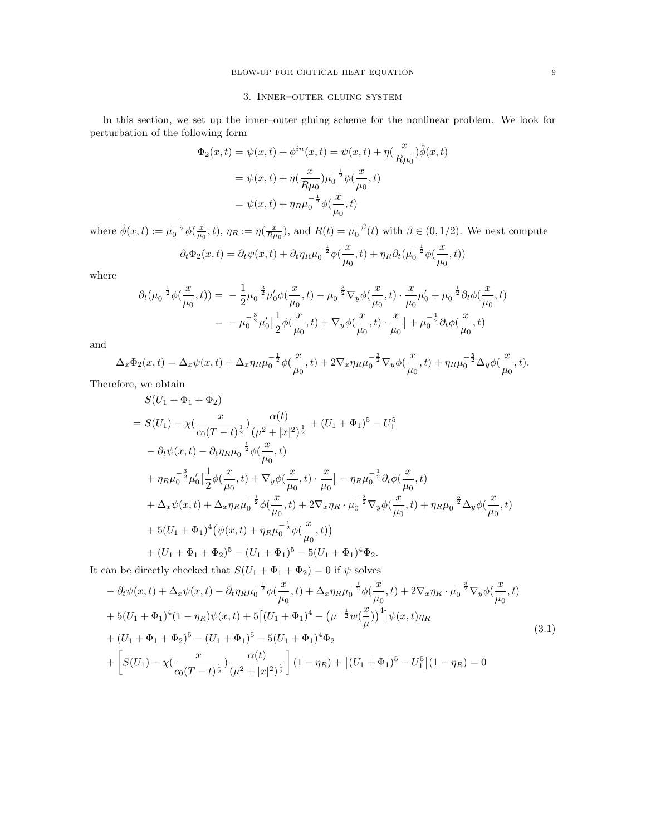# 3. Inner–outer gluing system

In this section, we set up the inner–outer gluing scheme for the nonlinear problem. We look for perturbation of the following form

$$
\Phi_2(x,t) = \psi(x,t) + \phi^{in}(x,t) = \psi(x,t) + \eta(\frac{x}{R\mu_0})\hat{\phi}(x,t)
$$
  
=  $\psi(x,t) + \eta(\frac{x}{R\mu_0})\mu_0^{-\frac{1}{2}}\phi(\frac{x}{\mu_0},t)$   
=  $\psi(x,t) + \eta_R\mu_0^{-\frac{1}{2}}\phi(\frac{x}{\mu_0},t)$ 

where  $\hat{\phi}(x,t) := \mu_0^{-\frac{1}{2}} \phi(\frac{x}{\mu_0},t)$ ,  $\eta_R := \eta(\frac{x}{R\mu_0})$ , and  $R(t) = \mu_0^{-\beta}(t)$  with  $\beta \in (0,1/2)$ . We next compute

$$
\partial_t \Phi_2(x,t) = \partial_t \psi(x,t) + \partial_t \eta_R \mu_0^{-\frac{1}{2}} \phi(\frac{x}{\mu_0},t) + \eta_R \partial_t (\mu_0^{-\frac{1}{2}} \phi(\frac{x}{\mu_0},t))
$$

where

$$
\partial_t(\mu_0^{-\frac{1}{2}}\phi(\frac{x}{\mu_0},t)) = -\frac{1}{2}\mu_0^{-\frac{3}{2}}\mu_0'\phi(\frac{x}{\mu_0},t) - \mu_0^{-\frac{3}{2}}\nabla_y\phi(\frac{x}{\mu_0},t) \cdot \frac{x}{\mu_0}\mu_0' + \mu_0^{-\frac{1}{2}}\partial_t\phi(\frac{x}{\mu_0},t)
$$

$$
= -\mu_0^{-\frac{3}{2}}\mu_0'[\frac{1}{2}\phi(\frac{x}{\mu_0},t) + \nabla_y\phi(\frac{x}{\mu_0},t) \cdot \frac{x}{\mu_0}] + \mu_0^{-\frac{1}{2}}\partial_t\phi(\frac{x}{\mu_0},t)
$$

and

$$
\Delta_x \Phi_2(x,t) = \Delta_x \psi(x,t) + \Delta_x \eta_R \mu_0^{-\frac{1}{2}} \phi(\frac{x}{\mu_0},t) + 2\nabla_x \eta_R \mu_0^{-\frac{3}{2}} \nabla_y \phi(\frac{x}{\mu_0},t) + \eta_R \mu_0^{-\frac{5}{2}} \Delta_y \phi(\frac{x}{\mu_0},t).
$$

Therefore, we obtain

$$
S(U_1 + \Phi_1 + \Phi_2)
$$
  
=  $S(U_1) - \chi \left( \frac{x}{c_0(T - t)^{\frac{1}{2}}} \right) \frac{\alpha(t)}{(\mu^2 + |x|^2)^{\frac{1}{2}}} + (U_1 + \Phi_1)^5 - U_1^5$   
 $- \partial_t \psi(x, t) - \partial_t \eta_R \mu_0^{-\frac{1}{2}} \phi(\frac{x}{\mu_0}, t)$   
 $+ \eta_R \mu_0^{-\frac{3}{2}} \mu_0' \left[ \frac{1}{2} \phi(\frac{x}{\mu_0}, t) + \nabla_y \phi(\frac{x}{\mu_0}, t) \cdot \frac{x}{\mu_0} \right] - \eta_R \mu_0^{-\frac{1}{2}} \partial_t \phi(\frac{x}{\mu_0}, t)$   
 $+ \Delta_x \psi(x, t) + \Delta_x \eta_R \mu_0^{-\frac{1}{2}} \phi(\frac{x}{\mu_0}, t) + 2 \nabla_x \eta_R \cdot \mu_0^{-\frac{3}{2}} \nabla_y \phi(\frac{x}{\mu_0}, t) + \eta_R \mu_0^{-\frac{5}{2}} \Delta_y \phi(\frac{x}{\mu_0}, t)$   
+  $5(U_1 + \Phi_1)^4 (\psi(x, t) + \eta_R \mu_0^{-\frac{1}{2}} \phi(\frac{x}{\mu_0}, t))$   
+  $(U_1 + \Phi_1 + \Phi_2)^5 - (U_1 + \Phi_1)^5 - 5(U_1 + \Phi_1)^4 \Phi_2$ .

It can be directly checked that  $S(U_1 + \Phi_1 + \Phi_2) = 0$  if  $\psi$  solves

<span id="page-8-0"></span>
$$
- \partial_t \psi(x,t) + \Delta_x \psi(x,t) - \partial_t \eta_R \mu_0^{-\frac{1}{2}} \phi(\frac{x}{\mu_0},t) + \Delta_x \eta_R \mu_0^{-\frac{1}{2}} \phi(\frac{x}{\mu_0},t) + 2\nabla_x \eta_R \cdot \mu_0^{-\frac{3}{2}} \nabla_y \phi(\frac{x}{\mu_0},t)
$$
  
+  $5(U_1 + \Phi_1)^4 (1 - \eta_R) \psi(x,t) + 5[(U_1 + \Phi_1)^4 - (\mu^{-\frac{1}{2}} w(\frac{x}{\mu}))^4] \psi(x,t) \eta_R$   
+  $(U_1 + \Phi_1 + \Phi_2)^5 - (U_1 + \Phi_1)^5 - 5(U_1 + \Phi_1)^4 \Phi_2$   
+  $\left[ S(U_1) - \chi(\frac{x}{c_0(T-t)^{\frac{1}{2}}}) \frac{\alpha(t)}{(\mu^2 + |x|^2)^{\frac{1}{2}}} \right] (1 - \eta_R) + \left[ (U_1 + \Phi_1)^5 - U_1^5 \right] (1 - \eta_R) = 0$  (3.1)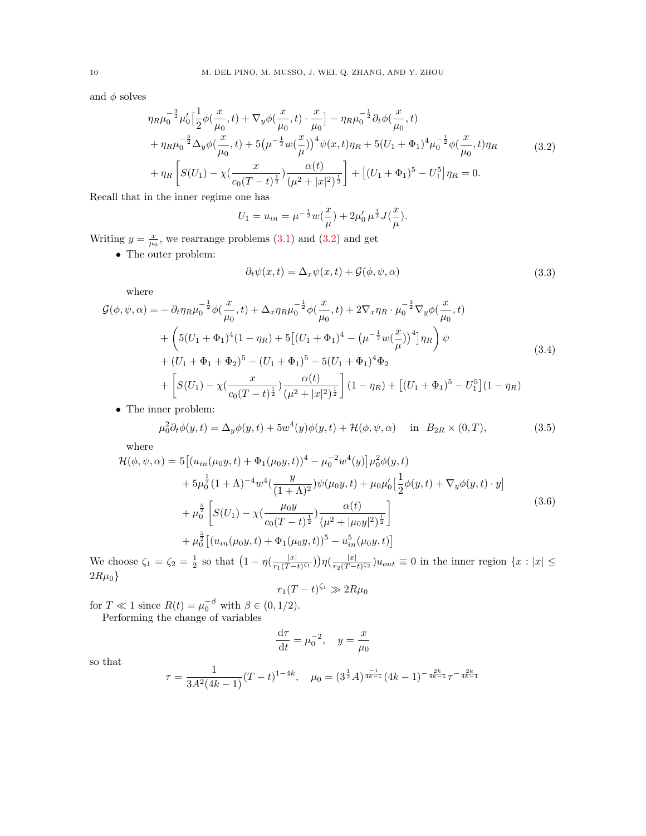<span id="page-9-0"></span>and  $\phi$  solves

$$
\eta_R \mu_0^{-\frac{3}{2}} \mu_0' \Big[ \frac{1}{2} \phi\left(\frac{x}{\mu_0}, t\right) + \nabla_y \phi\left(\frac{x}{\mu_0}, t\right) \cdot \frac{x}{\mu_0} \Big] - \eta_R \mu_0^{-\frac{1}{2}} \partial_t \phi\left(\frac{x}{\mu_0}, t\right) + \eta_R \mu_0^{-\frac{5}{2}} \Delta_y \phi\left(\frac{x}{\mu_0}, t\right) + 5 \left(\mu^{-\frac{1}{2}} w\left(\frac{x}{\mu}\right)\right)^4 \psi(x, t) \eta_R + 5 (U_1 + \Phi_1)^4 \mu_0^{-\frac{1}{2}} \phi\left(\frac{x}{\mu_0}, t\right) \eta_R + \eta_R \Big[ S(U_1) - \chi\left(\frac{x}{c_0 (T - t)^{\frac{1}{2}}} \right) \frac{\alpha(t)}{\left(\mu^2 + |x|^2\right)^{\frac{1}{2}}} \Big] + \Big[ (U_1 + \Phi_1)^5 - U_1^5 \Big] \eta_R = 0.
$$
\n(3.2)

Recall that in the inner regime one has

$$
U_1 = u_{in} = \mu^{-\frac{1}{2}} w(\frac{x}{\mu}) + 2\mu'_0 \mu^{\frac{1}{2}} J(\frac{x}{\mu}).
$$

Writing  $y = \frac{x}{\mu_0}$ , we rearrange problems [\(3.1\)](#page-8-0) and [\(3.2\)](#page-9-0) and get

<span id="page-9-1"></span> $\bullet\,$  The outer problem:

$$
\partial_t \psi(x,t) = \Delta_x \psi(x,t) + \mathcal{G}(\phi, \psi, \alpha)
$$
\n(3.3)

where

<span id="page-9-4"></span>
$$
\mathcal{G}(\phi,\psi,\alpha) = -\partial_t \eta_R \mu_0^{-\frac{1}{2}} \phi(\frac{x}{\mu_0},t) + \Delta_x \eta_R \mu_0^{-\frac{1}{2}} \phi(\frac{x}{\mu_0},t) + 2\nabla_x \eta_R \cdot \mu_0^{-\frac{3}{2}} \nabla_y \phi(\frac{x}{\mu_0},t) \n+ \left(5(U_1 + \Phi_1)^4 (1 - \eta_R) + 5[(U_1 + \Phi_1)^4 - (\mu^{-\frac{1}{2}} w(\frac{x}{\mu}))^4]\eta_R\right) \psi \n+ (U_1 + \Phi_1 + \Phi_2)^5 - (U_1 + \Phi_1)^5 - 5(U_1 + \Phi_1)^4 \Phi_2 \n+ \left[ S(U_1) - \chi(\frac{x}{c_0(T-t)^{\frac{1}{2}}}) \frac{\alpha(t)}{(\mu^2 + |x|^2)^{\frac{1}{2}}} \right] (1 - \eta_R) + \left[ (U_1 + \Phi_1)^5 - U_1^5 \right] (1 - \eta_R)
$$
\n• The inner problem:

<span id="page-9-2"></span>

$$
\mu_0^2 \partial_t \phi(y, t) = \Delta_y \phi(y, t) + 5w^4(y)\phi(y, t) + \mathcal{H}(\phi, \psi, \alpha) \quad \text{in} \quad B_{2R} \times (0, T), \tag{3.5}
$$

where

<span id="page-9-3"></span>
$$
\mathcal{H}(\phi, \psi, \alpha) = 5 \left[ (u_{in}(\mu_0 y, t) + \Phi_1(\mu_0 y, t))^4 - \mu_0^{-2} w^4(y) \right] \mu_0^2 \phi(y, t) \n+ 5\mu_0^{\frac{1}{2}} (1 + \Lambda)^{-4} w^4 \left( \frac{y}{(1 + \Lambda)^2} \right) \psi(\mu_0 y, t) + \mu_0 \mu_0' \left[ \frac{1}{2} \phi(y, t) + \nabla_y \phi(y, t) \cdot y \right] \n+ \mu_0^{\frac{5}{2}} \left[ S(U_1) - \chi \left( \frac{\mu_0 y}{c_0 (T - t)^{\frac{1}{2}}} \right) \frac{\alpha(t)}{(\mu^2 + |\mu_0 y|^2)^{\frac{1}{2}}} \right] \n+ \mu_0^{\frac{5}{2}} \left[ (u_{in}(\mu_0 y, t) + \Phi_1(\mu_0 y, t))^5 - u_{in}^5(\mu_0 y, t) \right]
$$
\n(3.6)

We choose  $\zeta_1 = \zeta_2 = \frac{1}{2}$  so that  $\left(1 - \eta\left(\frac{|x|}{r_1(T - 1)}\right)\right)$  $\frac{|x|}{r_1(T-t)^{\zeta_1}})\big)\eta(\frac{|x|}{r_2(T-t)}$  $\frac{|x|}{r_2(T-t)^{\zeta_2}}$ ) $u_{out} \equiv 0$  in the inner region  $\{x : |x| \leq$  $2R\mu_0$ 

$$
r_1(T-t)^{\zeta_1} \gg 2R\mu_0
$$

for  $T \ll 1$  since  $R(t) = \mu_0^{-\beta}$  with  $\beta \in (0, 1/2)$ .

Performing the change of variables

$$
\frac{\mathrm{d}\tau}{\mathrm{d}t} = \mu_0^{-2}, \quad y = \frac{x}{\mu_0}
$$

so that

$$
\tau = \frac{1}{3A^2(4k-1)}(T-t)^{1-4k}, \quad \mu_0 = (3^{\frac{1}{2}}A)^{\frac{-1}{4k-1}}(4k-1)^{-\frac{2k}{4k-1}}\tau^{-\frac{2k}{4k-1}}
$$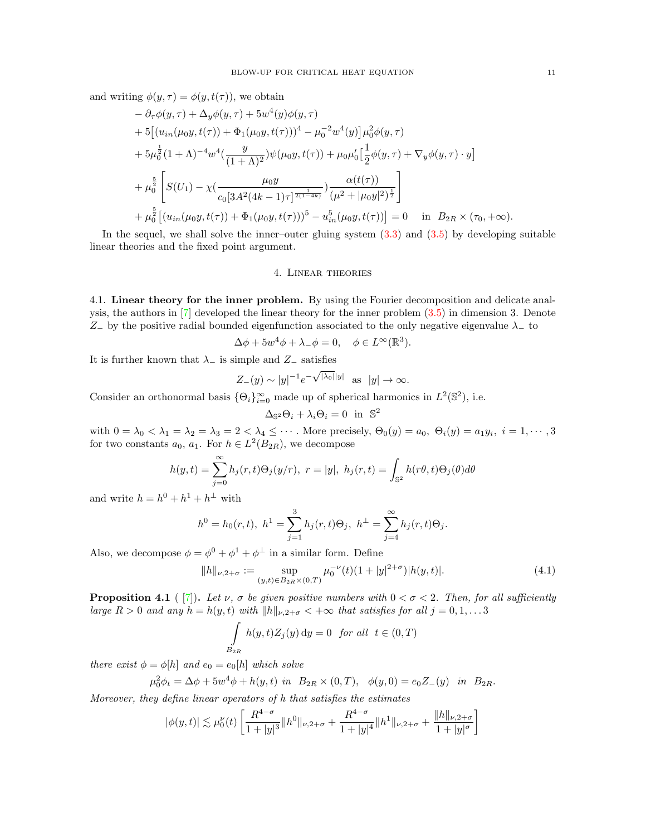and writing  $\phi(y, \tau) = \phi(y, t(\tau))$ , we obtain

$$
- \partial_{\tau}\phi(y,\tau) + \Delta_{y}\phi(y,\tau) + 5w^{4}(y)\phi(y,\tau)
$$
  
+ 5\left[ (u\_{in}(\mu\_{0}y, t(\tau)) + \Phi\_{1}(\mu\_{0}y, t(\tau)))^{4} - \mu\_{0}^{-2}w^{4}(y) \right] \mu\_{0}^{2}\phi(y,\tau)  
+ 5\mu\_{0}^{\frac{1}{2}}(1+\Lambda)^{-4}w^{4}(\frac{y}{(1+\Lambda)^{2}})\psi(\mu\_{0}y, t(\tau)) + \mu\_{0}\mu\_{0}'[\frac{1}{2}\phi(y,\tau) + \nabla\_{y}\phi(y,\tau) \cdot y]  
+ \mu\_{0}^{\frac{5}{2}}\left[ S(U\_{1}) - \chi(\frac{\mu\_{0}y}{c\_{0}[3A^{2}(4k-1)\tau]^{\frac{1}{2(1-4k)}})} \frac{\alpha(t(\tau))}{(\mu^{2} + |\mu\_{0}y|^{2})^{\frac{1}{2}}} \right]  
+ \mu\_{0}^{\frac{5}{2}}\left[ (u\_{in}(\mu\_{0}y, t(\tau)) + \Phi\_{1}(\mu\_{0}y, t(\tau)))^{5} - u\_{in}^{5}(\mu\_{0}y, t(\tau))] = 0 \text{ in } B\_{2R} \times (\tau\_{0}, +\infty).

In the sequel, we shall solve the inner–outer gluing system  $(3.3)$  and  $(3.5)$  by developing suitable linear theories and the fixed point argument.

## 4. Linear theories

<span id="page-10-2"></span><span id="page-10-1"></span>4.1. Linear theory for the inner problem. By using the Fourier decomposition and delicate analysis, the authors in  $[7]$  developed the linear theory for the inner problem  $(3.5)$  in dimension 3. Denote  $Z_-\,$  by the positive radial bounded eigenfunction associated to the only negative eigenvalue  $\lambda_-\,$  to

$$
\Delta \phi + 5w^4 \phi + \lambda_- \phi = 0, \quad \phi \in L^{\infty}(\mathbb{R}^3).
$$

It is further known that  $\lambda_{-}$  is simple and  $Z_{-}$  satisfies

$$
Z_{-}(y) \sim |y|^{-1} e^{-\sqrt{|\lambda_0|}|y|} \quad \text{as} \quad |y| \to \infty.
$$

Consider an orthonormal basis  $\{\Theta_i\}_{i=0}^{\infty}$  made up of spherical harmonics in  $L^2(\mathbb{S}^2)$ , i.e.

$$
\Delta_{\mathbb{S}^2}\Theta_i + \lambda_i \Theta_i = 0 \text{ in } \mathbb{S}^2
$$

with  $0 = \lambda_0 < \lambda_1 = \lambda_2 = \lambda_3 = 2 < \lambda_4 \leq \cdots$ . More precisely,  $\Theta_0(y) = a_0, \ \Theta_i(y) = a_1 y_i, \ i = 1, \cdots, 3$ for two constants  $a_0, a_1$ . For  $h \in L^2(B_{2R})$ , we decompose

$$
h(y,t) = \sum_{j=0}^{\infty} h_j(r,t)\Theta_j(y/r), \ r = |y|, \ h_j(r,t) = \int_{\mathbb{S}^2} h(r\theta,t)\Theta_j(\theta)d\theta
$$

and write  $h = h^0 + h^1 + h^{\perp}$  with

$$
h^{0} = h_{0}(r, t), \ h^{1} = \sum_{j=1}^{3} h_{j}(r, t) \Theta_{j}, \ h^{\perp} = \sum_{j=4}^{\infty} h_{j}(r, t) \Theta_{j}.
$$

Also, we decompose  $\phi = \phi^0 + \phi^1 + \phi^\perp$  in a similar form. Define

$$
||h||_{\nu,2+\sigma} := \sup_{(y,t)\in B_{2R}\times(0,T)} \mu_0^{-\nu}(t)(1+|y|^{2+\sigma})|h(y,t)|.
$$
 (4.1)

<span id="page-10-0"></span>**Proposition 4.1** ( [\[7\]](#page-41-16)). Let  $\nu$ ,  $\sigma$  be given positive numbers with  $0 < \sigma < 2$ . Then, for all sufficiently large  $R > 0$  and any  $h = h(y, t)$  with  $||h||_{\nu,2+\sigma} < +\infty$  that satisfies for all  $j = 0, 1, \ldots, 3$ 

$$
\int_{B_{2R}} h(y,t)Z_j(y) dy = 0 \text{ for all } t \in (0,T)
$$

there exist  $\phi = \phi[h]$  and  $e_0 = e_0[h]$  which solve

$$
\mu_0^2 \phi_t = \Delta \phi + 5w^4 \phi + h(y, t) \text{ in } B_{2R} \times (0, T), \phi(y, 0) = e_0 Z_-(y) \text{ in } B_{2R}.
$$

Moreover, they define linear operators of h that satisfies the estimates

$$
|\phi(y,t)| \lesssim \mu_0^{\nu}(t) \left[ \frac{R^{4-\sigma}}{1+|y|^3} \|h^0\|_{\nu,2+\sigma} + \frac{R^{4-\sigma}}{1+|y|^4} \|h^1\|_{\nu,2+\sigma} + \frac{\|h\|_{\nu,2+\sigma}}{1+|y|^{\sigma}} \right]
$$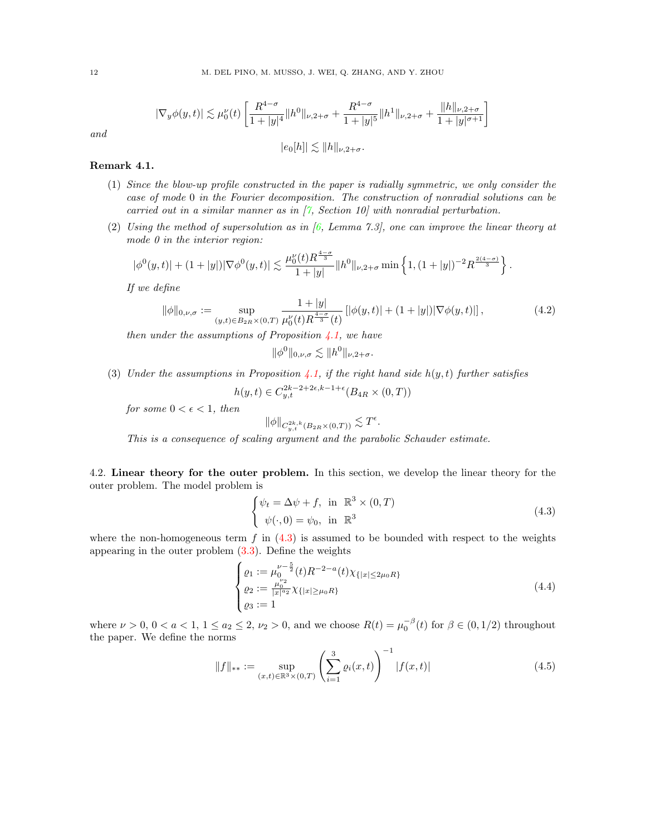$$
|\nabla_y \phi(y,t)| \lesssim \mu_0^{\nu}(t) \left[ \frac{R^{4-\sigma}}{1+|y|^4} \|h^0\|_{\nu,2+\sigma} + \frac{R^{4-\sigma}}{1+|y|^5} \|h^1\|_{\nu,2+\sigma} + \frac{\|h\|_{\nu,2+\sigma}}{1+|y|^{\sigma+1}} \right]
$$

$$
|e_0[h]| \lesssim \|h\|_{\nu,2+\sigma}.
$$

and

## Remark 4.1.

- (1) Since the blow-up profile constructed in the paper is radially symmetric, we only consider the case of mode 0 in the Fourier decomposition. The construction of nonradial solutions can be carried out in a similar manner as in  $[7, Section 10]$  $[7, Section 10]$  with nonradial perturbation.
- (2) Using the method of supersolution as in  $(6, L_{\text{em}})$  and  $(7.3)$ , one can improve the linear theory at mode 0 in the interior region:

$$
|\phi^0(y,t)|+(1+|y|)|\nabla \phi^0(y,t)|\lesssim \frac{\mu_0^\nu(t)R^{\frac{4-\sigma}{3}}}{1+|y|}\|h^0\|_{\nu,2+\sigma}\min\left\{1,(1+|y|)^{-2}R^{\frac{2(4-\sigma)}{3}}\right\}.
$$

If we define

<span id="page-11-1"></span>
$$
\|\phi\|_{0,\nu,\sigma} := \sup_{(y,t)\in B_{2R}\times(0,T)} \frac{1+|y|}{\mu_0^{\nu}(t)R^{\frac{4-\sigma}{3}}(t)} \left[ |\phi(y,t)| + (1+|y|) |\nabla \phi(y,t)| \right],\tag{4.2}
$$

then under the assumptions of Proposition  $4.1$ , we have

$$
\|\phi^0\|_{0,\nu,\sigma}\lesssim \|h^0\|_{\nu,2+\sigma}.
$$

(3) Under the assumptions in Proposition [4.1,](#page-10-0) if the right hand side  $h(y, t)$  further satisfies

$$
h(y,t) \in C_{y,t}^{2k-2+2\epsilon, k-1+\epsilon} (B_{4R} \times (0,T))
$$

for some  $0 < \epsilon < 1$ , then

$$
\|\phi\|_{C^{2k,k}_{y,t}(B_{2R}\times(0,T))} \lesssim T^{\epsilon}.
$$

This is a consequence of scaling argument and the parabolic Schauder estimate.

<span id="page-11-3"></span>4.2. Linear theory for the outer problem. In this section, we develop the linear theory for the outer problem. The model problem is

<span id="page-11-0"></span>
$$
\begin{cases} \psi_t = \Delta \psi + f, \text{ in } \mathbb{R}^3 \times (0, T) \\ \psi(\cdot, 0) = \psi_0, \text{ in } \mathbb{R}^3 \end{cases}
$$
 (4.3)

where the non-homogeneous term  $f$  in  $(4.3)$  is assumed to be bounded with respect to the weights appearing in the outer problem  $(3.3)$ . Define the weights

$$
\begin{cases}\n\varrho_1 := \mu_0^{\nu - \frac{5}{2}}(t) R^{-2-a}(t) \chi_{\{|x| \le 2\mu_0 R\}} \\
\varrho_2 := \frac{\mu_0^{\nu_2}}{|x|^{a_2}} \chi_{\{|x| \ge \mu_0 R\}} \\
\varrho_3 := 1\n\end{cases} \tag{4.4}
$$

where  $\nu > 0$ ,  $0 < a < 1$ ,  $1 \le a_2 \le 2$ ,  $\nu_2 > 0$ , and we choose  $R(t) = \mu_0^{-\beta}(t)$  for  $\beta \in (0, 1/2)$  throughout the paper. We define the norms

<span id="page-11-2"></span>
$$
||f||_{**} := \sup_{(x,t)\in\mathbb{R}^3\times(0,T)} \left(\sum_{i=1}^3 \varrho_i(x,t)\right)^{-1} |f(x,t)| \tag{4.5}
$$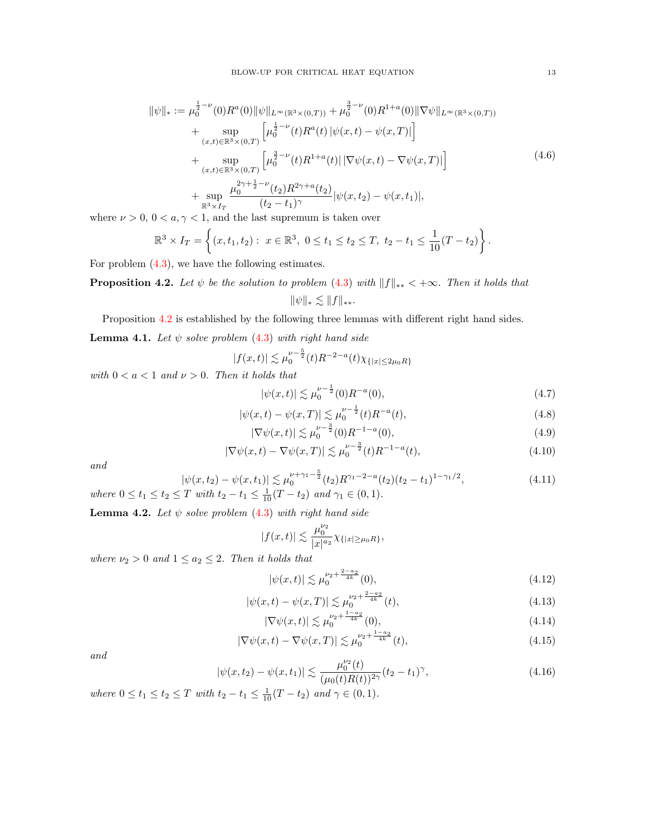<span id="page-12-3"></span>
$$
\|\psi\|_{*} := \mu_{0}^{\frac{1}{2}-\nu}(0)R^{a}(0)\|\psi\|_{L^{\infty}(\mathbb{R}^{3}\times(0,T))} + \mu_{0}^{\frac{3}{2}-\nu}(0)R^{1+a}(0)\|\nabla\psi\|_{L^{\infty}(\mathbb{R}^{3}\times(0,T))} \n+ \sup_{(x,t)\in\mathbb{R}^{3}\times(0,T)} \left[\mu_{0}^{\frac{1}{2}-\nu}(t)R^{a}(t)\|\psi(x,t)-\psi(x,T)\|\right] \n+ \sup_{(x,t)\in\mathbb{R}^{3}\times(0,T)} \left[\mu_{0}^{\frac{3}{2}-\nu}(t)R^{1+a}(t)\|\nabla\psi(x,t)-\nabla\psi(x,T)\|\right] \n+ \sup_{\mathbb{R}^{3}\times I_{T}} \frac{\mu_{0}^{2\gamma+\frac{1}{2}-\nu}(t_{2})R^{2\gamma+a}(t_{2})}{(t_{2}-t_{1})^{\gamma}}|\psi(x,t_{2})-\psi(x,t_{1})|,
$$
\n(4.6)

where  $\nu > 0$ ,  $0 < a, \gamma < 1$ , and the last supremum is taken over

$$
\mathbb{R}^3 \times I_T = \left\{ (x, t_1, t_2) : \ x \in \mathbb{R}^3, \ 0 \le t_1 \le t_2 \le T, \ t_2 - t_1 \le \frac{1}{10}(T - t_2) \right\}.
$$

For problem [\(4.3\)](#page-11-0), we have the following estimates.

<span id="page-12-0"></span>**Proposition 4.2.** Let  $\psi$  be the solution to problem [\(4.3\)](#page-11-0) with  $||f||_{**} < +\infty$ . Then it holds that  $\|\psi\|_{*} \lesssim \|f\|_{**}.$ 

Proposition [4.2](#page-12-0) is established by the following three lemmas with different right hand sides.

<span id="page-12-1"></span>**Lemma 4.1.** Let  $\psi$  solve problem [\(4.3\)](#page-11-0) with right hand side

$$
|f(x,t)| \lesssim \mu_0^{\nu - \frac{5}{2}}(t)R^{-2-a}(t)\chi_{\{|x| \le 2\mu_0 R\}}
$$

with  $0 < a < 1$  and  $\nu > 0$ . Then it holds that

$$
|\psi(x,t)| \lesssim \mu_0^{\nu - \frac{1}{2}}(0)R^{-a}(0),\tag{4.7}
$$

<span id="page-12-4"></span>
$$
|\psi(x,t) - \psi(x,T)| \lesssim \mu_0^{\nu - \frac{1}{2}}(t)R^{-a}(t),\tag{4.8}
$$

<span id="page-12-5"></span>
$$
|\nabla \psi(x,t)| \lesssim \mu_0^{\nu - \frac{3}{2}}(0) R_{\eta}^{-1-a}(0),\tag{4.9}
$$

<span id="page-12-7"></span><span id="page-12-6"></span>
$$
|\nabla \psi(x,t) - \nabla \psi(x,T)| \lesssim \mu_0^{\nu - \frac{3}{2}}(t) R^{-1-a}(t),\tag{4.10}
$$

and

$$
|\psi(x, t_2) - \psi(x, t_1)| \lesssim \mu_0^{\nu + \gamma_1 - \frac{5}{2}}(t_2) R^{\gamma_1 - 2 - a}(t_2) (t_2 - t_1)^{1 - \gamma_1/2},
$$
\n
$$
\text{where } 0 \le t_1 \le t_2 \le T \text{ with } t_2 - t_1 \le \frac{1}{10}(T - t_2) \text{ and } \gamma_1 \in (0, 1).
$$
\n
$$
(4.11)
$$

<span id="page-12-2"></span>**Lemma 4.2.** Let  $\psi$  solve problem [\(4.3\)](#page-11-0) with right hand side

$$
\textbf{termma 4.2. Let } \psi \text{ solve problem (4.3) with right hand side}
$$

$$
|f(x,t)| \lesssim \frac{\mu_0^{\nu_2}}{|x|^{\alpha_2}} \chi_{\{|x| \ge \mu_0 R\}},
$$

where  $\nu_2 > 0$  and  $1 \le a_2 \le 2$ . Then it holds that

<span id="page-12-8"></span>
$$
|\psi(x,t)| \lesssim \mu_0^{\nu_2 + \frac{2-a_2}{4k}}(0),\tag{4.12}
$$

$$
|\psi(x,t) - \psi(x,T)| \lesssim \mu_0^{\nu_2 + \frac{2-a_2}{4k}}(t),\tag{4.13}
$$

<span id="page-12-9"></span>
$$
|\nabla \psi(x,t)| \lesssim \mu_0^{\nu_2 + \frac{1 - a_2}{4k}}(0),\tag{4.14}
$$

$$
|\nabla \psi(x,t) - \nabla \psi(x,T)| \lesssim \mu_0^{\nu_2 + \frac{1-a_2}{4k}}(t),\tag{4.15}
$$

and

$$
|\psi(x,t_2) - \psi(x,t_1)| \lesssim \frac{\mu_0^{\nu_2}(t)}{(\mu_0(t)R(t))^{2\gamma}}(t_2 - t_1)^{\gamma},\tag{4.16}
$$

where  $0 \le t_1 \le t_2 \le T$  with  $t_2 - t_1 \le \frac{1}{10}(T - t_2)$  and  $\gamma \in (0, 1)$ .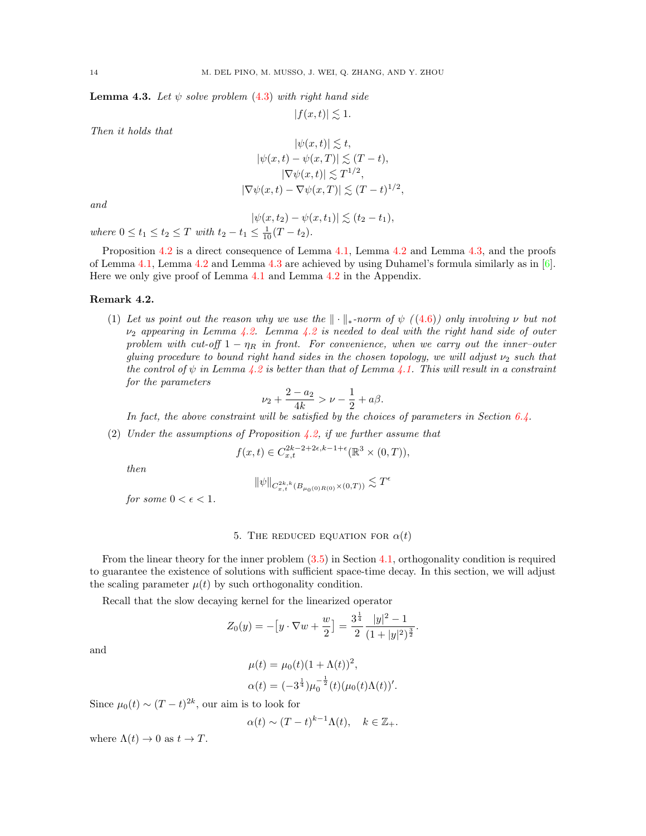<span id="page-13-1"></span>**Lemma 4.3.** Let  $\psi$  solve problem [\(4.3\)](#page-11-0) with right hand side

$$
|f(x,t)| \lesssim 1.
$$

Then it holds that

$$
|\psi(x,t)| \lesssim t,
$$
  
\n
$$
|\psi(x,t) - \psi(x,T)| \lesssim (T-t),
$$
  
\n
$$
|\nabla \psi(x,t)| \lesssim T^{1/2},
$$
  
\n
$$
|\nabla \psi(x,t) - \nabla \psi(x,T)| \lesssim (T-t)^{1/2}
$$

,

and

$$
|\psi(x,t_2)-\psi(x,t_1)|\lesssim (t_2-t_1),
$$

where  $0 \le t_1 \le t_2 \le T$  with  $t_2 - t_1 \le \frac{1}{10}(T - t_2)$ .

Proposition [4.2](#page-12-2) is a direct consequence of Lemma [4.1,](#page-12-1) Lemma 4.2 and Lemma [4.3,](#page-13-1) and the proofs of Lemma [4.1,](#page-12-1) Lemma [4.2](#page-12-2) and Lemma [4.3](#page-13-1) are achieved by using Duhamel's formula similarly as in [\[6\]](#page-41-13). Here we only give proof of Lemma [4.1](#page-12-1) and Lemma [4.2](#page-12-2) in the Appendix.

## <span id="page-13-2"></span>Remark 4.2.

(1) Let us point out the reason why we use the  $\|\cdot\|_{*}$ -norm of  $\psi$  ([\(4.6\)](#page-12-3)) only involving  $\nu$  but not  $\nu_2$  appearing in Lemma [4.2.](#page-12-2) Lemma [4.2](#page-12-2) is needed to deal with the right hand side of outer problem with cut-off  $1 - \eta_R$  in front. For convenience, when we carry out the inner-outer gluing procedure to bound right hand sides in the chosen topology, we will adjust  $\nu_2$  such that the control of  $\psi$  in Lemma [4.2](#page-12-2) is better than that of Lemma [4.1.](#page-12-1) This will result in a constraint for the parameters

$$
\nu_2 + \frac{2 - a_2}{4k} > \nu - \frac{1}{2} + a\beta.
$$

In fact, the above constraint will be satisfied by the choices of parameters in Section [6.4.](#page-32-0)

(2) Under the assumptions of Proposition [4.2,](#page-12-0) if we further assume that

$$
f(x,t) \in C_{x,t}^{2k-2+2\epsilon,k-1+\epsilon}(\mathbb{R}^3 \times (0,T)),
$$

then

$$
\|\psi\|_{C^{2k,k}_{x,t}(B_{\mu_0(0)R(0)}\times(0,T))} \lesssim T^{\epsilon}
$$

for some  $0 < \epsilon < 1$ .

### 5. THE REDUCED EQUATION FOR  $\alpha(t)$

<span id="page-13-0"></span>From the linear theory for the inner problem [\(3.5\)](#page-9-2) in Section [4.1,](#page-10-1) orthogonality condition is required to guarantee the existence of solutions with sufficient space-time decay. In this section, we will adjust the scaling parameter  $\mu(t)$  by such orthogonality condition.

Recall that the slow decaying kernel for the linearized operator

$$
Z_0(y) = -[y \cdot \nabla w + \frac{w}{2}] = \frac{3^{\frac{1}{4}}}{2} \frac{|y|^2 - 1}{(1 + |y|^2)^{\frac{3}{2}}}.
$$

and

$$
\mu(t) = \mu_0(t)(1 + \Lambda(t))^2,
$$
  
\n
$$
\alpha(t) = (-3^{\frac{1}{4}})\mu_0^{-\frac{1}{2}}(t)(\mu_0(t)\Lambda(t))'.
$$

Since  $\mu_0(t) \sim (T-t)^{2k}$ , our aim is to look for

$$
\alpha(t) \sim (T - t)^{k-1} \Lambda(t), \quad k \in \mathbb{Z}_+.
$$

where  $\Lambda(t) \to 0$  as  $t \to T$ .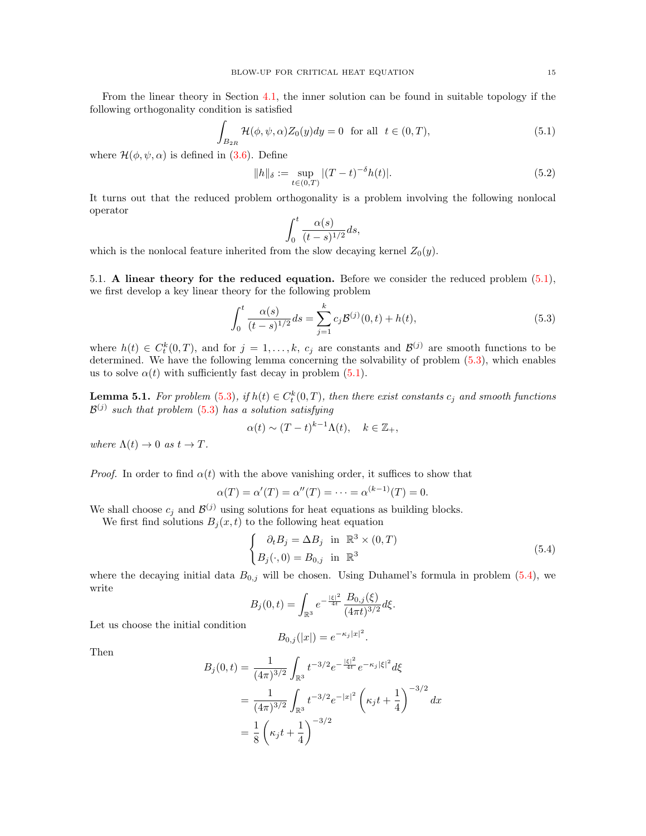From the linear theory in Section [4.1,](#page-10-1) the inner solution can be found in suitable topology if the following orthogonality condition is satisfied

<span id="page-14-0"></span>
$$
\int_{B_{2R}} \mathcal{H}(\phi, \psi, \alpha) Z_0(y) dy = 0 \quad \text{for all} \quad t \in (0, T), \tag{5.1}
$$

where  $\mathcal{H}(\phi, \psi, \alpha)$  is defined in [\(3.6\)](#page-9-3). Define

$$
||h||_{\delta} := \sup_{t \in (0,T)} |(T-t)^{-\delta} h(t)|.
$$
 (5.2)

It turns out that the reduced problem orthogonality is a problem involving the following nonlocal operator

$$
\int_0^t \frac{\alpha(s)}{(t-s)^{1/2}} ds,
$$

which is the nonlocal feature inherited from the slow decaying kernel  $Z_0(y)$ .

5.1. A linear theory for the reduced equation. Before we consider the reduced problem [\(5.1\)](#page-14-0), we first develop a key linear theory for the following problem

<span id="page-14-1"></span>
$$
\int_0^t \frac{\alpha(s)}{(t-s)^{1/2}} ds = \sum_{j=1}^k c_j \mathcal{B}^{(j)}(0, t) + h(t),
$$
\n(5.3)

where  $h(t) \in C_t^k(0,T)$ , and for  $j = 1,\ldots,k$ ,  $c_j$  are constants and  $\mathcal{B}^{(j)}$  are smooth functions to be determined. We have the following lemma concerning the solvability of problem [\(5.3\)](#page-14-1), which enables us to solve  $\alpha(t)$  with sufficiently fast decay in problem [\(5.1\)](#page-14-0).

**Lemma 5.1.** For problem [\(5.3\)](#page-14-1), if  $h(t) \in C_t^k(0,T)$ , then there exist constants  $c_j$  and smooth functions  $\mathcal{B}^{(j)}$  such that problem [\(5.3\)](#page-14-1) has a solution satisfying

$$
\alpha(t) \sim (T-t)^{k-1} \Lambda(t), \quad k \in \mathbb{Z}_+,
$$

where  $\Lambda(t) \to 0$  as  $t \to T$ .

*Proof.* In order to find  $\alpha(t)$  with the above vanishing order, it suffices to show that

$$
\alpha(T) = \alpha'(T) = \alpha''(T) = \dots = \alpha^{(k-1)}(T) = 0.
$$

We shall choose  $c_j$  and  $\mathcal{B}^{(j)}$  using solutions for heat equations as building blocks.

We first find solutions  $B_j(x, t)$  to the following heat equation

<span id="page-14-2"></span>
$$
\begin{cases}\n\partial_t B_j = \Delta B_j & \text{in } \mathbb{R}^3 \times (0, T) \\
B_j(\cdot, 0) = B_{0,j} & \text{in } \mathbb{R}^3\n\end{cases}
$$
\n(5.4)

where the decaying initial data  $B_{0,j}$  will be chosen. Using Duhamel's formula in problem [\(5.4\)](#page-14-2), we write

$$
B_j(0,t) = \int_{\mathbb{R}^3} e^{-\frac{|\xi|^2}{4t}} \frac{B_{0,j}(\xi)}{(4\pi t)^{3/2}} d\xi.
$$

Let us choose the initial condition

$$
B_{0,j}(|x|) = e^{-\kappa_j |x|^2}.
$$

Then

$$
B_j(0,t) = \frac{1}{(4\pi)^{3/2}} \int_{\mathbb{R}^3} t^{-3/2} e^{-\frac{|\xi|^2}{4t}} e^{-\kappa_j |\xi|^2} d\xi
$$
  
= 
$$
\frac{1}{(4\pi)^{3/2}} \int_{\mathbb{R}^3} t^{-3/2} e^{-|x|^2} \left(\kappa_j t + \frac{1}{4}\right)^{-3/2} dx
$$
  
= 
$$
\frac{1}{8} \left(\kappa_j t + \frac{1}{4}\right)^{-3/2}
$$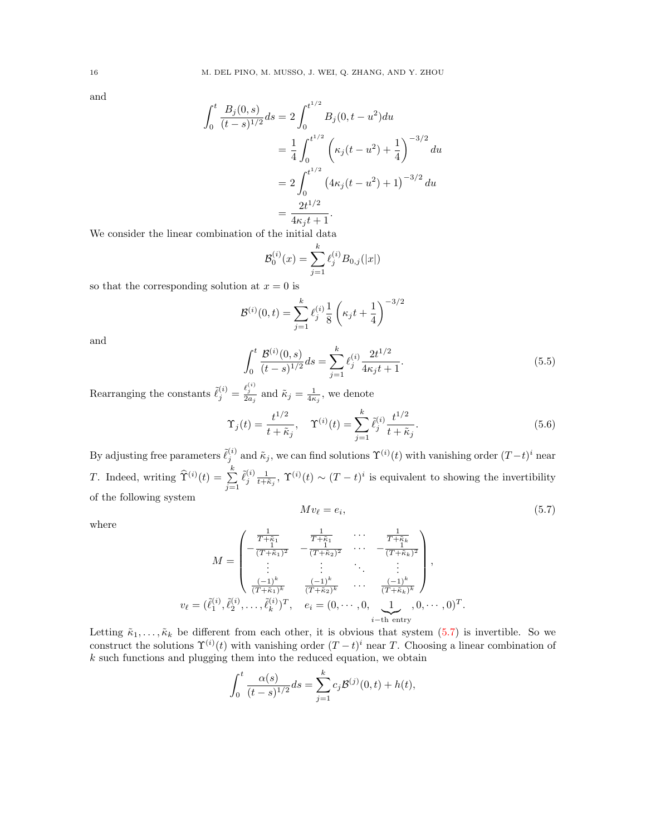and

$$
\int_0^t \frac{B_j(0,s)}{(t-s)^{1/2}} ds = 2 \int_0^{t^{1/2}} B_j(0,t-u^2) du
$$
  
=  $\frac{1}{4} \int_0^{t^{1/2}} \left( \kappa_j(t-u^2) + \frac{1}{4} \right)^{-3/2} du$   
=  $2 \int_0^{t^{1/2}} \left( 4\kappa_j(t-u^2) + 1 \right)^{-3/2} du$   
=  $\frac{2t^{1/2}}{4\kappa_j t + 1}.$ 

We consider the linear combination of the initial data

$$
\mathcal{B}_0^{(i)}(x) = \sum_{j=1}^k \ell_j^{(i)} B_{0,j}(|x|)
$$

so that the corresponding solution at  $x = 0$  is

$$
\mathcal{B}^{(i)}(0,t) = \sum_{j=1}^{k} \ell_j^{(i)} \frac{1}{8} \left(\kappa_j t + \frac{1}{4}\right)^{-3/2}
$$

and

where

<span id="page-15-1"></span>
$$
\int_0^t \frac{\mathcal{B}^{(i)}(0,s)}{(t-s)^{1/2}} ds = \sum_{j=1}^k \ell_j^{(i)} \frac{2t^{1/2}}{4\kappa_j t + 1}.
$$
\n(5.5)

Rearranging the constants  $\tilde{\ell}_j^{(i)} = \frac{\ell_j^{(i)}}{2a_j}$  and  $\tilde{\kappa}_j = \frac{1}{4\kappa_j}$ , we denote

<span id="page-15-2"></span>
$$
\Upsilon_j(t) = \frac{t^{1/2}}{t + \tilde{\kappa}_j}, \quad \Upsilon^{(i)}(t) = \sum_{j=1}^k \tilde{\ell}_j^{(i)} \frac{t^{1/2}}{t + \tilde{\kappa}_j}.
$$
\n(5.6)

<span id="page-15-0"></span> $(5.7)$ 

By adjusting free parameters  $\tilde{\ell}_j^{(i)}$  and  $\tilde{\kappa}_j$ , we can find solutions  $\Upsilon^{(i)}(t)$  with vanishing order  $(T-t)^i$  near T. Indeed, writing  $\widehat{\Upsilon}^{(i)}(t) = \sum_{i=1}^{k}$  $j=1$  $\tilde{\ell}_j^{(i)} \frac{1}{t+\tilde{\kappa}_j}$ ,  $\Upsilon^{(i)}(t) \sim (T-t)^i$  is equivalent to showing the invertibility of the following system  $Mv_{\ell} = e_i$ 

$$
M = \begin{pmatrix} \frac{1}{T + \tilde{\kappa}_1} & \frac{1}{T + \tilde{\kappa}_1} & \cdots & \frac{1}{T + \tilde{\kappa}_k} \\ -\frac{1}{(T + \tilde{\kappa}_1)^2} & -\frac{1}{(T + \tilde{\kappa}_2)^2} & \cdots & -\frac{1}{(T + \tilde{\kappa}_k)^2} \\ \vdots & \vdots & \ddots & \vdots \\ \frac{(-1)^k}{(T + \tilde{\kappa}_1)^k} & \frac{(-1)^k}{(T + \tilde{\kappa}_2)^k} & \cdots & \frac{(-1)^k}{(T + \tilde{\kappa}_k)^k} \end{pmatrix},
$$
  

$$
v_{\ell} = (\tilde{\ell}_1^{(i)}, \tilde{\ell}_2^{(i)}, \dots, \tilde{\ell}_k^{(i)})^T, \quad e_i = (0, \dots, 0, \underbrace{1}_{i-\text{th entry}}, 0, \dots, 0)^T.
$$

Letting  $\tilde{\kappa}_1, \ldots, \tilde{\kappa}_k$  be different from each other, it is obvious that system [\(5.7\)](#page-15-0) is invertible. So we construct the solutions  $\Upsilon^{(i)}(t)$  with vanishing order  $(T-t)^i$  near T. Choosing a linear combination of  $k$  such functions and plugging them into the reduced equation, we obtain

$$
\int_0^t \frac{\alpha(s)}{(t-s)^{1/2}} ds = \sum_{j=1}^k c_j \mathcal{B}^{(j)}(0, t) + h(t),
$$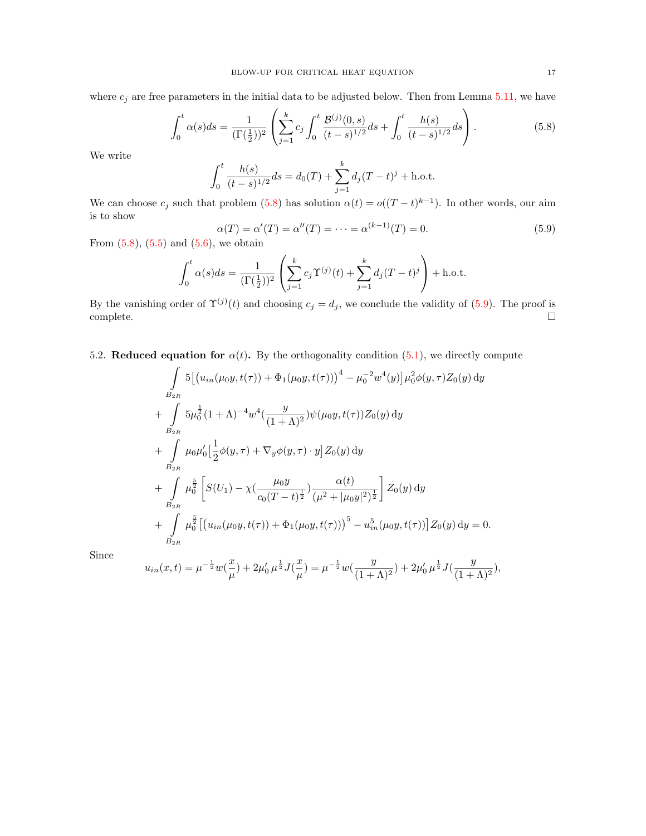where  $c_j$  are free parameters in the initial data to be adjusted below. Then from Lemma [5.11,](#page-20-0) we have

<span id="page-16-0"></span>
$$
\int_0^t \alpha(s)ds = \frac{1}{(\Gamma(\frac{1}{2}))^2} \left( \sum_{j=1}^k c_j \int_0^t \frac{\mathcal{B}^{(j)}(0,s)}{(t-s)^{1/2}} ds + \int_0^t \frac{h(s)}{(t-s)^{1/2}} ds \right).
$$
(5.8)

We write

$$
\int_0^t \frac{h(s)}{(t-s)^{1/2}} ds = d_0(T) + \sum_{j=1}^k d_j (T-t)^j + \text{h.o.t.}
$$

We can choose  $c_j$  such that problem [\(5.8\)](#page-16-0) has solution  $\alpha(t) = o((T-t)^{k-1})$ . In other words, our aim is to show

<span id="page-16-1"></span>
$$
\alpha(T) = \alpha'(T) = \alpha''(T) = \dots = \alpha^{(k-1)}(T) = 0.
$$
\n(5.9)

From  $(5.8)$ ,  $(5.5)$  and  $(5.6)$ , we obtain

$$
\int_0^t \alpha(s)ds = \frac{1}{(\Gamma(\frac{1}{2}))^2} \left( \sum_{j=1}^k c_j \Upsilon^{(j)}(t) + \sum_{j=1}^k d_j (T-t)^j \right) + \text{h.o.t.}
$$

By the vanishing order of  $\Upsilon^{(j)}(t)$  and choosing  $c_j = d_j$ , we conclude the validity of [\(5.9\)](#page-16-1). The proof is  $\Box$ complete.  $\Box$ 

5.2. Reduced equation for  $\alpha(t)$ . By the orthogonality condition [\(5.1\)](#page-14-0), we directly compute

$$
\int_{B_{2R}} 5\left[\left(u_{in}(\mu_{0}y, t(\tau)) + \Phi_{1}(\mu_{0}y, t(\tau))\right)^{4} - \mu_{0}^{-2}w^{4}(y)\right]\mu_{0}^{2}\phi(y, \tau)Z_{0}(y) dy \n+ \int_{B_{2R}} 5\mu_{0}^{\frac{1}{2}}(1+\Lambda)^{-4}w^{4}(\frac{y}{(1+\Lambda)^{2}})\psi(\mu_{0}y, t(\tau))Z_{0}(y) dy \n+ \int_{B_{2R}} \mu_{0}\mu_{0}'\left[\frac{1}{2}\phi(y, \tau) + \nabla_{y}\phi(y, \tau) \cdot y\right]Z_{0}(y) dy \n+ \int_{B_{2R}} \mu_{0}^{\frac{5}{2}}\left[S(U_{1}) - \chi\left(\frac{\mu_{0}y}{c_{0}(T-t)^{\frac{1}{2}}}\right)\frac{\alpha(t)}{(\mu^{2} + |\mu_{0}y|^{2})^{\frac{1}{2}}}\right]Z_{0}(y) dy \n+ \int_{B_{2R}} \mu_{0}^{\frac{5}{2}}\left[\left(u_{in}(\mu_{0}y, t(\tau)) + \Phi_{1}(\mu_{0}y, t(\tau))\right)^{5} - u_{in}^{5}(\mu_{0}y, t(\tau))\right]Z_{0}(y) dy = 0.
$$

Since

$$
u_{in}(x,t) = \mu^{-\frac{1}{2}} w(\frac{x}{\mu}) + 2\mu_0' \mu^{\frac{1}{2}} J(\frac{x}{\mu}) = \mu^{-\frac{1}{2}} w(\frac{y}{(1+\Lambda)^2}) + 2\mu_0' \mu^{\frac{1}{2}} J(\frac{y}{(1+\Lambda)^2}),
$$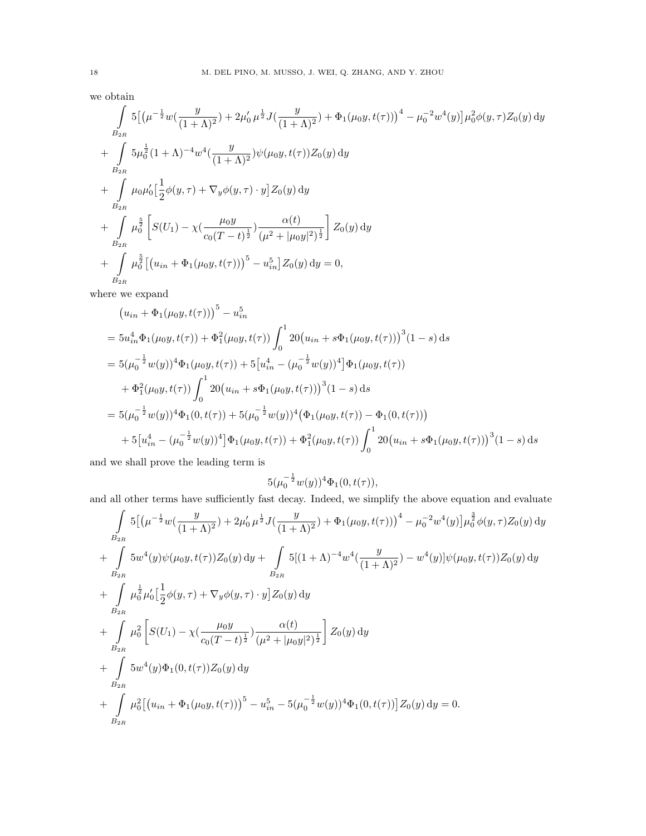we obtain

$$
\int_{B_{2R}} 5\left[ \left(\mu^{-\frac{1}{2}} w\left(\frac{y}{(1+\Lambda)^2}\right) + 2\mu_0' \mu^{\frac{1}{2}} J\left(\frac{y}{(1+\Lambda)^2}\right) + \Phi_1(\mu_0 y, t(\tau)) \right)^4 - \mu_0^{-2} w^4(y) \right] \mu_0^2 \phi(y, \tau) Z_0(y) dy \n+ \int_{B_{2R}} 5\mu_0^{\frac{1}{2}} (1+\Lambda)^{-4} w^4 \left( \frac{y}{(1+\Lambda)^2} \right) \psi(\mu_0 y, t(\tau)) Z_0(y) dy \n+ \int_{B_{2R}} \mu_0 \mu_0' \left[ \frac{1}{2} \phi(y, \tau) + \nabla_y \phi(y, \tau) \cdot y \right] Z_0(y) dy \n+ \int_{B_{2R}} \mu_0^{\frac{5}{2}} \left[ S(U_1) - \chi \left( \frac{\mu_0 y}{c_0 (T-t)^{\frac{1}{2}}} \right) \frac{\alpha(t)}{(\mu^2 + |\mu_0 y|^2)^{\frac{1}{2}}} \right] Z_0(y) dy \n+ \int_{B_{2R}} \mu_0^{\frac{5}{2}} \left[ (u_{in} + \Phi_1(\mu_0 y, t(\tau)))^5 - u_{in}^5 \right] Z_0(y) dy = 0,
$$

where we expand

$$
(u_{in} + \Phi_1(\mu_0 y, t(\tau)))^5 - u_{in}^5
$$
  
=  $5u_{in}^4 \Phi_1(\mu_0 y, t(\tau)) + \Phi_1^2(\mu_0 y, t(\tau)) \int_0^1 20(u_{in} + s\Phi_1(\mu_0 y, t(\tau)))^3 (1 - s) ds$   
=  $5(\mu_0^{-\frac{1}{2}} w(y))^4 \Phi_1(\mu_0 y, t(\tau)) + 5[u_{in}^4 - (\mu_0^{-\frac{1}{2}} w(y))^4] \Phi_1(\mu_0 y, t(\tau))$   
+  $\Phi_1^2(\mu_0 y, t(\tau)) \int_0^1 20(u_{in} + s\Phi_1(\mu_0 y, t(\tau)))^3 (1 - s) ds$   
=  $5(\mu_0^{-\frac{1}{2}} w(y))^4 \Phi_1(0, t(\tau)) + 5(\mu_0^{-\frac{1}{2}} w(y))^4 (\Phi_1(\mu_0 y, t(\tau)) - \Phi_1(0, t(\tau)))$   
+  $5[u_{in}^4 - (\mu_0^{-\frac{1}{2}} w(y))^4] \Phi_1(\mu_0 y, t(\tau)) + \Phi_1^2(\mu_0 y, t(\tau)) \int_0^1 20(u_{in} + s\Phi_1(\mu_0 y, t(\tau)))^3 (1 - s) ds$ 

and we shall prove the leading term is

$$
5(\mu_0^{-\frac{1}{2}}w(y))^4\Phi_1(0,t(\tau)),
$$

and all other terms have sufficiently fast decay. Indeed, we simplify the above equation and evaluate

$$
\int_{B_{2R}} 5\left[ \left(\mu^{-\frac{1}{2}} w\left(\frac{y}{(1+\Lambda)^2}\right) + 2\mu_0' \mu^{\frac{1}{2}} J\left(\frac{y}{(1+\Lambda)^2}\right) + \Phi_1(\mu_0 y, t(\tau)) \right)^4 - \mu_0^{-2} w^4(y) \right] \mu_0^{\frac{3}{2}} \phi(y, \tau) Z_0(y) dy \n+ \int_{B_{2R}} 5 w^4(y) \psi(\mu_0 y, t(\tau)) Z_0(y) dy + \int_{B_{2R}} 5[(1+\Lambda)^{-4} w^4\left(\frac{y}{(1+\Lambda)^2}\right) - w^4(y)] \psi(\mu_0 y, t(\tau)) Z_0(y) dy \n+ \int_{B_{2R}} \mu_0^{\frac{1}{2}} \mu_0' \left[ \frac{1}{2} \phi(y, \tau) + \nabla_y \phi(y, \tau) \cdot y \right] Z_0(y) dy \n+ \int_{B_{2R}} \mu_0^2 \left[ S(U_1) - \chi\left(\frac{\mu_0 y}{c_0 (T-t)^{\frac{1}{2}}}\right) \frac{\alpha(t)}{(\mu^2 + |\mu_0 y|^2)^{\frac{1}{2}}} \right] Z_0(y) dy \n+ \int_{B_{2R}} 5 w^4(y) \Phi_1(0, t(\tau)) Z_0(y) dy \n+ \int_{B_{2R}} \mu_0^2 \left[ \left(u_{in} + \Phi_1(\mu_0 y, t(\tau))\right)^5 - u_{in}^5 - 5(\mu_0^{-\frac{1}{2}} w(y))^4 \Phi_1(0, t(\tau)) \right] Z_0(y) dy = 0.
$$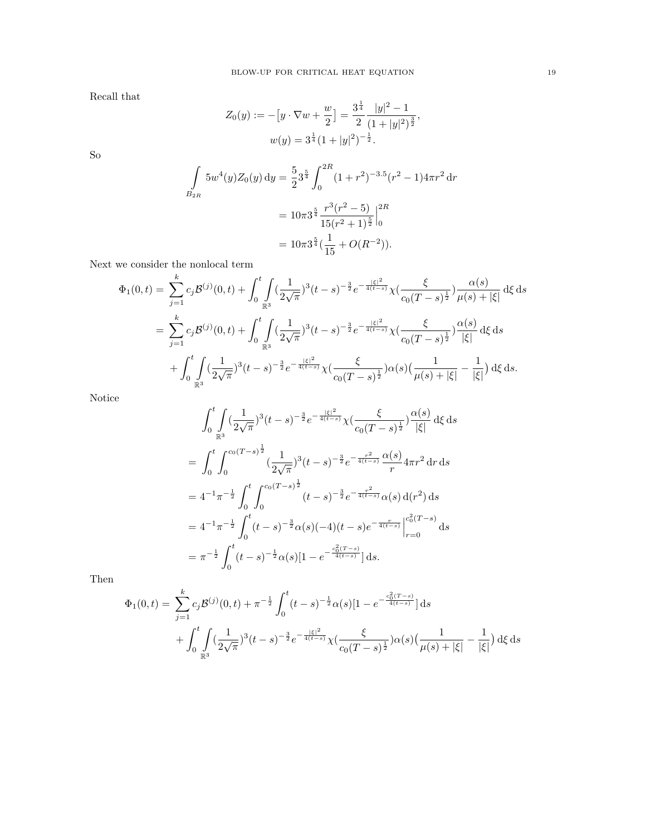Recall that

$$
Z_0(y) := -[y \cdot \nabla w + \frac{w}{2}] = \frac{3^{\frac{1}{4}}}{2} \frac{|y|^2 - 1}{(1 + |y|^2)^{\frac{3}{2}}},
$$
  

$$
w(y) = 3^{\frac{1}{4}} (1 + |y|^2)^{-\frac{1}{2}}.
$$

So

$$
\int_{B_{2R}} 5w^4(y)Z_0(y) \, dy = \frac{5}{2} 3^{\frac{5}{4}} \int_0^{2R} (1+r^2)^{-3.5} (r^2-1) 4\pi r^2 \, dr
$$

$$
= 10\pi 3^{\frac{5}{4}} \frac{r^3 (r^2-5)}{15(r^2+1)^{\frac{5}{2}}} \Big|_0^{2R}
$$

$$
= 10\pi 3^{\frac{5}{4}} (\frac{1}{15} + O(R^{-2})).
$$

Next we consider the nonlocal term

$$
\Phi_1(0,t) = \sum_{j=1}^k c_j \mathcal{B}^{(j)}(0,t) + \int_0^t \int_{\mathbb{R}^3} \left(\frac{1}{2\sqrt{\pi}}\right)^3 (t-s)^{-\frac{3}{2}} e^{-\frac{|\xi|^2}{4(t-s)}} \chi\left(\frac{\xi}{c_0(T-s)^{\frac{1}{2}}}\right) \frac{\alpha(s)}{\mu(s) + |\xi|} d\xi ds
$$
  
\n
$$
= \sum_{j=1}^k c_j \mathcal{B}^{(j)}(0,t) + \int_0^t \int_{\mathbb{R}^3} \left(\frac{1}{2\sqrt{\pi}}\right)^3 (t-s)^{-\frac{3}{2}} e^{-\frac{|\xi|^2}{4(t-s)}} \chi\left(\frac{\xi}{c_0(T-s)^{\frac{1}{2}}}\right) \frac{\alpha(s)}{|\xi|} d\xi ds
$$
  
\n
$$
+ \int_0^t \int_{\mathbb{R}^3} \left(\frac{1}{2\sqrt{\pi}}\right)^3 (t-s)^{-\frac{3}{2}} e^{-\frac{|\xi|^2}{4(t-s)}} \chi\left(\frac{\xi}{c_0(T-s)^{\frac{1}{2}}}\right) \alpha(s) \left(\frac{1}{\mu(s) + |\xi|} - \frac{1}{|\xi|}\right) d\xi ds.
$$

Notice

$$
\int_{0}^{t} \int_{\mathbb{R}^{3}} (\frac{1}{2\sqrt{\pi}})^{3} (t-s)^{-\frac{3}{2}} e^{-\frac{|\xi|^{2}}{4(t-s)}} \chi(\frac{\xi}{c_{0}(T-s)^{\frac{1}{2}}}) \frac{\alpha(s)}{|\xi|} d\xi ds
$$
  
\n
$$
= \int_{0}^{t} \int_{0}^{c_{0}(T-s)^{\frac{1}{2}}} (\frac{1}{2\sqrt{\pi}})^{3} (t-s)^{-\frac{3}{2}} e^{-\frac{r^{2}}{4(t-s)}} \frac{\alpha(s)}{r} 4\pi r^{2} dr ds
$$
  
\n
$$
= 4^{-1} \pi^{-\frac{1}{2}} \int_{0}^{t} \int_{0}^{c_{0}(T-s)^{\frac{1}{2}}} (t-s)^{-\frac{3}{2}} e^{-\frac{r^{2}}{4(t-s)}} \alpha(s) d(r^{2}) ds
$$
  
\n
$$
= 4^{-1} \pi^{-\frac{1}{2}} \int_{0}^{t} (t-s)^{-\frac{3}{2}} \alpha(s) (-4) (t-s) e^{-\frac{r}{4(t-s)}} \Big|_{r=0}^{c_{0}^{2}(T-s)} ds
$$
  
\n
$$
= \pi^{-\frac{1}{2}} \int_{0}^{t} (t-s)^{-\frac{1}{2}} \alpha(s) [1 - e^{-\frac{c_{0}^{2}(T-s)}{4(t-s)}}] ds.
$$

Then

$$
\Phi_1(0,t) = \sum_{j=1}^k c_j \mathcal{B}^{(j)}(0,t) + \pi^{-\frac{1}{2}} \int_0^t (t-s)^{-\frac{1}{2}} \alpha(s) [1 - e^{-\frac{c_0^2 (T-s)}{4(t-s)}}] ds + \int_0^t \int_{\mathbb{R}^3} (\frac{1}{2\sqrt{\pi}})^3 (t-s)^{-\frac{3}{2}} e^{-\frac{|\xi|^2}{4(t-s)}} \chi(\frac{\xi}{c_0 (T-s)^{\frac{1}{2}}}) \alpha(s) (\frac{1}{\mu(s) + |\xi|} - \frac{1}{|\xi|}) d\xi ds
$$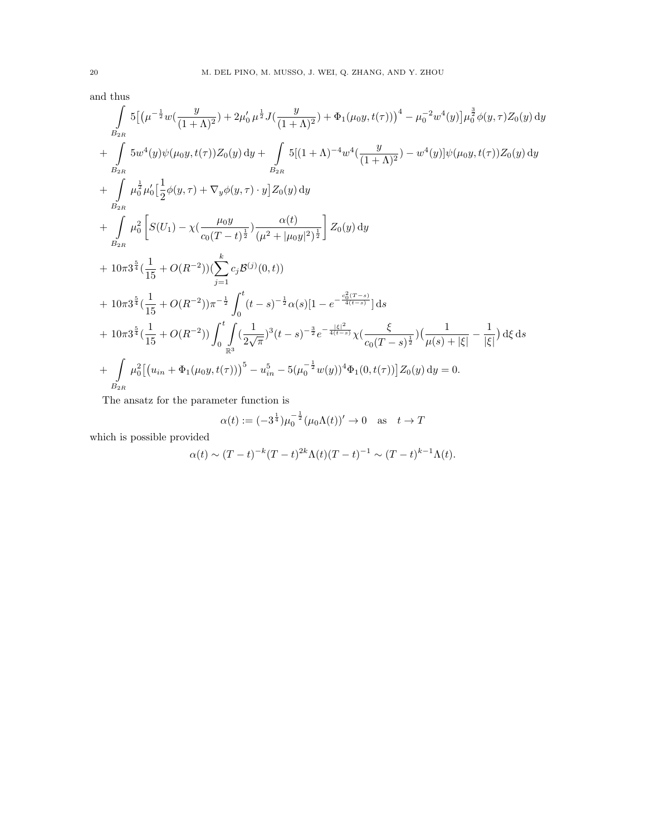and thus

$$
\int_{B_{2R}} 5\left[ \left(\mu^{-\frac{1}{2}} w\left(\frac{y}{(1+\Lambda)^2}\right) + 2\mu_0' \mu^{\frac{1}{2}} J\left(\frac{y}{(1+\Lambda)^2}\right) + \Phi_1(\mu_0 y, t(\tau)) \right)^4 - \mu_0^{-2} w^4(y) \right] \mu_0^{\frac{3}{2}} \phi(y, \tau) Z_0(y) dy \n+ \int_{B_{2R}} 5 w^4(y) \psi(\mu_0 y, t(\tau)) Z_0(y) dy + \int_{B_{2R}} 5[(1+\Lambda)^{-4} w^4(\frac{y}{(1+\Lambda)^2}) - w^4(y)] \psi(\mu_0 y, t(\tau)) Z_0(y) dy \n+ \int_{B_{2R}} \mu_0^{\frac{1}{2}} \mu_0' [\frac{1}{2} \phi(y, \tau) + \nabla_y \phi(y, \tau) \cdot y] Z_0(y) dy \n+ \int_{B_{2R}} \mu_0^2 \left[ S(U_1) - \chi(\frac{\mu_0 y}{c_0 (T-t)^{\frac{1}{2}}} \right] \frac{\alpha(t)}{(\mu^2 + |\mu_0 y|^2)^{\frac{1}{2}}} \right] Z_0(y) dy \n+ 10\pi 3^{\frac{5}{4}} (\frac{1}{15} + O(R^{-2})) (\sum_{j=1}^k c_j \mathcal{B}^{(j)}(0, t)) \n+ 10\pi 3^{\frac{5}{4}} (\frac{1}{15} + O(R^{-2})) \pi^{-\frac{1}{2}} \int_0^t (t - s)^{-\frac{1}{2}} \alpha(s) [1 - e^{-\frac{c_0^2 (T-s)}{4(t-s)}}] ds \n+ 10\pi 3^{\frac{5}{4}} (\frac{1}{15} + O(R^{-2})) \int_0^t \int_0^t (\frac{1}{2\sqrt{\pi}})^3 (t - s)^{-\frac{3}{2}} e^{-\frac{1}{4(t-s)}} \chi(\frac{\xi}{c_0 (T-s)^{\frac{1}{2}}} ) (\frac{1}{\mu(s) + |\xi|} - \frac{1}{|\xi|}) d\xi ds \n+ \int_{B_{2R}} \mu_0^2 [(u_{in} + \Phi_1(\mu_0 y, t(\tau)))^5 - u_{in}^5 - 5(\mu_0^{-\frac{1}{2}} w(y))^4 \Phi_1(0, t(\tau))] Z_0(y) dy =
$$

The ansatz for the parameter function is

$$
\alpha(t) := (-3^{\frac{1}{4}})\mu_0^{-\frac{1}{2}}(\mu_0 \Lambda(t))' \to 0 \quad \text{as} \quad t \to T
$$

which is possible provided

$$
\alpha(t) \sim (T-t)^{-k}(T-t)^{2k}\Lambda(t)(T-t)^{-1} \sim (T-t)^{k-1}\Lambda(t).
$$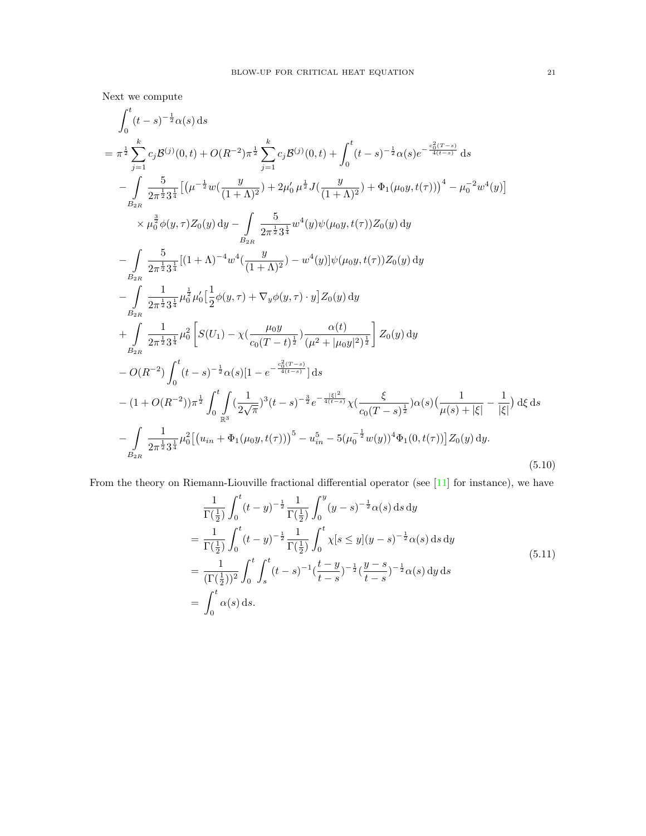Next we compute

$$
\int_{0}^{t} (t-s)^{-\frac{1}{2}} \alpha(s) ds
$$
\n
$$
= \pi^{\frac{1}{2}} \sum_{j=1}^{k} c_{j} \mathcal{B}^{(j)}(0, t) + O(R^{-2}) \pi^{\frac{1}{2}} \sum_{j=1}^{k} c_{j} \mathcal{B}^{(j)}(0, t) + \int_{0}^{t} (t-s)^{-\frac{1}{2}} \alpha(s) e^{-\frac{c_{0}^{2}(T-s)}{4(t-s)}} ds
$$
\n
$$
- \int_{B_{2R}} \frac{5}{2\pi^{\frac{1}{2}} 3^{\frac{1}{4}}} \left[ (\mu^{-\frac{1}{2}} w(\frac{y}{(1+\Lambda)^{2}}) + 2\mu'_{0} \mu^{\frac{1}{2}} J(\frac{y}{(1+\Lambda)^{2}}) + \Phi_{1}(\mu_{0}y, t(\tau)))^{4} - \mu_{0}^{-2} w^{4}(y) \right]
$$
\n
$$
\times \mu_{0}^{\frac{3}{2}} \phi(y, \tau) Z_{0}(y) dy - \int_{B_{2R}} \frac{5}{2\pi^{\frac{1}{2}} 3^{\frac{1}{4}}} w^{4}(y) \psi(\mu_{0}y, t(\tau)) Z_{0}(y) dy
$$
\n
$$
- \int_{B_{2R}} \frac{5}{2\pi^{\frac{1}{2}} 3^{\frac{1}{4}}} \left[ (1+\Lambda)^{-4} w^{4}(\frac{y}{(1+\Lambda)^{2}}) - w^{4}(y) \right] \psi(\mu_{0}y, t(\tau)) Z_{0}(y) dy
$$
\n
$$
+ \int_{B_{2R}} \frac{1}{2\pi^{\frac{1}{2}} 3^{\frac{1}{4}}} \mu_{0}^{2} \mu_{0}^{2} [\frac{1}{2} \phi(y, \tau) + \nabla_{y} \phi(y, \tau) \cdot y] Z_{0}(y) dy
$$
\n
$$
+ \int_{B_{2R}} \frac{1}{2\pi^{\frac{1}{2}} 3^{\frac{1}{4}}} \mu_{0}^{2} \left[ S(U_{1}) - \chi(\frac{\mu_{0}y}{c_{0}(T-t)^{\frac{1}{2}}})(\mu^{2} + |\mu_{0}y|^{2})^{\frac{1}{2}} \right] Z_{0}(y) dy
$$
\n
$$
- O(R^{-2}) \int_{0}^{t}
$$

<span id="page-20-0"></span>From the theory on Riemann-Liouville fractional differential operator (see [\[11\]](#page-41-27) for instance), we have

$$
\frac{1}{\Gamma(\frac{1}{2})} \int_0^t (t - y)^{-\frac{1}{2}} \frac{1}{\Gamma(\frac{1}{2})} \int_0^y (y - s)^{-\frac{1}{2}} \alpha(s) ds dy
$$
\n
$$
= \frac{1}{\Gamma(\frac{1}{2})} \int_0^t (t - y)^{-\frac{1}{2}} \frac{1}{\Gamma(\frac{1}{2})} \int_0^t \chi[s \le y](y - s)^{-\frac{1}{2}} \alpha(s) ds dy
$$
\n
$$
= \frac{1}{(\Gamma(\frac{1}{2}))^2} \int_0^t \int_s^t (t - s)^{-1} (\frac{t - y}{t - s})^{-\frac{1}{2}} (\frac{y - s}{t - s})^{-\frac{1}{2}} \alpha(s) dy ds
$$
\n
$$
= \int_0^t \alpha(s) ds.
$$
\n(5.11)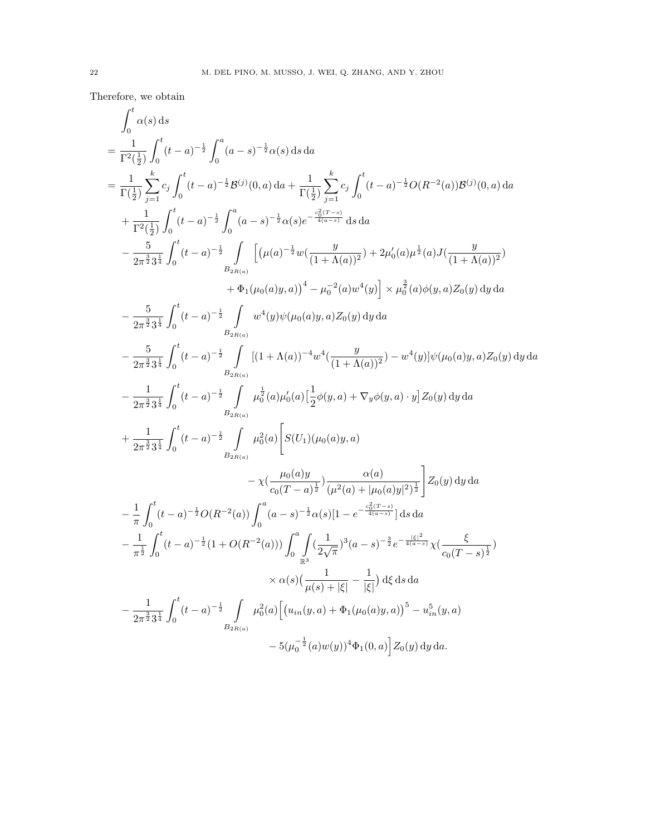Therefore, we obtain

$$
\int_{0}^{t} \alpha(s) ds
$$
\n
$$
= \frac{1}{\Gamma^{2}(\frac{1}{2})} \int_{0}^{t} (t-a)^{-\frac{1}{2}} \int_{0}^{a} (a-s)^{-\frac{1}{2}} \alpha(s) ds da
$$
\n
$$
= \frac{1}{\Gamma(\frac{1}{2})} \sum_{j=1}^{k} c_{j} \int_{0}^{t} (t-a)^{-\frac{1}{2}} B^{(j)}(0, a) da + \frac{1}{\Gamma(\frac{1}{2})} \sum_{j=1}^{k} c_{j} \int_{0}^{t} (t-a)^{-\frac{1}{2}} O(R^{-2}(a)) B^{(j)}(0, a) da
$$
\n
$$
+ \frac{1}{\Gamma^{2}(\frac{1}{2})} \int_{0}^{t} (t-a)^{-\frac{1}{2}} \int_{0}^{a} (a-s)^{-\frac{1}{2}} \alpha(s) e^{-\frac{c_{3}^{2}(\Gamma^{2}-s)}{2\pi(s-\tau)}} ds da
$$
\n
$$
- \frac{5}{2\pi^{\frac{3}{2}} 3^{\frac{1}{2}}} \int_{0}^{t} (t-a)^{-\frac{1}{2}} \int_{B_{2R(\alpha)}} \left[ (\mu(a)^{-\frac{1}{2}} w(\frac{y}{(1+\Lambda(a))^{2}}) + 2\mu_{0}'(a)\mu^{\frac{1}{2}}(a)J(\frac{y}{(1+\Lambda(a))^{2}}) + 4\mu_{1}(u_{0}(a)y, a) \right] d\mu d\mu
$$
\n
$$
- \frac{5}{2\pi^{\frac{3}{2}} 3^{\frac{1}{2}}} \int_{0}^{t} (t-a)^{-\frac{1}{2}} \int_{B_{2R(\alpha)}} u^{4}(y) \psi(\mu_{0}(a)y, a) Z_{0}(y) dy da
$$
\n
$$
- \frac{5}{2\pi^{\frac{3}{2}} 3^{\frac{1}{2}}} \int_{0}^{t} (t-a)^{-\frac{1}{2}} \int_{B_{2R(\alpha)}} (1 + \Lambda(a))^{-4} w^{4}(\frac{y}{(1+\Lambda(a))^{2}}) - w^{4}(y) \psi(\mu_{0}(a)y, a) Z_{0}(y) dy da
$$
\n
$$
- \frac{1}{2\pi^{\frac{3}{2}} 3^{\frac{1}{2}}} \int_{0}^{t} (t-a)^{-\frac
$$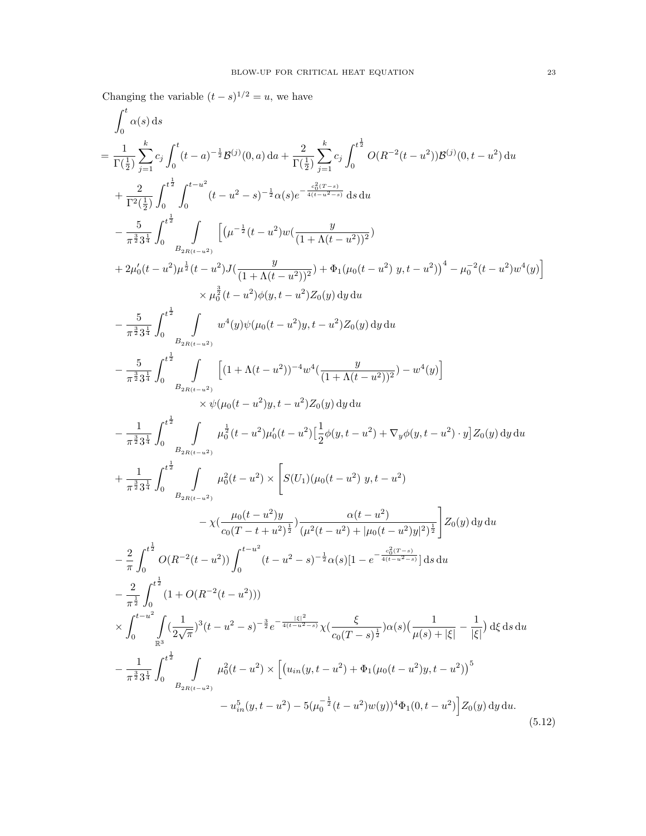Changing the variable  $(t-s)^{1/2} = u$ , we have

<span id="page-22-0"></span>
$$
\int_{0}^{t} \alpha(s) ds
$$
\n
$$
= \frac{1}{\Gamma(\frac{1}{2})} \sum_{j=1}^{k} c_{j} \int_{0}^{t} (t-a)^{-\frac{1}{2}} B^{(j)}(0, a) da + \frac{2}{\Gamma(\frac{1}{2})} \sum_{j=1}^{k} c_{j} \int_{0}^{t^{\frac{1}{2}}} O(R^{-2}(t-u^{2})) B^{(j)}(0, t-u^{2}) du
$$
\n
$$
+ \frac{2}{\Gamma^{2}(\frac{1}{2})} \int_{0}^{t^{\frac{1}{2}}} \int_{0}^{t-u^{2}} (t-u^{2} - s)^{-\frac{1}{2}} \alpha(s) e^{-\frac{c_{0}^{2}(t-u^{2})}{4(t-u^{2}-s)}} ds du
$$
\n
$$
- \frac{5}{\pi^{\frac{5}{2}} 3^{\frac{1}{2}}} \int_{0}^{t^{\frac{1}{2}}} \int_{B_{2R(t-u^{2})}}^{t^{2}} \left[ (\mu^{-\frac{1}{2}} (t-u^{2}) w (\frac{y}{(1+A(t-u^{2}))^{2}}) + \Phi_{1}(\mu_{0}(t-u^{2}) y, t-u^{2}))^{4} - \mu_{0}^{-2}(t-u^{2}) w^{4}(y) \right]
$$
\n
$$
\times \mu_{0}^{\frac{1}{2}} (t-u^{2}) \rho(y, t-u^{2}) \chi_{0}(y) dy du
$$
\n
$$
- \frac{5}{\pi^{\frac{5}{2}} 3^{\frac{1}{2}}} \int_{0}^{t^{\frac{1}{2}}} \int_{B_{2R(t-u^{2})}}^{u^{4}(y) \psi(\mu_{0}(t-u^{2}) y, t-u^{2}) Z_{0}(y) dy du
$$
\n
$$
- \frac{5}{\pi^{\frac{5}{2}} 3^{\frac{1}{2}}} \int_{0}^{t^{\frac{1}{2}}} \int_{B_{2R(t-u^{2})}}^{u^{4}(y) \psi(\mu_{0}(t-u^{2}) y, t-u^{2}) Z_{0}(y) dy du
$$
\n
$$
- \frac{5}{\pi^{\frac{5}{2}} 3^{\frac{1}{2}}} \int_{0}^{t^{\frac{1}{2}}} \int_{B_{2R(t-u^{2})}}^{u^{4}(y) \psi(\mu_{0}(t-u^{2})) t-u^{2}) Z_{0}(y) dy du
$$
\n<math display="block</math>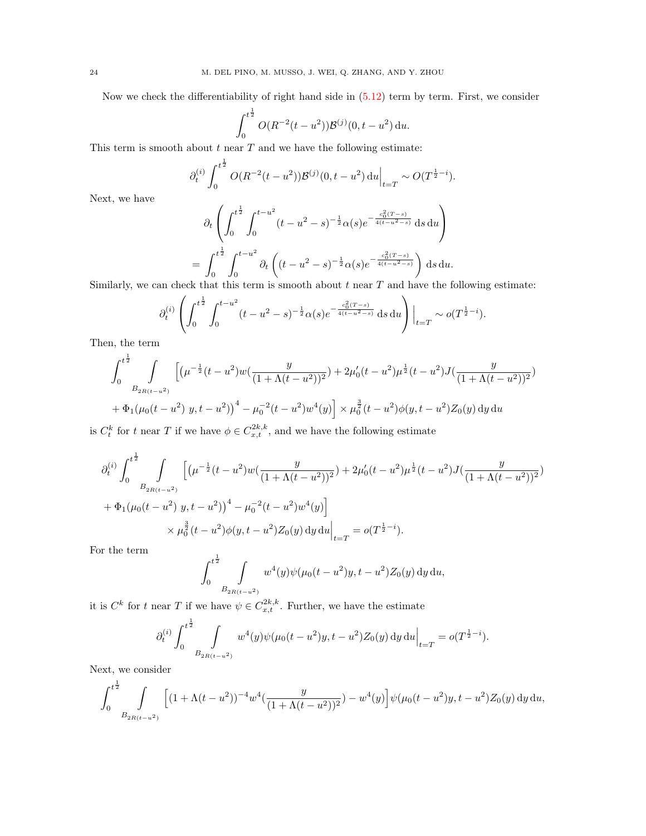Now we check the differentiability of right hand side in [\(5.12\)](#page-22-0) term by term. First, we consider

$$
\int_0^{t^{\frac{1}{2}}} O(R^{-2}(t-u^2)) \mathcal{B}^{(j)}(0,t-u^2) du.
$$

This term is smooth about  $t$  near  $T$  and we have the following estimate:

$$
\partial_t^{(i)} \int_0^{t^{\frac{1}{2}}} O(R^{-2}(t-u^2)) \mathcal{B}^{(j)}(0, t-u^2) du \Big|_{t=T} \sim O(T^{\frac{1}{2}-i}).
$$

Next, we have

$$
\partial_t \left( \int_0^{t^{\frac{1}{2}}} \int_0^{t-u^2} (t-u^2-s)^{-\frac{1}{2}} \alpha(s) e^{-\frac{c_0^2 (T-s)}{4(t-u^2-s)}} ds du \right)
$$
  
= 
$$
\int_0^{t^{\frac{1}{2}}} \int_0^{t-u^2} \partial_t \left( (t-u^2-s)^{-\frac{1}{2}} \alpha(s) e^{-\frac{c_0^2 (T-s)}{4(t-u^2-s)}} \right) ds du.
$$

Similarly, we can check that this term is smooth about  $t$  near  $T$  and have the following estimate:

$$
\partial_t^{(i)} \left( \int_0^{t^{\frac{1}{2}}} \int_0^{t-u^2} (t-u^2-s)^{-\frac{1}{2}} \alpha(s) e^{-\frac{c_0^2 (T-s)}{4(t-u^2-s)}} ds du \right) \Big|_{t=T} \sim o(T^{\frac{1}{2}-i}).
$$

Then, the term

$$
\int_0^{t^{\frac{1}{2}}} \int_{B_{2R(t-u^2)}} \left[ \left( \mu^{-\frac{1}{2}} (t-u^2) w \left( \frac{y}{(1+\Lambda(t-u^2))^2} \right) + 2 \mu_0' (t-u^2) \mu^{\frac{1}{2}} (t-u^2) J \left( \frac{y}{(1+\Lambda(t-u^2))^2} \right) \right) \right] + \Phi_1 (\mu_0 (t-u^2) y, t-u^2) \Big)^4 - \mu_0^{-2} (t-u^2) w^4(y) \Big] \times \mu_0^{\frac{3}{2}} (t-u^2) \phi(y, t-u^2) Z_0(y) \, dy \, du
$$

is  $C_t^k$  for t near T if we have  $\phi \in C_{x,t}^{2k,k}$ , and we have the following estimate

$$
\partial_t^{(i)} \int_0^{t^{\frac{1}{2}}} \int \left[ \left( \mu^{-\frac{1}{2}} (t - u^2) w \left( \frac{y}{(1 + \Lambda (t - u^2))^2} \right) + 2 \mu_0' (t - u^2) \mu^{\frac{1}{2}} (t - u^2) J \left( \frac{y}{(1 + \Lambda (t - u^2))^2} \right) \right) \right] \n+ \Phi_1(\mu_0 (t - u^2) y, t - u^2) \Big)^4 - \mu_0^{-2} (t - u^2) w^4(y) \Big] \n\times \mu_0^{\frac{3}{2}} (t - u^2) \phi(y, t - u^2) Z_0(y) \, dy \, du \Big|_{t=T} = o(T^{\frac{1}{2} - i}).
$$

For the term

$$
\int_0^{t^{\frac{1}{2}}} \int_{B_{2R(t-u^2)}} w^4(y) \psi(\mu_0(t-u^2)y, t-u^2) Z_0(y) \, dy \, du,
$$

it is  $C^k$  for t near T if we have  $\psi \in C_{x,t}^{2k,k}$ . Further, we have the estimate

$$
\partial_t^{(i)} \int_0^{t^{\frac{1}{2}}} \int_{B_{2R(t-u^2)}} w^4(y) \psi(\mu_0(t-u^2)y, t-u^2) Z_0(y) \, dy \, du \Big|_{t=T} = o(T^{\frac{1}{2}-i}).
$$

Next, we consider

$$
\int_0^{t^{\frac{1}{2}}} \int\limits_{B_{2R(t-u^2)}} \Big[ (1+\Lambda(t-u^2))^{-4} w^4 \left( \frac{y}{(1+\Lambda(t-u^2))^2} \right) - w^4(y) \Big] \psi(\mu_0(t-u^2)y, t-u^2) Z_0(y) \, dy \, du,
$$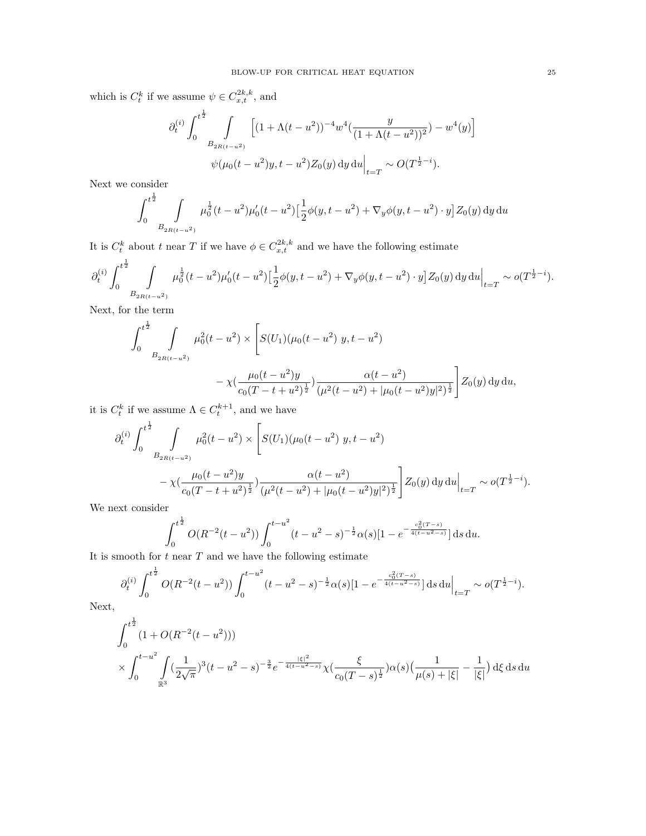which is  $C_t^k$  if we assume  $\psi \in C_{x,t}^{2k,k}$ , and

$$
\partial_t^{(i)} \int_0^{t^{\frac{1}{2}}} \int\limits_{B_{2R(t-u^2)}} \left[ (1 + \Lambda(t - u^2))^{-4} w^4 \left( \frac{y}{(1 + \Lambda(t - u^2))^2} \right) - w^4(y) \right] \psi(\mu_0(t - u^2)y, t - u^2) Z_0(y) \, dy \, du \Big|_{t=T} \sim O(T^{\frac{1}{2} - i}).
$$

Next we consider

$$
\int_0^{t^{\frac{1}{2}}} \int_{B_{2R(t-u^2)}} \mu_0^{\frac{1}{2}}(t-u^2) \mu_0'(t-u^2) \left[ \frac{1}{2} \phi(y,t-u^2) + \nabla_y \phi(y,t-u^2) \cdot y \right] Z_0(y) \, dy \, du
$$

It is  $C_t^k$  about t near T if we have  $\phi \in C_{x,t}^{2k,k}$  and we have the following estimate

$$
\partial_t^{(i)} \int_0^{t^{\frac{1}{2}}} \int\limits_{B_{2R(t-u^2)}} \mu_0^{\frac{1}{2}}(t-u^2) \mu_0'(t-u^2) \left[ \frac{1}{2} \phi(y,t-u^2) + \nabla_y \phi(y,t-u^2) \cdot y \right] Z_0(y) \, dy \, du \Big|_{t=T} \sim o(T^{\frac{1}{2}-i}).
$$

Next, for the term

$$
\int_0^{t^{\frac{1}{2}}} \int_{B_{2R(t-u^2)}} \mu_0^2(t-u^2) \times \left[ S(U_1)(\mu_0(t-u^2) y, t-u^2) - \chi(\frac{\mu_0(t-u^2)y}{c_0(T-t+u^2)^{\frac{1}{2}}}) \frac{\alpha(t-u^2)}{(\mu^2(t-u^2) + |\mu_0(t-u^2)y|^2)^{\frac{1}{2}}} \right] Z_0(y) dy du,
$$

it is  $C_t^k$  if we assume  $\Lambda \in C_t^{k+1}$ , and we have

$$
\partial_t^{(i)} \int_0^{t^{\frac{1}{2}}} \int_{B_{2R(t-u^2)}} \mu_0^2(t-u^2) \times \left[ S(U_1)(\mu_0(t-u^2) y, t-u^2) - \chi(\frac{\mu_0(t-u^2)y}{c_0(T-t+u^2)^{\frac{1}{2}}} \right] \frac{\alpha(t-u^2)}{(\mu^2(t-u^2) + |\mu_0(t-u^2)y|^2)^{\frac{1}{2}}} \left] Z_0(y) dy du \right|_{t=T} \sim o(T^{\frac{1}{2}-i}).
$$

We next consider

$$
\int_0^{t^{\frac{1}{2}}} O(R^{-2}(t-u^2)) \int_0^{t-u^2} (t-u^2-s)^{-\frac{1}{2}} \alpha(s) [1-e^{-\frac{c_0^2(T-s)}{4(t-u^2-s)}}] ds du.
$$

It is smooth for  $t$  near  $T$  and we have the following estimate

$$
\partial_t^{(i)} \int_0^{t^{\frac{1}{2}}} O(R^{-2}(t-u^2)) \int_0^{t-u^2} (t-u^2-s)^{-\frac{1}{2}} \alpha(s) [1 - e^{-\frac{c_0^2 (T-s)}{4(t-u^2-s)}}] \, \mathrm{d} s \, \mathrm{d} u \Big|_{t=T} \sim o(T^{\frac{1}{2}-i}).
$$

Next,

$$
\int_0^{t^{\frac{1}{2}}} (1+O(R^{-2}(t-u^2)))\times \int_0^{t-u^2} \int_{\mathbb{R}^3} (\frac{1}{2\sqrt{\pi}})^3 (t-u^2-s)^{-\frac{3}{2}} e^{-\frac{|\xi|^2}{4(t-u^2-s)}} \chi(\frac{\xi}{c_0(T-s)^{\frac{1}{2}}}) \alpha(s) (\frac{1}{\mu(s)+|\xi|} - \frac{1}{|\xi|}) d\xi ds du
$$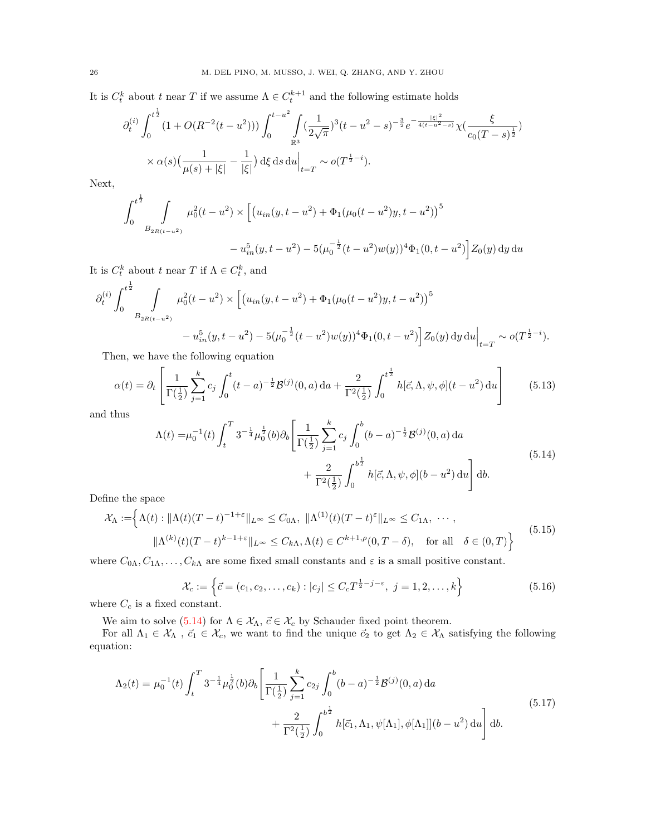It is  $C_t^k$  about t near T if we assume  $\Lambda \in C_t^{k+1}$  and the following estimate holds

$$
\partial_t^{(i)} \int_0^{t^{\frac{1}{2}}} (1 + O(R^{-2}(t - u^2))) \int_0^{t - u^2} \int_{\mathbb{R}^3} (\frac{1}{2\sqrt{\pi}})^3 (t - u^2 - s)^{-\frac{3}{2}} e^{-\frac{|\xi|^2}{4(t - u^2 - s)}} \chi(\frac{\xi}{c_0(T - s)^{\frac{1}{2}}})
$$
  
 
$$
\times \alpha(s) \left(\frac{1}{\mu(s) + |\xi|} - \frac{1}{|\xi|}\right) d\xi \, ds \, du \Big|_{t = T} \sim o(T^{\frac{1}{2} - i}).
$$

Next,

$$
\int_0^{t^{\frac{1}{2}}} \int_{B_{2R(t-u^2)}} \mu_0^2(t-u^2) \times \left[ \left( u_{in}(y, t-u^2) + \Phi_1(\mu_0(t-u^2)y, t-u^2) \right)^5 - u_{in}^5(y, t-u^2) - 5(\mu_0^{-\frac{1}{2}}(t-u^2)w(y))^4 \Phi_1(0, t-u^2) \right] Z_0(y) \, dy \, du
$$

It is  $C_t^k$  about t near T if  $\Lambda \in C_t^k$ , and

$$
\partial_t^{(i)} \int_0^{t^{\frac{1}{2}}} \int_{B_{2R(t-u^2)}} \mu_0^2(t-u^2) \times \left[ \left( u_{in}(y, t-u^2) + \Phi_1(\mu_0(t-u^2)y, t-u^2) \right)^5 - u_{in}^5(y, t-u^2) - 5(\mu_0^{-\frac{1}{2}}(t-u^2)w(y))^4 \Phi_1(0, t-u^2) \right] Z_0(y) \, dy \, du \Big|_{t=T} \sim o(T^{\frac{1}{2}-i}).
$$

Then, we have the following equation

$$
\alpha(t) = \partial_t \left[ \frac{1}{\Gamma(\frac{1}{2})} \sum_{j=1}^k c_j \int_0^t (t-a)^{-\frac{1}{2}} \mathcal{B}^{(j)}(0, a) da + \frac{2}{\Gamma^2(\frac{1}{2})} \int_0^{t^{\frac{1}{2}}} h[\vec{c}, \Lambda, \psi, \phi](t-a^2) da \right]
$$
(5.13)

and thus

<span id="page-25-0"></span>
$$
\Lambda(t) = \mu_0^{-1}(t) \int_t^T 3^{-\frac{1}{4}} \mu_0^{\frac{1}{2}}(b) \partial_b \left[ \frac{1}{\Gamma(\frac{1}{2})} \sum_{j=1}^k c_j \int_0^b (b-a)^{-\frac{1}{2}} \mathcal{B}^{(j)}(0, a) da + \frac{2}{\Gamma^2(\frac{1}{2})} \int_0^{b^{\frac{1}{2}}} h[\vec{c}, \Lambda, \psi, \phi] (b - u^2) du \right] db.
$$
\n
$$
(5.14)
$$

Define the space

$$
\mathcal{X}_{\Lambda} := \left\{ \Lambda(t) : \|\Lambda(t)(T-t)^{-1+\varepsilon}\|_{L^{\infty}} \leq C_{0\Lambda}, \|\Lambda^{(1)}(t)(T-t)^{\varepsilon}\|_{L^{\infty}} \leq C_{1\Lambda}, \cdots,
$$
  

$$
\|\Lambda^{(k)}(t)(T-t)^{k-1+\varepsilon}\|_{L^{\infty}} \leq C_{k\Lambda}, \Lambda(t) \in C^{k+1,\rho}(0,T-\delta), \text{ for all } \delta \in (0,T) \right\}
$$
(5.15)

where  $C_{0\Lambda}, C_{1\Lambda}, \ldots, C_{k\Lambda}$  are some fixed small constants and  $\varepsilon$  is a small positive constant.

$$
\mathcal{X}_c := \left\{ \vec{c} = (c_1, c_2, \dots, c_k) : |c_j| \le C_c T^{\frac{1}{2} - j - \varepsilon}, \ j = 1, 2, \dots, k \right\}
$$
\n(5.16)

where  $C_c$  is a fixed constant.

We aim to solve [\(5.14\)](#page-25-0) for  $\Lambda \in \mathcal{X}_{\Lambda}$ ,  $\vec{c} \in \mathcal{X}_{c}$  by Schauder fixed point theorem.

For all  $\Lambda_1 \in \mathcal{X}_\Lambda$  ,  $\vec{c}_1 \in \mathcal{X}_c$ , we want to find the unique  $\vec{c}_2$  to get  $\Lambda_2 \in \mathcal{X}_\Lambda$  satisfying the following equation:

<span id="page-25-1"></span>
$$
\Lambda_2(t) = \mu_0^{-1}(t) \int_t^T 3^{-\frac{1}{4}} \mu_0^{\frac{1}{2}}(b) \partial_b \left[ \frac{1}{\Gamma(\frac{1}{2})} \sum_{j=1}^k c_{2j} \int_0^b (b-a)^{-\frac{1}{2}} \mathcal{B}^{(j)}(0, a) da + \frac{2}{\Gamma^2(\frac{1}{2})} \int_0^{b^{\frac{1}{2}}} h[\vec{c}_1, \Lambda_1, \psi[\Lambda_1], \phi[\Lambda_1]](b - u^2) du \right] db.
$$
\n
$$
(5.17)
$$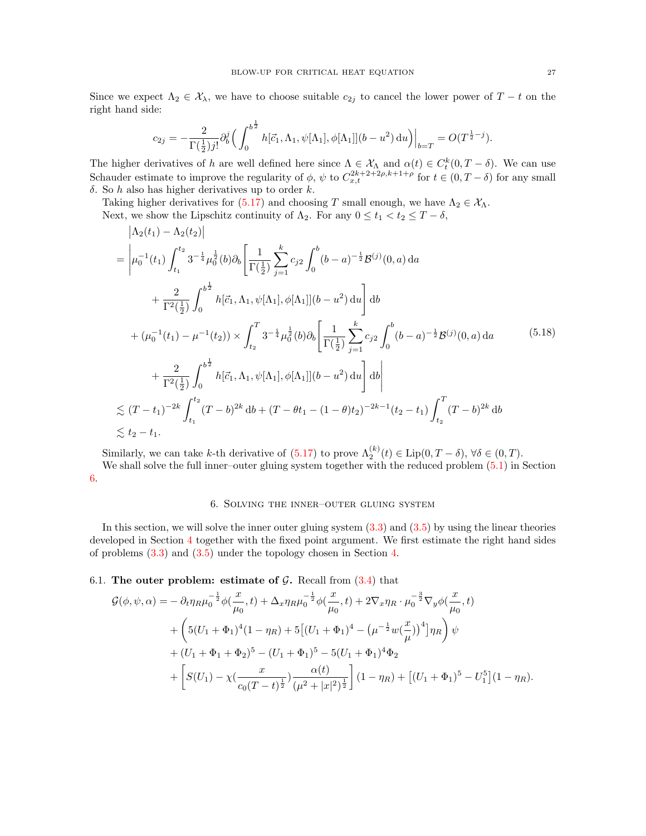Since we expect  $\Lambda_2 \in \mathcal{X}_\lambda$ , we have to choose suitable  $c_{2j}$  to cancel the lower power of  $T-t$  on the right hand side:

$$
c_{2j}=-\frac{2}{\Gamma(\frac{1}{2})j!}\partial_{b}^{j}\Big(\int_{0}^{b^{\frac{1}{2}}}h[\vec{c}_{1},\Lambda_{1},\psi[\Lambda_{1}],\phi[\Lambda_{1}]](b-u^{2})\,\mathrm{d}u\Big)\Big|_{b=T}=O\big(T^{\frac{1}{2}-j}\big).
$$

The higher derivatives of h are well defined here since  $\Lambda \in \mathcal{X}_{\Lambda}$  and  $\alpha(t) \in C_t^k(0,T-\delta)$ . We can use Schauder estimate to improve the regularity of  $\phi$ ,  $\psi$  to  $C_{x,t}^{2k+2+\rho,k+1+\rho}$  for  $t \in (0,T-\delta)$  for any small δ. So h also has higher derivatives up to order k.

Taking higher derivatives for [\(5.17\)](#page-25-1) and choosing T small enough, we have  $\Lambda_2 \in \mathcal{X}_{\Lambda}$ .

Next, we show the Lipschitz continuity of  $\Lambda_2$ . For any  $0 \le t_1 < t_2 \le T - \delta$ ,

$$
\begin{split}\n& \left| \Lambda_{2}(t_{1}) - \Lambda_{2}(t_{2}) \right| \\
&= \left| \mu_{0}^{-1}(t_{1}) \int_{t_{1}}^{t_{2}} 3^{-\frac{1}{4}} \mu_{0}^{\frac{1}{2}}(b) \partial_{b} \left[ \frac{1}{\Gamma(\frac{1}{2})} \sum_{j=1}^{k} c_{j2} \int_{0}^{b} (b-a)^{-\frac{1}{2}} \mathcal{B}^{(j)}(0, a) da \right. \\
& \left. + \frac{2}{\Gamma^{2}(\frac{1}{2})} \int_{0}^{b^{\frac{1}{2}}} h[\vec{c}_{1}, \Lambda_{1}, \psi[\Lambda_{1}], \phi[\Lambda_{1}]](b-a^{2}) \, \mathrm{d}u \right] \mathrm{d}b \\
&+ (\mu_{0}^{-1}(t_{1}) - \mu^{-1}(t_{2})) \times \int_{t_{2}}^{T} 3^{-\frac{1}{4}} \mu_{0}^{\frac{1}{2}}(b) \partial_{b} \left[ \frac{1}{\Gamma(\frac{1}{2})} \sum_{j=1}^{k} c_{j2} \int_{0}^{b} (b-a)^{-\frac{1}{2}} \mathcal{B}^{(j)}(0, a) da \right. \\
&\left. + \frac{2}{\Gamma^{2}(\frac{1}{2})} \int_{0}^{b^{\frac{1}{2}}} h[\vec{c}_{1}, \Lambda_{1}, \psi[\Lambda_{1}], \phi[\Lambda_{1}]](b-a^{2}) \, \mathrm{d}u \right] \mathrm{d}b \right| \\
& \lesssim (T-t_{1})^{-2k} \int_{t_{1}}^{t_{2}} (T-b)^{2k} \, \mathrm{d}b + (T-\theta t_{1} - (1-\theta)t_{2})^{-2k-1} (t_{2}-t_{1}) \int_{t_{2}}^{T} (T-b)^{2k} \, \mathrm{d}b \right. \\
& \lesssim t_{2}-t_{1}.\n\end{split}
$$

Similarly, we can take k-th derivative of  $(5.17)$  to prove  $\Lambda_2^{(k)}(t) \in \text{Lip}(0, T - \delta)$ ,  $\forall \delta \in (0, T)$ . We shall solve the full inner–outer gluing system together with the reduced problem  $(5.1)$  in Section [6.](#page-26-0)

#### 6. Solving the inner–outer gluing system

<span id="page-26-0"></span>In this section, we will solve the inner outer gluing system  $(3.3)$  and  $(3.5)$  by using the linear theories developed in Section [4](#page-10-2) together with the fixed point argument. We first estimate the right hand sides of problems [\(3.3\)](#page-9-1) and [\(3.5\)](#page-9-2) under the topology chosen in Section [4.](#page-10-2)

6.1. The outer problem: estimate of  $\mathcal{G}$ . Recall from  $(3.4)$  that

$$
\mathcal{G}(\phi,\psi,\alpha) = -\partial_t \eta_R \mu_0^{-\frac{1}{2}} \phi(\frac{x}{\mu_0},t) + \Delta_x \eta_R \mu_0^{-\frac{1}{2}} \phi(\frac{x}{\mu_0},t) + 2\nabla_x \eta_R \cdot \mu_0^{-\frac{3}{2}} \nabla_y \phi(\frac{x}{\mu_0},t) \n+ \left(5(U_1 + \Phi_1)^4 (1 - \eta_R) + 5[(U_1 + \Phi_1)^4 - (\mu^{-\frac{1}{2}} w(\frac{x}{\mu}))^4]\eta_R\right)\psi \n+ (U_1 + \Phi_1 + \Phi_2)^5 - (U_1 + \Phi_1)^5 - 5(U_1 + \Phi_1)^4 \Phi_2 \n+ \left[S(U_1) - \chi(\frac{x}{c_0(T-t)^{\frac{1}{2}}})(\frac{\alpha(t)}{(\mu^2 + |x|^2)^{\frac{1}{2}}}\right] (1 - \eta_R) + [(U_1 + \Phi_1)^5 - U_1^5](1 - \eta_R).
$$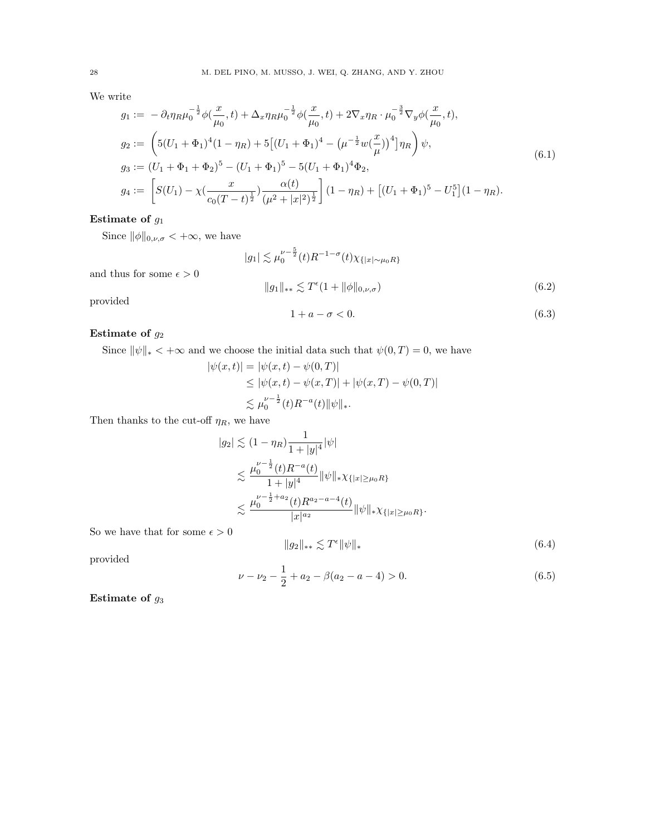We write

$$
g_1 := -\partial_t \eta_R \mu_0^{-\frac{1}{2}} \phi\left(\frac{x}{\mu_0}, t\right) + \Delta_x \eta_R \mu_0^{-\frac{1}{2}} \phi\left(\frac{x}{\mu_0}, t\right) + 2\nabla_x \eta_R \cdot \mu_0^{-\frac{3}{2}} \nabla_y \phi\left(\frac{x}{\mu_0}, t\right),
$$
  
\n
$$
g_2 := \left(5(U_1 + \Phi_1)^4 (1 - \eta_R) + 5\left[(U_1 + \Phi_1)^4 - \left(\mu^{-\frac{1}{2}} w\left(\frac{x}{\mu}\right)\right)^4\right] \eta_R\right) \psi,
$$
  
\n
$$
g_3 := (U_1 + \Phi_1 + \Phi_2)^5 - (U_1 + \Phi_1)^5 - 5(U_1 + \Phi_1)^4 \Phi_2,
$$
  
\n
$$
g_4 := \left[ S(U_1) - \chi\left(\frac{x}{c_0(T - t)^{\frac{1}{2}}}\right) \frac{\alpha(t)}{\left(\mu^2 + |x|^2\right)^{\frac{1}{2}}} \right] (1 - \eta_R) + \left[ (U_1 + \Phi_1)^5 - U_1^5 \right] (1 - \eta_R).
$$
\n
$$
(6.1)
$$

# Estimate of  $g_1$

and thus for some  $\epsilon > 0$ 

Since  $\|\phi\|_{0,\nu,\sigma} < +\infty$ , we have

<span id="page-27-0"></span>
$$
|g_1| \lesssim \mu_0^{\nu - \frac{5}{2}}(t) R^{-1 - \sigma}(t) \chi_{\{|x| \sim \mu_0 R\}}
$$
  

$$
||g_1||_{**} \lesssim T^{\epsilon}(1 + ||\phi||_{0, \nu, \sigma})
$$
 (6.2)

provided

<span id="page-27-1"></span>
$$
1 + a - \sigma < 0. \tag{6.3}
$$

# Estimate of  $g_2$

Since  $\|\psi\|_{*} < +\infty$  and we choose the initial data such that  $\psi(0,T) = 0$ , we have

$$
|\psi(x,t)| = |\psi(x,t) - \psi(0,T)|
$$
  
\n
$$
\leq |\psi(x,t) - \psi(x,T)| + |\psi(x,T) - \psi(0,T)|
$$
  
\n
$$
\lesssim \mu_0^{\nu - \frac{1}{2}}(t)R^{-a}(t) \|\psi\|_*
$$

Then thanks to the cut-off  $\eta_R,$  we have

$$
|g_2| \lesssim (1 - \eta_R) \frac{1}{1 + |y|^4} |\psi|
$$
  
\n
$$
\lesssim \frac{\mu_0^{\nu - \frac{1}{2}}(t)R^{-a}(t)}{1 + |y|^4} ||\psi||_* \chi_{\{|x| \ge \mu_0 R\}}
$$
  
\n
$$
\lesssim \frac{\mu_0^{\nu - \frac{1}{2} + a_2}(t)R^{a_2 - a - 4}(t)}{|x|^{a_2}} ||\psi||_* \chi_{\{|x| \ge \mu_0 R\}}.
$$

So we have that for some  $\epsilon > 0$ 

<span id="page-27-2"></span>
$$
||g_2||_{**} \lesssim T^{\epsilon} ||\psi||_* \tag{6.4}
$$

provided

<span id="page-27-3"></span>
$$
\nu - \nu_2 - \frac{1}{2} + a_2 - \beta(a_2 - a - 4) > 0.
$$
\n(6.5)

Estimate of  $g_3$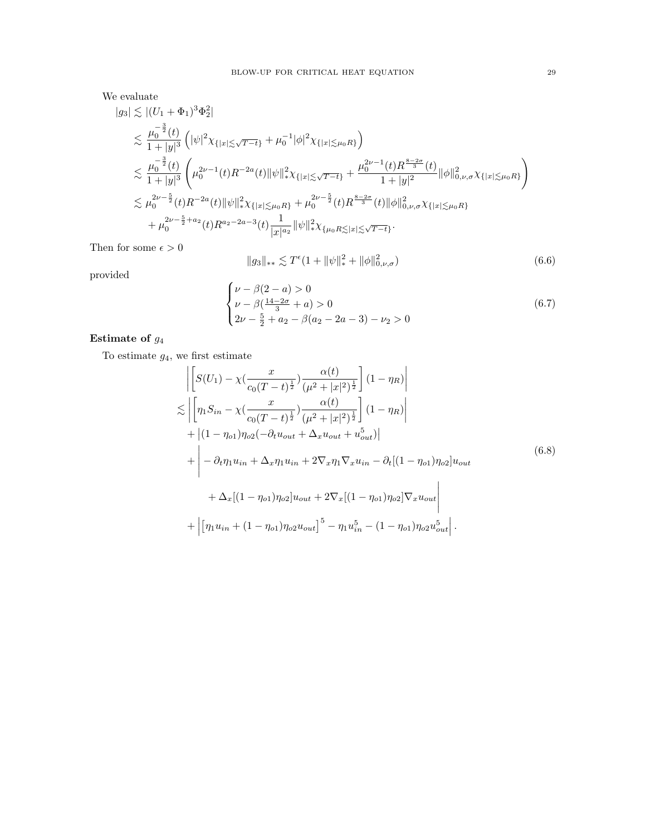We evaluate

$$
|g_3| \lesssim |(U_1 + \Phi_1)^3 \Phi_2^2|
$$
  
\n
$$
\lesssim \frac{\mu_0^{-\frac{3}{2}}(t)}{1+|y|^3} (|\psi|^2 \chi_{\{|x| \lesssim \sqrt{T-t}\}} + \mu_0^{-1} |\phi|^2 \chi_{\{|x| \lesssim \mu_0 R\}})
$$
  
\n
$$
\lesssim \frac{\mu_0^{-\frac{3}{2}}(t)}{1+|y|^3} (\mu_0^{2\nu-1}(t) R^{-2a}(t) \|\psi\|_{*}^2 \chi_{\{|x| \lesssim \sqrt{T-t}\}} + \frac{\mu_0^{2\nu-1}(t) R^{\frac{8-2\sigma}{3}}(t)}{1+|y|^2} \|\phi\|_{0,\nu,\sigma}^2 \chi_{\{|x| \lesssim \mu_0 R\}})
$$
  
\n
$$
\lesssim \mu_0^{2\nu-\frac{5}{2}}(t) R^{-2a}(t) \|\psi\|_{*}^2 \chi_{\{|x| \lesssim \mu_0 R\}} + \mu_0^{2\nu-\frac{5}{2}}(t) R^{\frac{8-2\sigma}{3}}(t) \|\phi\|_{0,\nu,\sigma}^2 \chi_{\{|x| \lesssim \mu_0 R\}} + \mu_0^{2\nu-\frac{5}{2}+a_2}(t) R^{a_2-2a-3}(t) \frac{1}{|x|^{a_2}} \|\psi\|_{*}^2 \chi_{\{\mu_0 R \lesssim |x| \lesssim \sqrt{T-t}\}}.
$$

Then for some  $\epsilon > 0$ 

<span id="page-28-1"></span>
$$
||g_3||_{**} \lesssim T^{\epsilon} (1 + ||\psi||_*^2 + ||\phi||_{0,\nu,\sigma}^2)
$$
\n(6.6)

provided

<span id="page-28-2"></span>
$$
\begin{cases}\n\nu - \beta(2 - a) > 0 \\
\nu - \beta\left(\frac{14 - 2\sigma}{3} + a\right) > 0 \\
2\nu - \frac{5}{2} + a_2 - \beta(a_2 - 2a - 3) - \nu_2 > 0\n\end{cases} \tag{6.7}
$$

# Estimate of  $g_4$

To estimate  $g_4$ , we first estimate

<span id="page-28-0"></span>
$$
\begin{split}\n&\left|\left[S(U_{1}) - \chi\left(\frac{x}{c_{0}(T-t)^{\frac{1}{2}}}\right) \frac{\alpha(t)}{(\mu^{2}+|x|^{2})^{\frac{1}{2}}}\right](1-\eta_{R})\right| \\
&\lesssim \left|\left[\eta_{1}S_{in} - \chi\left(\frac{x}{c_{0}(T-t)^{\frac{1}{2}}}\right) \frac{\alpha(t)}{(\mu^{2}+|x|^{2})^{\frac{1}{2}}}\right](1-\eta_{R})\right| \\
&+ \left|(1-\eta_{o1})\eta_{o2}(-\partial_{t}u_{out} + \Delta_{x}u_{out} + u_{out}^{5})|\right] \\
&+ \left|-\partial_{t}\eta_{1}u_{in} + \Delta_{x}\eta_{1}u_{in} + 2\nabla_{x}\eta_{1}\nabla_{x}u_{in} - \partial_{t}[(1-\eta_{o1})\eta_{o2}]u_{out} \right. \\
&\left. + \Delta_{x}[(1-\eta_{o1})\eta_{o2}]u_{out} + 2\nabla_{x}[(1-\eta_{o1})\eta_{o2}]\nabla_{x}u_{out}\right| \\
&+ \left|\left[\eta_{1}u_{in} + (1-\eta_{o1})\eta_{o2}u_{out}\right]^{5} - \eta_{1}u_{in}^{5} - (1-\eta_{o1})\eta_{o2}u_{out}^{5}\right].\n\end{split} \tag{6.8}
$$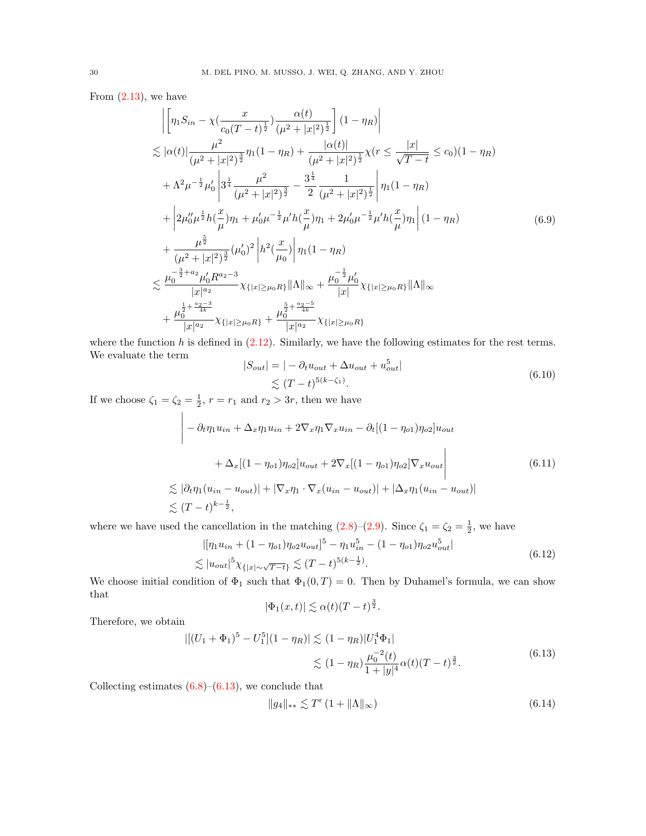From  $(2.13)$ , we have

$$
\left| \left[ \eta_1 S_{in} - \chi \left( \frac{x}{c_0 (T-t)^{\frac{1}{2}}} \right) \frac{\alpha(t)}{(\mu^2 + |x|^2)^{\frac{1}{2}}} \right] (1 - \eta_R) \right|
$$
  
\n
$$
\lesssim |\alpha(t)| \frac{\mu^2}{(\mu^2 + |x|^2)^{\frac{3}{2}}} \eta_1 (1 - \eta_R) + \frac{|\alpha(t)|}{(\mu^2 + |x|^2)^{\frac{1}{2}}} \chi(r \leq \frac{|x|}{\sqrt{T-t}} \leq c_0) (1 - \eta_R)
$$
  
\n
$$
+ \Lambda^2 \mu^{-\frac{1}{2}} \mu_0' \left| 3^{\frac{1}{4}} \frac{\mu^2}{(\mu^2 + |x|^2)^{\frac{3}{2}}} - \frac{3^{\frac{1}{4}}}{2} \frac{1}{(\mu^2 + |x|^2)^{\frac{1}{2}}} \right| \eta_1 (1 - \eta_R)
$$
  
\n
$$
+ \left| 2\mu_0'' \mu^{\frac{1}{2}} h(\frac{x}{\mu}) \eta_1 + \mu_0' \mu^{-\frac{1}{2}} \mu' h(\frac{x}{\mu}) \eta_1 + 2\mu_0' \mu^{-\frac{1}{2}} \mu' h(\frac{x}{\mu}) \eta_1 \right| (1 - \eta_R)
$$
  
\n
$$
+ \frac{\mu^{\frac{5}{2}}}{(\mu^2 + |x|^2)^{\frac{3}{2}}} (\mu_0')^2 \left| h^2(\frac{x}{\mu_0}) \right| \eta_1 (1 - \eta_R)
$$
  
\n
$$
\lesssim \frac{\mu_0^{-\frac{3}{2} + a_2} \mu_0' R^{a_2 - 3}}{|x|^{a_2}} \chi_{\{|x| \geq \mu_0 R\}} ||\Lambda||_{\infty} + \frac{\mu_0^{-\frac{1}{2}} \mu_0'}{|x|} \chi_{\{|x| \geq \mu_0 R\}} ||\Lambda||_{\infty}}{\left| x \right|}
$$
  
\n
$$
+ \frac{\mu_0^{\frac{1}{2} + \frac{a_2 - 3}{4k}}}{|x|^{a_2}} \chi_{\{|x| \geq \mu_0 R\}} + \frac{\mu_0^{\frac{5}{2} + \frac{a_2 - 5}{4k}}}{|x|^{a_2}} \chi_{\{|x| \geq \mu
$$

where the function  $h$  is defined in  $(2.12)$ . Similarly, we have the following estimates for the rest terms. We evaluate the term 5

$$
|S_{out}| = | - \partial_t u_{out} + \Delta u_{out} + u_{out}^5|
$$
  
\$\leq (T - t)^{5(k - \zeta\_1)}\$. (6.10)

If we choose  $\zeta_1 = \zeta_2 = \frac{1}{2}$ ,  $r = r_1$  and  $r_2 > 3r$ , then we have

$$
\begin{aligned}\n&\left| -\partial_t \eta_1 u_{in} + \Delta_x \eta_1 u_{in} + 2\nabla_x \eta_1 \nabla_x u_{in} - \partial_t \left[ (1 - \eta_{o1}) \eta_{o2} \right] u_{out} \right. \\
&\left. + \Delta_x \left[ (1 - \eta_{o1}) \eta_{o2} \right] u_{out} + 2\nabla_x \left[ (1 - \eta_{o1}) \eta_{o2} \right] \nabla_x u_{out} \right| \\
&\lesssim |\partial_t \eta_1 (u_{in} - u_{out})| + |\nabla_x \eta_1 \cdot \nabla_x (u_{in} - u_{out})| + |\Delta_x \eta_1 (u_{in} - u_{out})| \\
&\lesssim (T - t)^{k - \frac{1}{2}},\n\end{aligned}\n\tag{6.11}
$$

where we have used the cancellation in the matching  $(2.8)-(2.9)$  $(2.8)-(2.9)$ . Since  $\zeta_1 = \zeta_2 = \frac{1}{2}$ , we have

$$
|[\eta_1 u_{in} + (1 - \eta_{o1})\eta_{o2} u_{out}]^5 - \eta_1 u_{in}^5 - (1 - \eta_{o1})\eta_{o2} u_{out}^5|
$$
  

$$
\lesssim |u_{out}|^5 \chi_{\{|x| \sim \sqrt{T-t}\}} \lesssim (T-t)^{5(k-\frac{1}{2})}.
$$
 (6.12)

We choose initial condition of  $\Phi_1$  such that  $\Phi_1(0,T) = 0$ . Then by Duhamel's formula, we can show that 3

$$
|\Phi_1(x,t)| \lesssim \alpha(t)(T-t)^{\frac{3}{2}}.
$$

Therefore, we obtain

<span id="page-29-0"></span>
$$
\begin{aligned} |[(U_1 + \Phi_1)^5 - U_1^5](1 - \eta_R)| &\lesssim (1 - \eta_R)|U_1^4 \Phi_1| \\ &\lesssim (1 - \eta_R) \frac{\mu_0^{-2}(t)}{1 + |y|^4} \alpha(t) (T - t)^{\frac{3}{2}}. \end{aligned} \tag{6.13}
$$

Collecting estimates  $(6.8)$ – $(6.13)$ , we conclude that

<span id="page-29-1"></span>
$$
||g_4||_{**} \lesssim T^{\epsilon} \left(1 + ||\Lambda||_{\infty}\right) \tag{6.14}
$$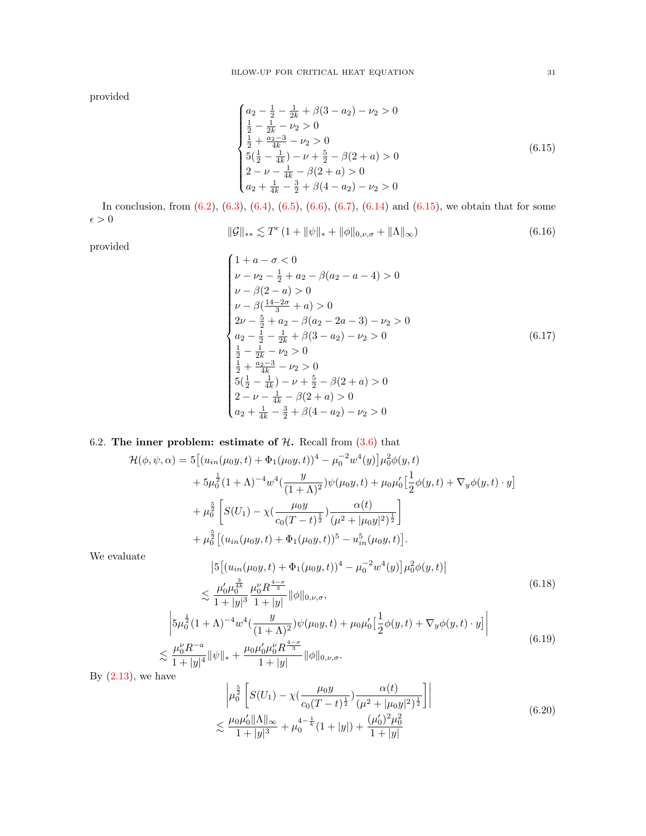provided

<span id="page-30-0"></span>
$$
\begin{cases}\na_2 - \frac{1}{2} - \frac{1}{2k} + \beta(3 - a_2) - \nu_2 > 0 \\
\frac{1}{2} - \frac{1}{2k} - \nu_2 > 0 \\
\frac{1}{2} + \frac{a_2 - 3}{4k} - \nu_2 > 0 \\
5\left(\frac{1}{2} - \frac{1}{4k}\right) - \nu + \frac{5}{2} - \beta(2 + a) > 0 \\
2 - \nu - \frac{1}{4k} - \beta(2 + a) > 0 \\
a_2 + \frac{1}{4k} - \frac{3}{2} + \beta(4 - a_2) - \nu_2 > 0\n\end{cases} \tag{6.15}
$$

In conclusion, from [\(6.2\)](#page-27-0), [\(6.3\)](#page-27-1), [\(6.4\)](#page-27-2), [\(6.5\)](#page-27-3), [\(6.6\)](#page-28-1), [\(6.7\)](#page-28-2), [\(6.14\)](#page-29-1) and [\(6.15\)](#page-30-0), we obtain that for some  $\epsilon > 0$ 

<span id="page-30-3"></span>
$$
\|\mathcal{G}\|_{**} \lesssim T^{\epsilon} \left(1 + \|\psi\|_{*} + \|\phi\|_{0,\nu,\sigma} + \|\Lambda\|_{\infty}\right) \tag{6.16}
$$

provided

<span id="page-30-2"></span>
$$
\begin{cases}\n1 + a - \sigma < 0 \\
\nu - \nu_2 - \frac{1}{2} + a_2 - \beta(a_2 - a - 4) > 0 \\
\nu - \beta(2 - a) > 0 \\
\nu - \beta\left(\frac{14 - 2\sigma}{3} + a\right) > 0 \\
2\nu - \frac{5}{2} + a_2 - \beta(a_2 - 2a - 3) - \nu_2 > 0 \\
a_2 - \frac{1}{2} - \frac{1}{2k} + \beta(3 - a_2) - \nu_2 > 0 \\
\frac{1}{2} - \frac{1}{2k} - \nu_2 > 0 \\
\frac{1}{2} + \frac{a_2 - 3}{4k} - \nu_2 > 0 \\
5\left(\frac{1}{2} - \frac{1}{4k}\right) - \nu + \frac{5}{2} - \beta(2 + a) > 0 \\
2 - \nu - \frac{1}{4k} - \beta(2 + a) > 0 \\
a_2 + \frac{1}{4k} - \frac{3}{2} + \beta(4 - a_2) - \nu_2 > 0\n\end{cases}\n\tag{6.17}
$$

# 6.2. The inner problem: estimate of  $H$ . Recall from  $(3.6)$  that

$$
\mathcal{H}(\phi, \psi, \alpha) = 5 \left[ (u_{in}(\mu_0 y, t) + \Phi_1(\mu_0 y, t))^4 - \mu_0^{-2} w^4(y) \right] \mu_0^2 \phi(y, t)
$$
  
+  $5\mu_0^{\frac{1}{2}} (1 + \Lambda)^{-4} w^4 \left( \frac{y}{(1 + \Lambda)^2} \right) \psi(\mu_0 y, t) + \mu_0 \mu_0' \left[ \frac{1}{2} \phi(y, t) + \nabla_y \phi(y, t) \cdot y \right]$   
+  $\mu_0^{\frac{5}{2}} \left[ S(U_1) - \chi \left( \frac{\mu_0 y}{c_0 (T - t)^{\frac{1}{2}}} \right) \frac{\alpha(t)}{(\mu^2 + |\mu_0 y|^2)^{\frac{1}{2}}} \right]$   
+  $\mu_0^{\frac{5}{2}} \left[ (u_{in}(\mu_0 y, t) + \Phi_1(\mu_0 y, t))^5 - u_{in}^5(\mu_0 y, t) \right].$ 

We evaluate

<span id="page-30-1"></span>
$$
\begin{split} & \left| 5 \left[ (u_{in}(\mu_0 y, t) + \Phi_1(\mu_0 y, t))^4 - \mu_0^{-2} w^4(y) \right] \mu_0^2 \phi(y, t) \right| \\ &\leq \frac{\mu_0' \mu_0^{\frac{3}{4k}}}{1 + |y|^3} \frac{\mu_0'' R^{\frac{4 - \sigma}{3}}}{1 + |y|} \|\phi\|_{0, \nu, \sigma}, \end{split} \tag{6.18}
$$

$$
\begin{aligned}\n&\left| 5\mu_0^{\frac{1}{2}}(1+\Lambda)^{-4}w^4\left(\frac{y}{(1+\Lambda)^2}\right)\psi(\mu_0y,t) + \mu_0\mu_0'\left[\frac{1}{2}\phi(y,t) + \nabla_y\phi(y,t)\cdot y\right] \right| \\
&\lesssim \frac{\mu_0^{\nu}R^{-a}}{1+|y|^4}\|\psi\|_{*} + \frac{\mu_0\mu_0'\mu_0^{\nu}R^{\frac{4-\sigma}{3}}}{1+|y|}\|\phi\|_{0,\nu,\sigma}.\n\end{aligned} \tag{6.19}
$$

By  $(2.13)$ , we have

$$
\left| \mu_0^{\frac{5}{2}} \left[ S(U_1) - \chi \left( \frac{\mu_0 y}{c_0 (T - t)^{\frac{1}{2}}} \right) \frac{\alpha(t)}{\left( \mu^2 + |\mu_0 y|^2 \right)^{\frac{1}{2}}} \right] \right|
$$
\n
$$
\lesssim \frac{\mu_0 \mu_0' ||\Lambda||_{\infty}}{1 + |y|^3} + \mu_0^{4 - \frac{1}{k}} (1 + |y|) + \frac{(\mu_0')^2 \mu_0^2}{1 + |y|}
$$
\n(6.20)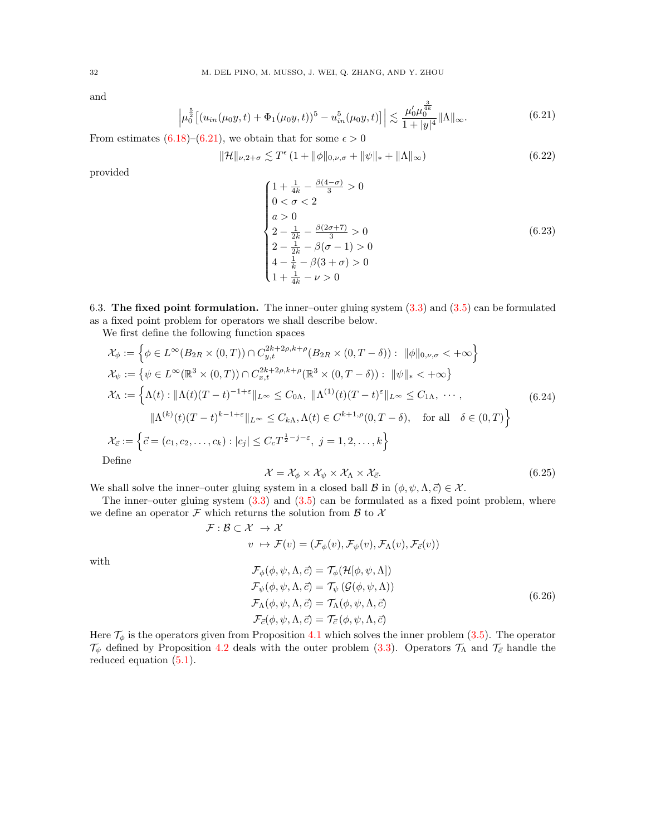and

<span id="page-31-0"></span>
$$
\left|\mu_0^{\frac{5}{2}}\left[(u_{in}(\mu_0 y,t) + \Phi_1(\mu_0 y,t))^5 - u_{in}^5(\mu_0 y,t)\right]\right| \lesssim \frac{\mu'_0 \mu_0^{\frac{3}{4k}}}{1+|y|^4} \|\Lambda\|_{\infty}.
$$
\n(6.21)

From estimates [\(6.18\)](#page-30-1)–[\(6.21\)](#page-31-0), we obtain that for some  $\epsilon > 0$ 

<span id="page-31-3"></span>
$$
\|\mathcal{H}\|_{\nu,2+\sigma} \lesssim T^{\epsilon} \left(1 + \|\phi\|_{0,\nu,\sigma} + \|\psi\|_{*} + \|\Lambda\|_{\infty}\right) \tag{6.22}
$$

provided

<span id="page-31-1"></span>
$$
\begin{cases}\n1 + \frac{1}{4k} - \frac{\beta(4-\sigma)}{3} > 0 \\
0 < \sigma < 2\n\end{cases}
$$
\n
$$
a > 0
$$
\n
$$
2 - \frac{1}{2k} - \frac{\beta(2\sigma + 7)}{3} > 0
$$
\n
$$
2 - \frac{1}{2k} - \beta(\sigma - 1) > 0
$$
\n
$$
4 - \frac{1}{k} - \beta(3 + \sigma) > 0
$$
\n
$$
1 + \frac{1}{4k} - \nu > 0
$$
\n(6.23)

6.3. The fixed point formulation. The inner–outer gluing system  $(3.3)$  and  $(3.5)$  can be formulated as a fixed point problem for operators we shall describe below.

We first define the following function spaces

$$
\mathcal{X}_{\phi} := \left\{ \phi \in L^{\infty}(B_{2R} \times (0,T)) \cap C_{y,t}^{2k+2\rho,k+\rho}(B_{2R} \times (0,T-\delta)) : \|\phi\|_{0,\nu,\sigma} < +\infty \right\}
$$
  
\n
$$
\mathcal{X}_{\psi} := \left\{ \psi \in L^{\infty}(\mathbb{R}^{3} \times (0,T)) \cap C_{x,t}^{2k+2\rho,k+\rho}(\mathbb{R}^{3} \times (0,T-\delta)) : \|\psi\|_{*} < +\infty \right\}
$$
  
\n
$$
\mathcal{X}_{\Lambda} := \left\{ \Lambda(t) : \|\Lambda(t)(T-t)^{-1+\varepsilon}\|_{L^{\infty}} \leq C_{0\Lambda}, \|\Lambda^{(1)}(t)(T-t)^{\varepsilon}\|_{L^{\infty}} \leq C_{1\Lambda}, \cdots,
$$
  
\n
$$
\|\Lambda^{(k)}(t)(T-t)^{k-1+\varepsilon}\|_{L^{\infty}} \leq C_{k\Lambda}, \Lambda(t) \in C^{k+1,\rho}(0,T-\delta), \text{ for all } \delta \in (0,T) \right\}
$$
  
\n
$$
\mathcal{X}_{\vec{c}} := \left\{ \vec{c} = (c_1, c_2, \ldots, c_k) : |c_j| \leq C_c T^{\frac{1}{2}-j-\varepsilon}, \ j = 1, 2, \ldots, k \right\}
$$
  
\nDefine

 $\Gamma$ 

with

$$
\mathcal{X} = \mathcal{X}_{\phi} \times \mathcal{X}_{\psi} \times \mathcal{X}_{\Lambda} \times \mathcal{X}_{\vec{c}}.\tag{6.25}
$$

We shall solve the inner–outer gluing system in a closed ball B in  $(\phi, \psi, \Lambda, \vec{c}) \in \mathcal{X}$ .

The inner–outer gluing system  $(3.3)$  and  $(3.5)$  can be formulated as a fixed point problem, where we define an operator  $\mathcal F$  which returns the solution from  $\mathcal B$  to  $\mathcal X$ 

<span id="page-31-2"></span>
$$
\mathcal{F}: \mathcal{B} \subset \mathcal{X} \to \mathcal{X}
$$
  
\n
$$
v \mapsto \mathcal{F}(v) = (\mathcal{F}_{\phi}(v), \mathcal{F}_{\psi}(v), \mathcal{F}_{\Lambda}(v), \mathcal{F}_{\vec{c}}(v))
$$
  
\n
$$
\mathcal{F}_{\phi}(\phi, \psi, \Lambda, \vec{c}) = \mathcal{T}_{\phi}(\mathcal{H}[\phi, \psi, \Lambda])
$$
  
\n
$$
\mathcal{F}_{\psi}(\phi, \psi, \Lambda, \vec{c}) = \mathcal{T}_{\psi}(\mathcal{G}(\phi, \psi, \Lambda))
$$
  
\n
$$
\mathcal{F}_{\Lambda}(\phi, \psi, \Lambda, \vec{c}) = \mathcal{T}_{\Lambda}(\phi, \psi, \Lambda, \vec{c})
$$
  
\n
$$
\mathcal{F}_{\vec{c}}(\phi, \psi, \Lambda, \vec{c}) = \mathcal{T}_{\vec{c}}(\phi, \psi, \Lambda, \vec{c})
$$
  
\n(6.26)

Here  $\mathcal{T}_{\phi}$  is the operators given from Proposition [4.1](#page-10-0) which solves the inner problem [\(3.5\)](#page-9-2). The operator  $\mathcal{T}_{\psi}$  defined by Proposition [4.2](#page-12-0) deals with the outer problem [\(3.3\)](#page-9-1). Operators  $\mathcal{T}_{\Lambda}$  and  $\mathcal{T}_{\bar{c}}$  handle the reduced equation [\(5.1\)](#page-14-0).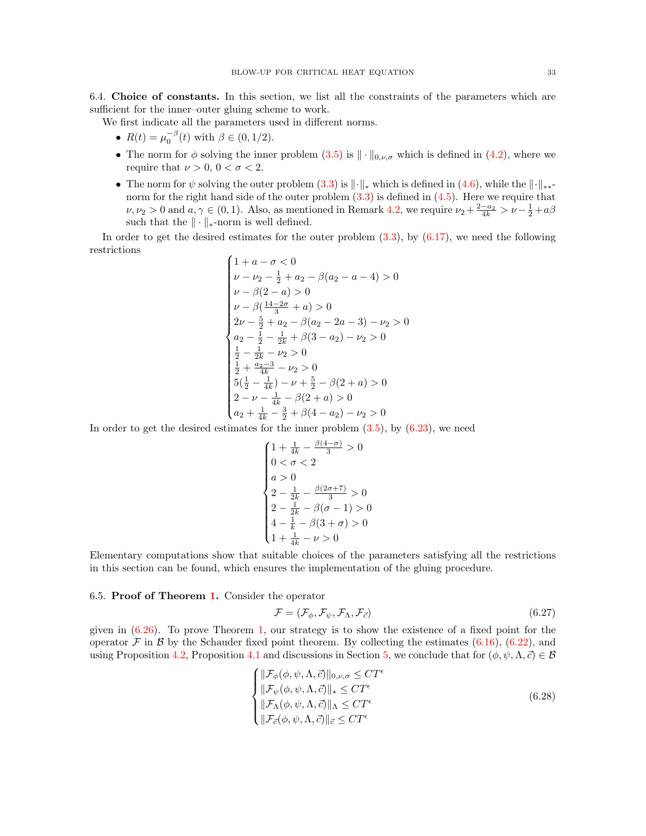<span id="page-32-0"></span>6.4. Choice of constants. In this section, we list all the constraints of the parameters which are sufficient for the inner–outer gluing scheme to work.

We first indicate all the parameters used in different norms.

- $R(t) = \mu_0^{-\beta}(t)$  with  $\beta \in (0, 1/2)$ .
- The norm for  $\phi$  solving the inner problem  $(3.5)$  is  $\|\cdot\|_{0,\nu,\sigma}$  which is defined in  $(4.2)$ , where we require that  $\nu > 0$ ,  $0 < \sigma < 2$ .
- The norm for  $\psi$  solving the outer problem [\(3.3\)](#page-9-1) is  $\|\cdot\|_*$  which is defined in [\(4.6\)](#page-12-3), while the  $\|\cdot\|_{**}$ norm for the right hand side of the outer problem  $(3.3)$  is defined in  $(4.5)$ . Here we require that  $\nu, \nu_2 > 0$  and  $a, \gamma \in (0, 1)$ . Also, as mentioned in Remark [4.2,](#page-13-2) we require  $\nu_2 + \frac{2-a_2}{4k} > \nu - \frac{1}{2} + a\beta$ such that the  $\|\cdot\|_{*}$ -norm is well defined.

In order to get the desired estimates for the outer problem  $(3.3)$ , by  $(6.17)$ , we need the following restrictions  $(1)$ 

$$
\begin{cases}\n1 + a - \sigma < 0 \\
\nu - \nu_2 - \frac{1}{2} + a_2 - \beta(a_2 - a - 4) > 0 \\
\nu - \beta(2 - a) > 0\n\end{cases}
$$
\n
$$
\begin{cases}\n\nu - \beta\left(\frac{14 - 2\sigma}{3} + a\right) > 0 \\
2\nu - \frac{5}{2} + a_2 - \beta(a_2 - 2a - 3) - \nu_2 > 0 \\
a_2 - \frac{1}{2} - \frac{1}{2k} + \beta(3 - a_2) - \nu_2 > 0\n\end{cases}
$$
\n
$$
\begin{cases}\n\frac{1}{2} - \frac{1}{2k} - \nu_2 > 0 \\
\frac{1}{2} + \frac{a_2 - 3}{4k} - \nu_2 > 0 \\
5\left(\frac{1}{2} - \frac{1}{4k}\right) - \nu + \frac{5}{2} - \beta(2 + a) > 0 \\
2 - \nu - \frac{1}{4k} - \beta(2 + a) > 0 \\
a_2 + \frac{1}{4k} - \frac{3}{2} + \beta(4 - a_2) - \nu_2 > 0\n\end{cases}
$$

In order to get the desired estimates for the inner problem [\(3.5\)](#page-9-2), by [\(6.23\)](#page-31-1), we need

$$
\begin{cases} 1 + \frac{1}{4k} - \frac{\beta(4-\sigma)}{3} > 0 \\ 0 < \sigma < 2 \\ a > 0 \\ 2 - \frac{1}{2k} - \frac{\beta(2\sigma + 7)}{3} > 0 \\ 2 - \frac{1}{2k} - \beta(\sigma - 1) > 0 \\ 4 - \frac{1}{k} - \beta(3 + \sigma) > 0 \\ 1 + \frac{1}{4k} - \nu > 0 \end{cases}
$$

Elementary computations show that suitable choices of the parameters satisfying all the restrictions in this section can be found, which ensures the implementation of the gluing procedure.

#### 6.5. Proof of Theorem [1.](#page-1-0) Consider the operator

<span id="page-32-1"></span>
$$
\mathcal{F} = (\mathcal{F}_{\phi}, \mathcal{F}_{\psi}, \mathcal{F}_{\Lambda}, \mathcal{F}_{\vec{c}}) \tag{6.27}
$$

given in  $(6.26)$ . To prove Theorem [1,](#page-1-0) our strategy is to show the existence of a fixed point for the operator F in B by the Schauder fixed point theorem. By collecting the estimates  $(6.16)$ ,  $(6.22)$ , and using Proposition [4.2,](#page-12-0) Proposition [4.1](#page-10-0) and discussions in Section [5,](#page-13-0) we conclude that for  $(\phi, \psi, \Lambda, \vec{c}) \in \mathcal{B}$ 

<span id="page-32-2"></span>
$$
\begin{cases}\n||\mathcal{F}_{\phi}(\phi,\psi,\Lambda,\vec{c})||_{0,\nu,\sigma} \leq CT^{\epsilon} \\
||\mathcal{F}_{\psi}(\phi,\psi,\Lambda,\vec{c})||_{*} \leq CT^{\epsilon} \\
||\mathcal{F}_{\Lambda}(\phi,\psi,\Lambda,\vec{c})||_{\Lambda} \leq CT^{\epsilon} \\
||\mathcal{F}_{\vec{c}}(\phi,\psi,\Lambda,\vec{c})||_{\vec{c}} \leq CT^{\epsilon}\n\end{cases} (6.28)
$$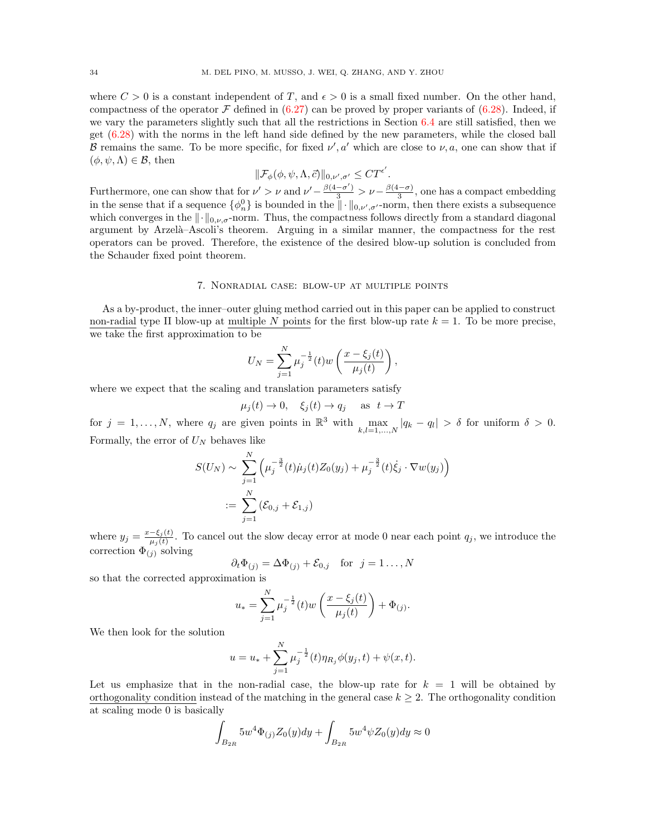where  $C > 0$  is a constant independent of T, and  $\epsilon > 0$  is a small fixed number. On the other hand, compactness of the operator  $\mathcal F$  defined in [\(6.27\)](#page-32-1) can be proved by proper variants of [\(6.28\)](#page-32-2). Indeed, if we vary the parameters slightly such that all the restrictions in Section  $6.4$  are still satisfied, then we get [\(6.28\)](#page-32-2) with the norms in the left hand side defined by the new parameters, while the closed ball B remains the same. To be more specific, for fixed  $\nu'$ , a' which are close to  $\nu$ , a, one can show that if  $(\phi, \psi, \Lambda) \in \mathcal{B}$ , then

$$
\|\mathcal{F}_{\phi}(\phi,\psi,\Lambda,\vec{c})\|_{0,\nu',\sigma'} \leq C T^{\epsilon'}.
$$

Furthermore, one can show that for  $\nu' > \nu$  and  $\nu' - \frac{\beta(4-\sigma')}{3} > \nu - \frac{\beta(4-\sigma)}{3}$  $\frac{(-\sigma)}{3}$ , one has a compact embedding in the sense that if a sequence  $\{\phi_n^0\}$  is bounded in the  $\|\cdot\|_{0,\nu',\sigma'}$ -norm, then there exists a subsequence which converges in the  $\|\cdot\|_{0,\nu,\sigma}$ -norm. Thus, the compactness follows directly from a standard diagonal argument by Arzelà–Ascoli's theorem. Arguing in a similar manner, the compactness for the rest operators can be proved. Therefore, the existence of the desired blow-up solution is concluded from the Schauder fixed point theorem.

## 7. Nonradial case: blow-up at multiple points

As a by-product, the inner–outer gluing method carried out in this paper can be applied to construct non-radial type II blow-up at multiple N points for the first blow-up rate  $k = 1$ . To be more precise, we take the first approximation to be

$$
U_N = \sum_{j=1}^N \mu_j^{-\frac{1}{2}}(t) w\left(\frac{x - \xi_j(t)}{\mu_j(t)}\right),\,
$$

where we expect that the scaling and translation parameters satisfy

$$
\mu_j(t) \to 0, \quad \xi_j(t) \to q_j \quad \text{as} \ \ t \to T
$$

for  $j = 1, ..., N$ , where  $q_j$  are given points in  $\mathbb{R}^3$  with  $\max_{k,l=1,...,N} |q_k - q_l| > \delta$  for uniform  $\delta > 0$ . Formally, the error of  $U_N$  behaves like

$$
S(U_N) \sim \sum_{j=1}^N \left( \mu_j^{-\frac{3}{2}}(t)\dot{\mu}_j(t)Z_0(y_j) + \mu_j^{-\frac{3}{2}}(t)\dot{\xi}_j \cdot \nabla w(y_j) \right)
$$
  
 := 
$$
\sum_{j=1}^N (\mathcal{E}_{0,j} + \mathcal{E}_{1,j})
$$

where  $y_j = \frac{x-\xi_j(t)}{\mu_i(t)}$  $\frac{-\xi_j(t)}{\mu_j(t)}$ . To cancel out the slow decay error at mode 0 near each point  $q_j$ , we introduce the correction  $\Phi_{(j)}$  solving

$$
\partial_t \Phi_{(j)} = \Delta \Phi_{(j)} + \mathcal{E}_{0,j} \quad \text{for} \ \ j = 1 \dots, N
$$

so that the corrected approximation is

$$
u_* = \sum_{j=1}^N \mu_j^{-\frac{1}{2}}(t) w\left(\frac{x-\xi_j(t)}{\mu_j(t)}\right) + \Phi_{(j)}.
$$

We then look for the solution

$$
u = u_* + \sum_{j=1}^{N} \mu_j^{-\frac{1}{2}}(t)\eta_{R_j}\phi(y_j, t) + \psi(x, t).
$$

Let us emphasize that in the non-radial case, the blow-up rate for  $k = 1$  will be obtained by orthogonality condition instead of the matching in the general case  $k \geq 2$ . The orthogonality condition at scaling mode 0 is basically

$$
\int_{B_{2R}} 5w^4 \Phi_{(j)} Z_0(y) dy + \int_{B_{2R}} 5w^4 \psi Z_0(y) dy \approx 0
$$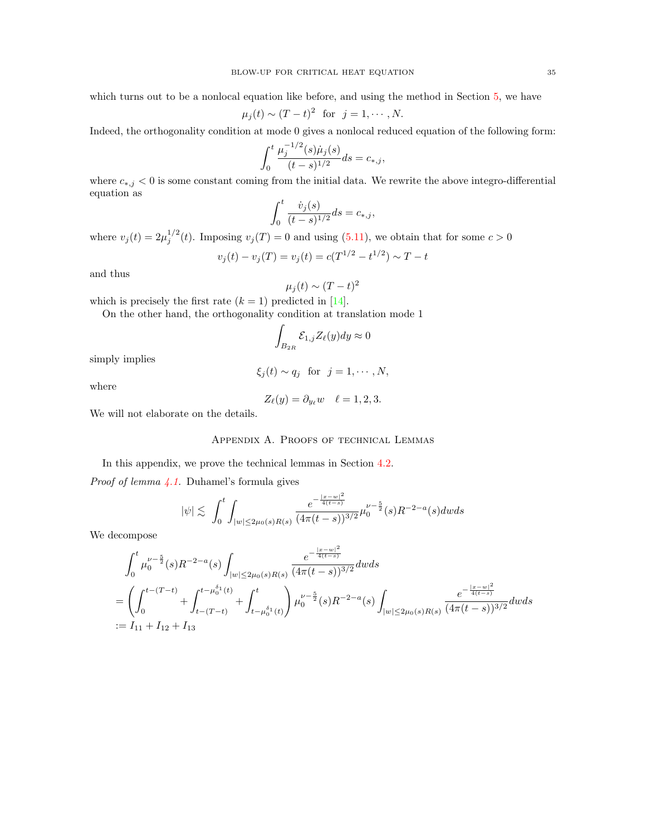which turns out to be a nonlocal equation like before, and using the method in Section [5,](#page-13-0) we have

$$
\mu_j(t) \sim (T-t)^2 \text{ for } j=1,\cdots,N.
$$

Indeed, the orthogonality condition at mode 0 gives a nonlocal reduced equation of the following form:

$$
\int_0^t \frac{\mu_j^{-1/2}(s)\dot{\mu}_j(s)}{(t-s)^{1/2}}ds = c_{*,j},
$$

where  $c_{*,j} < 0$  is some constant coming from the initial data. We rewrite the above integro-differential equation as

$$
\int_0^t \frac{\dot{v}_j(s)}{(t-s)^{1/2}} ds = c_{*,j},
$$

where  $v_j(t) = 2\mu_j^{1/2}(t)$ . Imposing  $v_j(T) = 0$  and using [\(5.11\)](#page-20-0), we obtain that for some  $c > 0$ 

$$
v_j(t) - v_j(T) = v_j(t) = c(T^{1/2} - t^{1/2}) \sim T - t
$$

and thus

$$
\mu_j(t) \sim (T - t)^2
$$

which is precisely the first rate  $(k = 1)$  predicted in [\[14\]](#page-41-0).

On the other hand, the orthogonality condition at translation mode 1

$$
\int_{B_{2R}} \mathcal{E}_{1,j} Z_{\ell}(y) dy \approx 0
$$

simply implies

$$
\xi_j(t) \sim q_j \quad \text{for} \quad j = 1, \cdots, N,
$$

where

$$
Z_{\ell}(y) = \partial_{y_{\ell}} w \quad \ell = 1, 2, 3.
$$

We will not elaborate on the details.

## Appendix A. Proofs of technical Lemmas

In this appendix, we prove the technical lemmas in Section [4.2.](#page-11-3)

*Proof of lemma*  $4.1$ *.* Duhamel's formula gives

$$
|\psi| \lesssim \int_0^t \int_{|w| \le 2\mu_0(s)R(s)} \frac{e^{-\frac{|x-w|^2}{4(t-s)}}}{(4\pi(t-s))^{3/2}} \mu_0^{\nu - \frac{5}{2}}(s)R^{-2-a}(s)dwds
$$

We decompose

$$
\int_0^t \mu_0^{\nu - \frac{5}{2}}(s) R^{-2-a}(s) \int_{|w| \le 2\mu_0(s)R(s)} \frac{e^{-\frac{|x-w|^2}{4(t-s)}}}{(4\pi(t-s))^{3/2}} dw ds
$$
  
= 
$$
\left(\int_0^{t-(T-t)} + \int_{t-(T-t)}^{t-\mu_0^{\delta_1}(t)} + \int_{t-\mu_0^{\delta_1}(t)}^t \mu_0^{\nu - \frac{5}{2}}(s) R^{-2-a}(s) \int_{|w| \le 2\mu_0(s)R(s)} \frac{e^{-\frac{|x-w|^2}{4(t-s)}}}{(4\pi(t-s))^{3/2}} dw ds \right.
$$
  
:= I<sub>11</sub> + I<sub>12</sub> + I<sub>13</sub>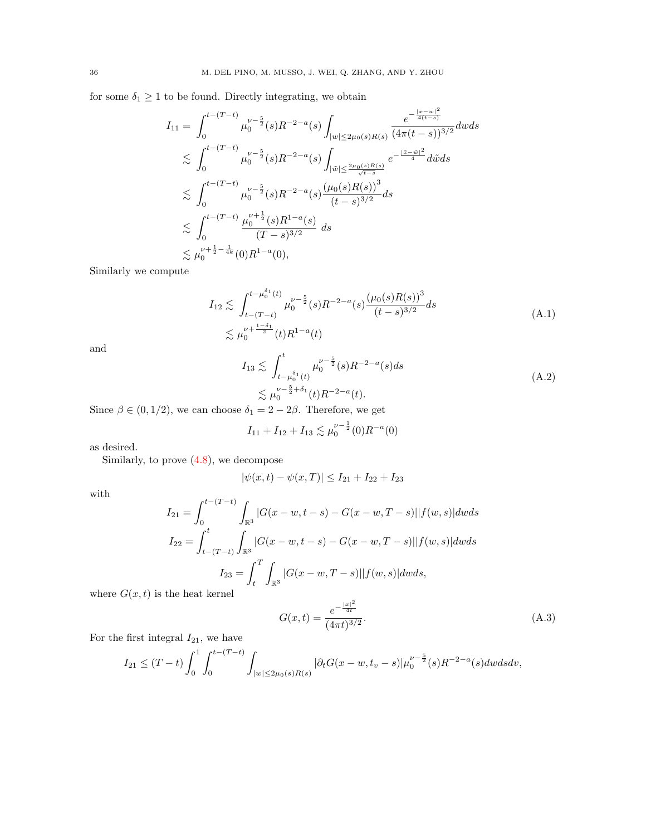for some  $\delta_1 \geq 1$  to be found. Directly integrating, we obtain

$$
I_{11} = \int_{0}^{t-(T-t)} \mu_{0}^{\nu-\frac{5}{2}}(s)R^{-2-a}(s) \int_{|w|\leq 2\mu_{0}(s)R(s)} \frac{e^{-\frac{|x-w|^{2}}{4(t-s)}}}{(4\pi(t-s))^{3/2}} dwds
$$
  
\n
$$
\lesssim \int_{0}^{t-(T-t)} \mu_{0}^{\nu-\frac{5}{2}}(s)R^{-2-a}(s) \int_{|\tilde{w}|\leq \frac{2\mu_{0}(s)R(s)}{\sqrt{t-s}}} e^{-\frac{|\tilde{x}-\tilde{w}|^{2}}{4}} d\tilde{w}ds
$$
  
\n
$$
\lesssim \int_{0}^{t-(T-t)} \mu_{0}^{\nu-\frac{5}{2}}(s)R^{-2-a}(s) \frac{(\mu_{0}(s)R(s))^{3}}{(t-s)^{3/2}} ds
$$
  
\n
$$
\lesssim \int_{0}^{t-(T-t)} \frac{\mu_{0}^{\nu+\frac{1}{2}}(s)R^{1-a}(s)}{(T-s)^{3/2}} ds
$$
  
\n
$$
\lesssim \mu_{0}^{\nu+\frac{1}{2}-\frac{1}{4k}}(0)R^{1-a}(0),
$$

Similarly we compute

<span id="page-35-0"></span>
$$
I_{12} \lesssim \int_{t-(T-t)}^{t-\mu_0^{\delta_1}(t)} \mu_0^{\nu-\frac{5}{2}}(s)R^{-2-a}(s)\frac{(\mu_0(s)R(s))^3}{(t-s)^{3/2}}ds
$$
  

$$
\lesssim \mu_0^{\nu+\frac{1-\delta_1}{2}}(t)R^{1-a}(t)
$$
 (A.1)

and

<span id="page-35-1"></span>
$$
I_{13} \lesssim \int_{t-\mu_0^{\delta_1}(t)}^{t} \mu_0^{\nu-\frac{5}{2}}(s)R^{-2-a}(s)ds
$$
  

$$
\lesssim \mu_0^{\nu-\frac{5}{2}+\delta_1}(t)R^{-2-a}(t).
$$
 (A.2)

Since  $\beta \in (0, 1/2)$ , we can choose  $\delta_1 = 2 - 2\beta$ . Therefore, we get

$$
I_{11} + I_{12} + I_{13} \lesssim \mu_0^{\nu - \frac{1}{2}}(0)R^{-a}(0)
$$

as desired.

Similarly, to prove [\(4.8\)](#page-12-4), we decompose

$$
|\psi(x,t) - \psi(x,T)| \le I_{21} + I_{22} + I_{23}
$$

with

$$
I_{21} = \int_0^{t-(T-t)} \int_{\mathbb{R}^3} |G(x-w, t-s) - G(x-w, T-s)| |f(w, s)| dw ds
$$
  
\n
$$
I_{22} = \int_{t-(T-t)}^t \int_{\mathbb{R}^3} |G(x-w, t-s) - G(x-w, T-s)| |f(w, s)| dw ds
$$
  
\n
$$
I_{23} = \int_t^T \int_{\mathbb{R}^3} |G(x-w, T-s)| |f(w, s)| dw ds,
$$

where  $G(x, t)$  is the heat kernel

<span id="page-35-2"></span>
$$
G(x,t) = \frac{e^{-\frac{|x|^2}{4t}}}{(4\pi t)^{3/2}}.
$$
\n(A.3)

For the first integral  $I_{21}$ , we have

$$
I_{21} \le (T-t) \int_0^1 \int_0^{t-(T-t)} \int_{|w| \le 2\mu_0(s)R(s)} |\partial_t G(x-w,t_v-s)| \mu_0^{\nu-\frac{5}{2}}(s) R^{-2-a}(s) dw ds dv,
$$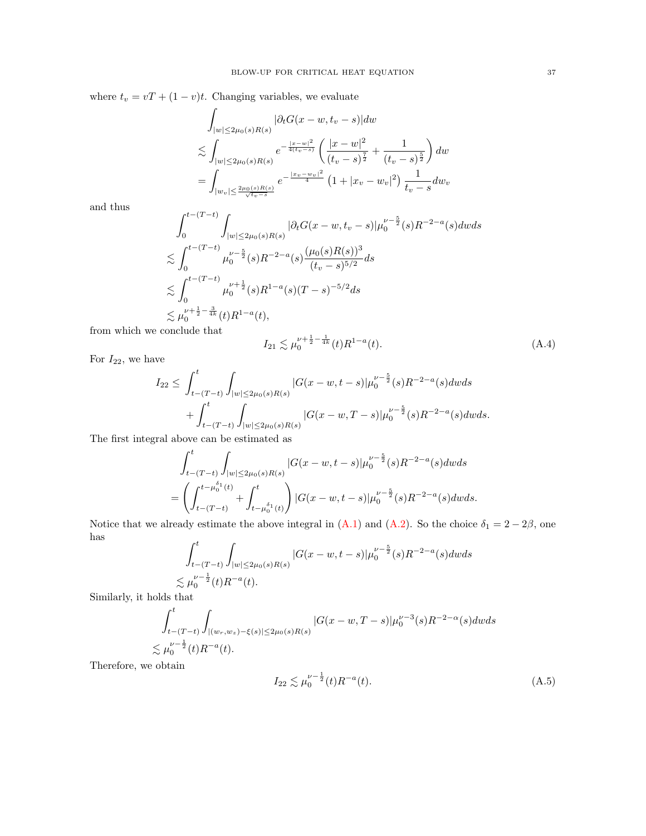where  $t_v = vT + (1 - v)t$ . Changing variables, we evaluate

$$
\int_{|w| \le 2\mu_0(s)R(s)} |\partial_t G(x - w, t_v - s)| dw
$$
\n
$$
\lesssim \int_{|w| \le 2\mu_0(s)R(s)} e^{-\frac{|x - w|^2}{4(t_v - s)}} \left( \frac{|x - w|^2}{(t_v - s)^{\frac{7}{2}}} + \frac{1}{(t_v - s)^{\frac{5}{2}}} \right) dw
$$
\n
$$
= \int_{|w_v| \le \frac{2\mu_0(s)R(s)}{\sqrt{t_v - s}}} e^{-\frac{|x_v - w_v|^2}{4}} \left( 1 + |x_v - w_v|^2 \right) \frac{1}{t_v - s} dw_v
$$

and thus

$$
\int_0^{t-(T-t)} \int_{|w| \le 2\mu_0(s)R(s)} |\partial_t G(x-w, t_v - s)| \mu_0^{\nu - \frac{5}{2}}(s) R^{-2-a}(s) dw ds
$$
  
\n
$$
\lesssim \int_0^{t-(T-t)} \mu_0^{\nu - \frac{5}{2}}(s) R^{-2-a}(s) \frac{(\mu_0(s)R(s))^3}{(t_v - s)^{5/2}} ds
$$
  
\n
$$
\lesssim \int_0^{t-(T-t)} \mu_0^{\nu + \frac{1}{2}}(s) R^{1-a}(s) (T-s)^{-5/2} ds
$$
  
\n
$$
\lesssim \mu_0^{\nu + \frac{1}{2} - \frac{3}{4k}}(t) R^{1-a}(t),
$$
  
\nconclude that

from which we  $\ensuremath{\mathbf{c}}$ 

<span id="page-36-0"></span>
$$
I_{21} \lesssim \mu_0^{\nu + \frac{1}{2} - \frac{1}{4k}}(t)R^{1 - a}(t). \tag{A.4}
$$

For  $I_{22}$ , we have

$$
I_{22} \leq \int_{t-(T-t)}^{t} \int_{|w| \leq 2\mu_0(s)R(s)} |G(x-w, t-s)| \mu_0^{\nu - \frac{5}{2}}(s)R^{-2-a}(s) dw ds + \int_{t-(T-t)}^{t} \int_{|w| \leq 2\mu_0(s)R(s)} |G(x-w, T-s)| \mu_0^{\nu - \frac{5}{2}}(s)R^{-2-a}(s) dw ds.
$$

The first integral above can be estimated as

$$
\int_{t-(T-t)}^{t} \int_{|w| \le 2\mu_0(s)R(s)} |G(x-w,t-s)| \mu_0^{\nu - \frac{5}{2}}(s)R^{-2-a}(s) dw ds
$$
  
= 
$$
\left(\int_{t-(T-t)}^{t-\mu_0^{\delta_1}(t)} + \int_{t-\mu_0^{\delta_1}(t)}^{t} \right) |G(x-w,t-s)| \mu_0^{\nu - \frac{5}{2}}(s)R^{-2-a}(s) dw ds.
$$

Notice that we already estimate the above integral in  $(A.1)$  and  $(A.2)$ . So the choice  $\delta_1 = 2 - 2\beta$ , one has  $\overline{a}$ 

$$
\int_{t-(T-t)}^{t} \int_{|w| \le 2\mu_0(s)R(s)} |G(x-w,t-s)| \mu_0^{\nu - \frac{5}{2}}(s)R^{-2-a}(s) dw ds
$$
  
\$\lesssim \mu\_0^{\nu - \frac{1}{2}}(t)R^{-a}(t)\$.

Similarly, it holds that

$$
\int_{t-(T-t)}^{t} \int_{|(w_r, w_z)-\xi(s)| \le 2\mu_0(s)R(s)} |G(x-w, T-s)| \mu_0^{\nu-3}(s)R^{-2-\alpha}(s) dw ds
$$
  
\$\lesssim \mu\_0^{\nu-\frac{1}{2}}(t)R^{-a}(t).

Therefore, we obtain

<span id="page-36-1"></span>
$$
I_{22} \lesssim \mu_0^{\nu - \frac{1}{2}}(t)R^{-a}(t). \tag{A.5}
$$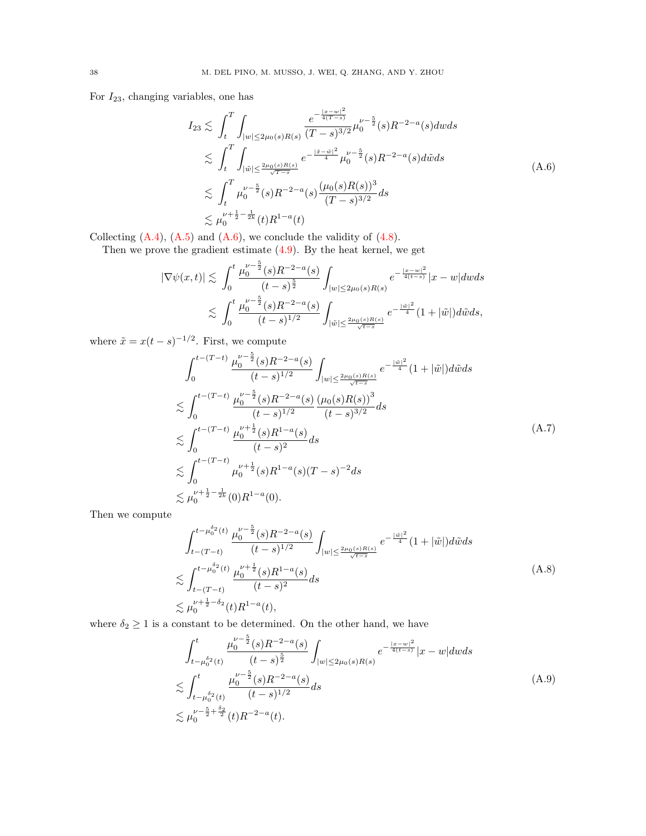For  $I_{23}$ , changing variables, one has

<span id="page-37-0"></span>
$$
I_{23} \lesssim \int_{t}^{T} \int_{|w| \le 2\mu_{0}(s)R(s)} \frac{e^{-\frac{|x-w|^{2}}{4(T-s)}}}{(T-s)^{3/2}} \mu_{0}^{\nu-\frac{5}{2}}(s)R^{-2-a}(s) dw ds
$$
  
\n
$$
\lesssim \int_{t}^{T} \int_{|\tilde{w}| \le \frac{2\mu_{0}(s)R(s)}{\sqrt{T-s}}} e^{-\frac{|\tilde{x}-\tilde{w}|^{2}}{4}} \mu_{0}^{\nu-\frac{5}{2}}(s)R^{-2-a}(s) d\tilde{w} ds
$$
  
\n
$$
\lesssim \int_{t}^{T} \mu_{0}^{\nu-\frac{5}{2}}(s)R^{-2-a}(s) \frac{(\mu_{0}(s)R(s))^{3}}{(T-s)^{3/2}} ds
$$
  
\n
$$
\lesssim \mu_{0}^{\nu+\frac{1}{2}-\frac{1}{2k}}(t)R^{1-a}(t)
$$
 (4.6)

Collecting  $(A.4)$ ,  $(A.5)$  and  $(A.6)$ , we conclude the validity of  $(4.8)$ .

Then we prove the gradient estimate [\(4.9\)](#page-12-5). By the heat kernel, we get

$$
\begin{array}{l} \left| \nabla \psi(x,t) \right| \lesssim \; \int_0^t \frac{\mu_0^{\nu - \frac{5}{2}}(s) R^{-2-a}(s)}{(t-s)^{\frac{5}{2}}} \int_{|w| \leq 2\mu_0(s) R(s)} e^{-\frac{|x-w|^2}{4(t-s)}} |x-w| dw ds \\ \; \lesssim \; \int_0^t \frac{\mu_0^{\nu - \frac{5}{2}}(s) R^{-2-a}(s)}{(t-s)^{1/2}} \int_{|\tilde{w}| \leq \frac{2\mu_0(s) R(s)}{\sqrt{t-s}}} e^{-\frac{|\tilde{w}|^2}{4}} (1+ |\tilde{w}|) d\tilde{w} ds, \end{array}
$$

where  $\tilde{x} = x(t-s)^{-1/2}$ . First, we compute

<span id="page-37-1"></span>
$$
\int_{0}^{t-(T-t)} \frac{\mu_{0}^{\nu-\frac{5}{2}}(s)R^{-2-a}(s)}{(t-s)^{1/2}} \int_{|w| \leq \frac{2\mu_{0}(s)R(s)}{\sqrt{t-s}}} e^{-\frac{|\tilde{w}|^{2}}{4}} (1+|\tilde{w}|)d\tilde{w}ds
$$
  
\n
$$
\lesssim \int_{0}^{t-(T-t)} \frac{\mu_{0}^{\nu-\frac{5}{2}}(s)R^{-2-a}(s)}{(t-s)^{1/2}} \frac{(\mu_{0}(s)R(s))^{3}}{(t-s)^{3/2}} ds
$$
  
\n
$$
\lesssim \int_{0}^{t-(T-t)} \frac{\mu_{0}^{\nu+\frac{1}{2}}(s)R^{1-a}(s)}{(t-s)^{2}} ds
$$
  
\n
$$
\lesssim \int_{0}^{t-(T-t)} \mu_{0}^{\nu+\frac{1}{2}}(s)R^{1-a}(s)(T-s)^{-2} ds
$$
  
\n
$$
\lesssim \mu_{0}^{\nu+\frac{1}{2}-\frac{1}{2k}}(0)R^{1-a}(0).
$$
 (A.7)

Then we compute

$$
\int_{t-(T-t)}^{t-\mu_0^{\delta_2}(t)} \frac{\mu_0^{\nu-\frac{5}{2}}(s)R^{-2-a}(s)}{(t-s)^{1/2}} \int_{|w|\leq \frac{2\mu_0(s)R(s)}{\sqrt{t-s}}} e^{-\frac{|\tilde{w}|^2}{4}} (1+|\tilde{w}|) d\tilde{w} ds
$$
  

$$
\lesssim \int_{t-(T-t)}^{t-\mu_0^{\delta_2}(t)} \frac{\mu_0^{\nu+\frac{1}{2}}(s)R^{1-a}(s)}{(t-s)^2} ds
$$
  

$$
\lesssim \mu_0^{\nu+\frac{1}{2}-\delta_2}(t)R^{1-a}(t),
$$
 (A.8)

where  $\delta_2 \geq 1$  is a constant to be determined. On the other hand, we have

<span id="page-37-2"></span>
$$
\int_{t-\mu_0^{\delta_2}(t)}^{t} \frac{\mu_0^{\nu-\frac{5}{2}}(s)R^{-2-a}(s)}{(t-s)^{\frac{5}{2}}} \int_{|w| \le 2\mu_0(s)R(s)} e^{-\frac{|x-w|^2}{4(t-s)}} |x-w| \, dw \, ds
$$
\n
$$
\lesssim \int_{t-\mu_0^{\delta_2}(t)}^{t} \frac{\mu_0^{\nu-\frac{5}{2}}(s)R^{-2-a}(s)}{(t-s)^{1/2}} ds
$$
\n
$$
\lesssim \mu_0^{\nu-\frac{5}{2}+\frac{\delta_2}{2}}(t)R^{-2-a}(t).
$$
\n(A.9)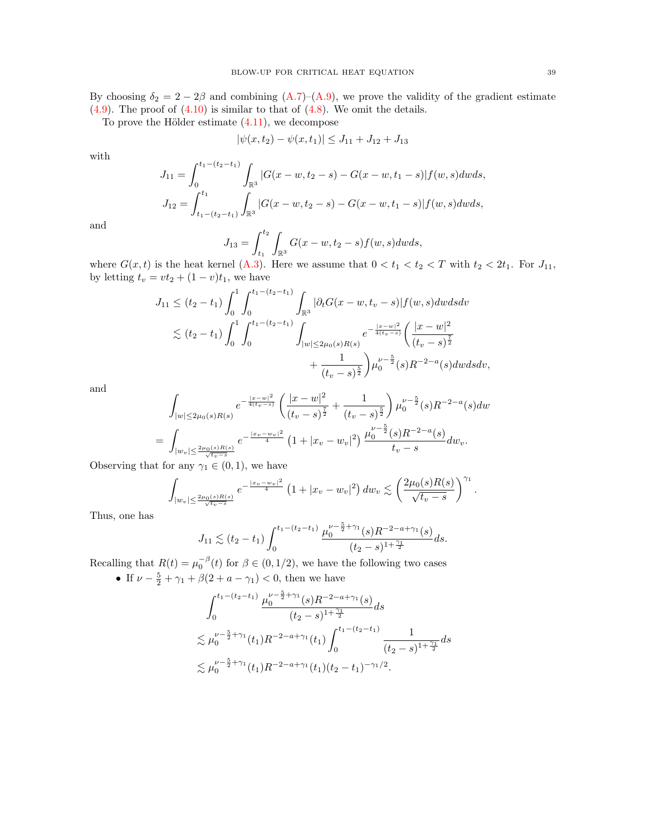By choosing  $\delta_2 = 2 - 2\beta$  and combining  $(A.7)$ – $(A.9)$ , we prove the validity of the gradient estimate  $(4.9)$ . The proof of  $(4.10)$  is similar to that of  $(4.8)$ . We omit the details.

To prove the Hölder estimate  $(4.11)$ , we decompose

$$
|\psi(x, t_2) - \psi(x, t_1)| \le J_{11} + J_{12} + J_{13}
$$

with

$$
J_{11} = \int_0^{t_1 - (t_2 - t_1)} \int_{\mathbb{R}^3} |G(x - w, t_2 - s) - G(x - w, t_1 - s)| f(w, s) dw ds,
$$
  
\n
$$
J_{12} = \int_{t_1 - (t_2 - t_1)}^{t_1} \int_{\mathbb{R}^3} |G(x - w, t_2 - s) - G(x - w, t_1 - s)| f(w, s) dw ds,
$$

and

$$
J_{13} = \int_{t_1}^{t_2} \int_{\mathbb{R}^3} G(x - w, t_2 - s) f(w, s) dw ds,
$$

where  $G(x, t)$  is the heat kernel [\(A.3\)](#page-35-2). Here we assume that  $0 < t_1 < t_2 < T$  with  $t_2 < 2t_1$ . For  $J_{11}$ , by letting  $t_v = vt_2 + (1 - v)t_1$ , we have

$$
J_{11} \leq (t_2 - t_1) \int_0^1 \int_0^{t_1 - (t_2 - t_1)} \int_{\mathbb{R}^3} |\partial_t G(x - w, t_v - s)| f(w, s) dw ds dv
$$
  

$$
\lesssim (t_2 - t_1) \int_0^1 \int_0^{t_1 - (t_2 - t_1)} \int_{|w| \leq 2\mu_0(s) R(s)} e^{-\frac{|x - w|^2}{4(t_v - s)}} \left( \frac{|x - w|^2}{(t_v - s)^{\frac{7}{2}}} + \frac{1}{(t_v - s)^{\frac{5}{2}}} \right) \mu_0^{\nu - \frac{5}{2}}(s) R^{-2 - a}(s) dw ds dv,
$$

and

$$
\int_{|w| \le 2\mu_0(s)R(s)} e^{-\frac{|x-w|^2}{4(t_v-s)}} \left( \frac{|x-w|^2}{(t_v-s)^{\frac{7}{2}}} + \frac{1}{(t_v-s)^{\frac{5}{2}}} \right) \mu_0^{\nu - \frac{5}{2}}(s) R^{-2-a}(s) dw
$$
  
= 
$$
\int_{|w_v| \le \frac{2\mu_0(s)R(s)}{\sqrt{t_v-s}}} e^{-\frac{|x_v - w_v|^2}{4}} \left( 1 + |x_v - w_v|^2 \right) \frac{\mu_0^{\nu - \frac{5}{2}}(s)R^{-2-a}(s)}{t_v-s} dw_v.
$$

Observing that for any  $\gamma_1 \in (0,1)$ , we have

$$
\int_{|w_v| \leq \frac{2\mu_0(s)R(s)}{\sqrt{t_v-s}}} e^{-\frac{|x_v - w_v|^2}{4}} \left(1 + |x_v - w_v|^2\right) dw_v \lesssim \left(\frac{2\mu_0(s)R(s)}{\sqrt{t_v - s}}\right)^{\gamma_1}.
$$

Thus, one has

$$
J_{11} \lesssim (t_2 - t_1) \int_0^{t_1 - (t_2 - t_1)} \frac{\mu_0^{\nu - \frac{5}{2} + \gamma_1}(s) R^{-2 - a + \gamma_1}(s)}{(t_2 - s)^{1 + \frac{\gamma_1}{2}}} ds.
$$

Recalling that  $R(t) = \mu_0^{-\beta}(t)$  for  $\beta \in (0, 1/2)$ , we have the following two cases • If  $\nu - \frac{5}{2} + \gamma_1 + \beta(2 + a - \gamma_1) < 0$ , then we have

$$
\int_0^{t_1 - (t_2 - t_1)} \frac{\mu_0^{\nu - \frac{5}{2} + \gamma_1}(s) R^{-2 - a + \gamma_1}(s)}{(t_2 - s)^{1 + \frac{\gamma_1}{2}}} ds
$$
  
\n
$$
\lesssim \mu_0^{\nu - \frac{5}{2} + \gamma_1}(t_1) R^{-2 - a + \gamma_1}(t_1) \int_0^{t_1 - (t_2 - t_1)} \frac{1}{(t_2 - s)^{1 + \frac{\gamma_1}{2}}} ds
$$
  
\n
$$
\lesssim \mu_0^{\nu - \frac{5}{2} + \gamma_1}(t_1) R^{-2 - a + \gamma_1}(t_1) (t_2 - t_1)^{-\gamma_1/2}.
$$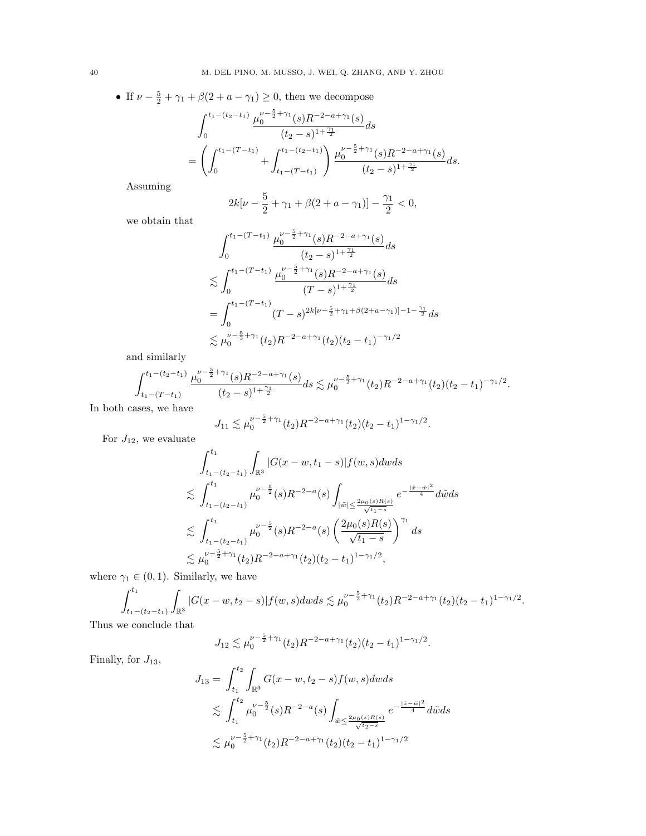• If 
$$
\nu - \frac{5}{2} + \gamma_1 + \beta(2 + a - \gamma_1) \ge 0
$$
, then we decompose  
\n
$$
\int_0^{t_1 - (t_2 - t_1)} \frac{\mu_0^{\nu - \frac{5}{2} + \gamma_1}(s) R^{-2 - a + \gamma_1}(s)}{(t_2 - s)^{1 + \frac{\gamma_1}{2}}} ds
$$
\n
$$
= \left( \int_0^{t_1 - (T - t_1)} + \int_{t_1 - (T - t_1)}^{t_1 - (t_2 - t_1)} \right) \frac{\mu_0^{\nu - \frac{5}{2} + \gamma_1}(s) R^{-2 - a + \gamma_1}(s)}{(t_2 - s)^{1 + \frac{\gamma_1}{2}}} ds.
$$

Assuming

$$
2k[\nu - \frac{5}{2} + \gamma_1 + \beta(2 + a - \gamma_1)] - \frac{\gamma_1}{2} < 0,
$$

we obtain that

$$
\int_0^{t_1 - (T - t_1)} \frac{\mu_0^{\nu - \frac{5}{2} + \gamma_1}(s) R^{-2 - a + \gamma_1}(s)}{(t_2 - s)^{1 + \frac{\gamma_1}{2}}} ds
$$
\n
$$
\lesssim \int_0^{t_1 - (T - t_1)} \frac{\mu_0^{\nu - \frac{5}{2} + \gamma_1}(s) R^{-2 - a + \gamma_1}(s)}{(T - s)^{1 + \frac{\gamma_1}{2}}} ds
$$
\n
$$
= \int_0^{t_1 - (T - t_1)} (T - s)^{2k[\nu - \frac{5}{2} + \gamma_1 + \beta(2 + a - \gamma_1)] - 1 - \frac{\gamma_1}{2}} ds
$$
\n
$$
\lesssim \mu_0^{\nu - \frac{5}{2} + \gamma_1}(t_2) R^{-2 - a + \gamma_1}(t_2) (t_2 - t_1)^{-\gamma_1/2}
$$

and similarly

$$
\int_{t_1-(T-t_1)}^{t_1-(t_2-t_1)} \frac{\mu_0^{\nu-\frac{5}{2}+\gamma_1}(s)R^{-2-a+\gamma_1}(s)}{(t_2-s)^{1+\frac{\gamma_1}{2}}} ds \lesssim \mu_0^{\nu-\frac{5}{2}+\gamma_1}(t_2)R^{-2-a+\gamma_1}(t_2)(t_2-t_1)^{-\gamma_1/2}.
$$

In both cases, we have

$$
J_{11} \lesssim \mu_0^{\nu - \frac{5}{2} + \gamma_1}(t_2) R^{-2 - a + \gamma_1}(t_2) (t_2 - t_1)^{1 - \gamma_1/2}.
$$

For  $J_{12}$ , we evaluate

$$
\int_{t_1-(t_2-t_1)}^{t_1} \int_{\mathbb{R}^3} |G(x-w,t_1-s)| f(w,s) dw ds
$$
\n
$$
\lesssim \int_{t_1-(t_2-t_1)}^{t_1} \mu_0^{\nu-\frac{5}{2}}(s) R^{-2-a}(s) \int_{|\tilde{w}| \leq \frac{2\mu_0(s)R(s)}{\sqrt{t_1-s}}} e^{-\frac{|\tilde{x}-\tilde{w}|^2}{4}} d\tilde{w} ds
$$
\n
$$
\lesssim \int_{t_1-(t_2-t_1)}^{t_1} \mu_0^{\nu-\frac{5}{2}}(s) R^{-2-a}(s) \left(\frac{2\mu_0(s)R(s)}{\sqrt{t_1-s}}\right)^{\gamma_1} ds
$$
\n
$$
\lesssim \mu_0^{\nu-\frac{5}{2}+\gamma_1}(t_2) R^{-2-a+\gamma_1}(t_2) (t_2-t_1)^{1-\gamma_1/2},
$$

where  $\gamma_1 \in (0, 1)$ . Similarly, we have

$$
\int_{t_1-(t_2-t_1)}^{t_1} \int_{\mathbb{R}^3} |G(x-w,t_2-s)| f(w,s) dw ds \lesssim \mu_0^{\nu-\frac{5}{2}+\gamma_1}(t_2) R^{-2-a+\gamma_1}(t_2) (t_2-t_1)^{1-\gamma_1/2}.
$$

Thus we conclude that

$$
J_{12} \lesssim \mu_0^{\nu - \frac{5}{2} + \gamma_1}(t_2) R^{-2 - a + \gamma_1}(t_2) (t_2 - t_1)^{1 - \gamma_1/2}.
$$

Finally, for  $J_{13}$ ,

$$
J_{13} = \int_{t_1}^{t_2} \int_{\mathbb{R}^3} G(x - w, t_2 - s) f(w, s) dw ds
$$
  
\$\leq \int\_{t\_1}^{t\_2} \mu\_0^{\nu - \frac{5}{2}}(s) R^{-2 - a}(s) \int\_{\tilde{w} \leq \frac{2\mu\_0(s) R(s)}{\sqrt{t\_2 - s}}} e^{-\frac{|\tilde{x} - \tilde{w}|^2}{4}} d\tilde{w} ds\$  
\$\leq \mu\_0^{\nu - \frac{5}{2} + \gamma\_1}(t\_2) R^{-2 - a + \gamma\_1}(t\_2) (t\_2 - t\_1)^{1 - \gamma\_1/2}\$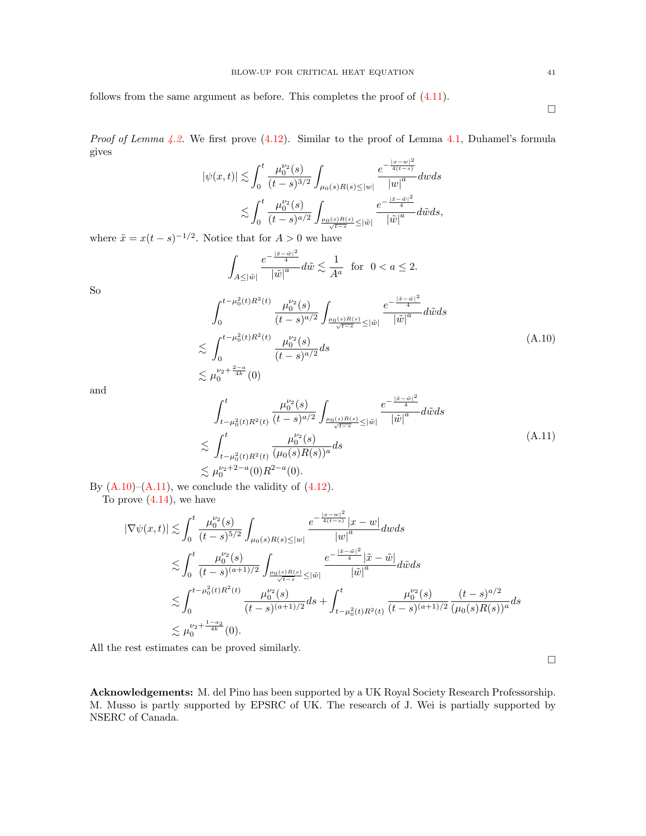follows from the same argument as before. This completes the proof of [\(4.11\)](#page-12-7).

*Proof of Lemma [4.2.](#page-12-2)* We first prove  $(4.12)$ . Similar to the proof of Lemma [4.1,](#page-12-1) Duhamel's formula gives  $\overline{2}$ 

$$
|\psi(x,t)| \lesssim \int_0^t \frac{\mu_0^{\nu_2}(s)}{(t-s)^{3/2}} \int_{\mu_0(s)R(s) \le |w|} \frac{e^{-\frac{|x-w|^2}{4(t-s)}}}{|w|^a} dw ds
$$
  

$$
\lesssim \int_0^t \frac{\mu_0^{\nu_2}(s)}{(t-s)^{a/2}} \int_{\frac{\mu_0(s)R(s)}{\sqrt{t-s}} \le |\tilde{w}|} \frac{e^{-\frac{|\tilde{x}-\tilde{w}|^2}{4}}}{|\tilde{w}|^a} d\tilde{w} ds,
$$

where  $\tilde{x} = x(t-s)^{-1/2}$ . Notice that for  $A > 0$  we have

$$
\int_{A \leq |\tilde{w}|} \frac{e^{-\frac{|\tilde{x} - \tilde{w}|^2}{4}}}{|\tilde{w}|^a} d\tilde{w} \lesssim \frac{1}{A^a} \text{ for } 0 < a \leq 2.
$$

So

<span id="page-40-0"></span>
$$
\int_{0}^{t-\mu_{0}^{2}(t)R^{2}(t)} \frac{\mu_{0}^{\nu_{2}}(s)}{(t-s)^{a/2}} \int_{\frac{\mu_{0}(s)R(s)}{\sqrt{t-s}} \leq |\tilde{w}|} \frac{e^{-\frac{|\tilde{x}-\tilde{w}|^{2}}{4}}}{|\tilde{w}|^{a}} d\tilde{w} ds
$$
  
\n
$$
\lesssim \int_{0}^{t-\mu_{0}^{2}(t)R^{2}(t)} \frac{\mu_{0}^{\nu_{2}}(s)}{(t-s)^{a/2}} ds
$$
  
\n
$$
\lesssim \mu_{0}^{\nu_{2}+\frac{2-a}{4k}}(0)
$$
 (A.10)

and

<span id="page-40-1"></span>
$$
\int_{t-\mu_0^2(t)R^2(t)}^t \frac{\mu_0^{\nu_2}(s)}{(t-s)^{a/2}} \int_{\frac{\mu_0(s)R(s)}{\sqrt{t-s}} \leq |\tilde{w}|} \frac{e^{-\frac{|\tilde{x}-\tilde{w}|^2}{4}}}{|\tilde{w}|^a} d\tilde{w} ds
$$
\n
$$
\lesssim \int_{t-\mu_0^2(t)R^2(t)}^t \frac{\mu_0^{\nu_2}(s)}{(\mu_0(s)R(s))^a} ds
$$
\n
$$
\lesssim \mu_0^{\nu_2+2-a}(0)R^{2-a}(0).
$$
\n(A.11)

By  $(A.10)$ – $(A.11)$ , we conclude the validity of  $(4.12)$ .

To prove [\(4.14\)](#page-12-9), we have

$$
\begin{split} |\nabla \psi(x,t)| &\lesssim \int_0^t \frac{\mu_0^{\nu_2}(s)}{(t-s)^{5/2}} \int_{\mu_0(s)R(s)\leq |w|} \frac{e^{-\frac{|x-w|^2}{4(t-s)}}|x-w|}{|w|^a} dw ds \\ &\lesssim \int_0^t \frac{\mu_0^{\nu_2}(s)}{(t-s)^{(a+1)/2}} \int_{\frac{\mu_0(s)R(s)}{\sqrt{t-s}}\leq |\tilde{w}|} \frac{e^{-\frac{|\tilde{x}-\tilde{w}|^2}{4}}|\tilde{x}-\tilde{w}|}{|\tilde{w}|^a} d\tilde{w} ds \\ &\lesssim \int_0^{t-\mu_0^2(t)R^2(t)} \frac{\mu_0^{\nu_2}(s)}{(t-s)^{(a+1)/2}} ds + \int_{t-\mu_0^2(t)R^2(t)}^t \frac{\mu_0^{\nu_2}(s)}{(t-s)^{(a+1)/2}} \frac{(t-s)^{a/2}}{(\mu_0(s)R(s))^a} ds \\ &\lesssim \mu_0^{\nu_2+\frac{1-a_2}{4k}}(0). \end{split}
$$

All the rest estimates can be proved similarly.

 $\Box$ 

Acknowledgements: M. del Pino has been supported by a UK Royal Society Research Professorship. M. Musso is partly supported by EPSRC of UK. The research of J. Wei is partially supported by NSERC of Canada.

 $\Box$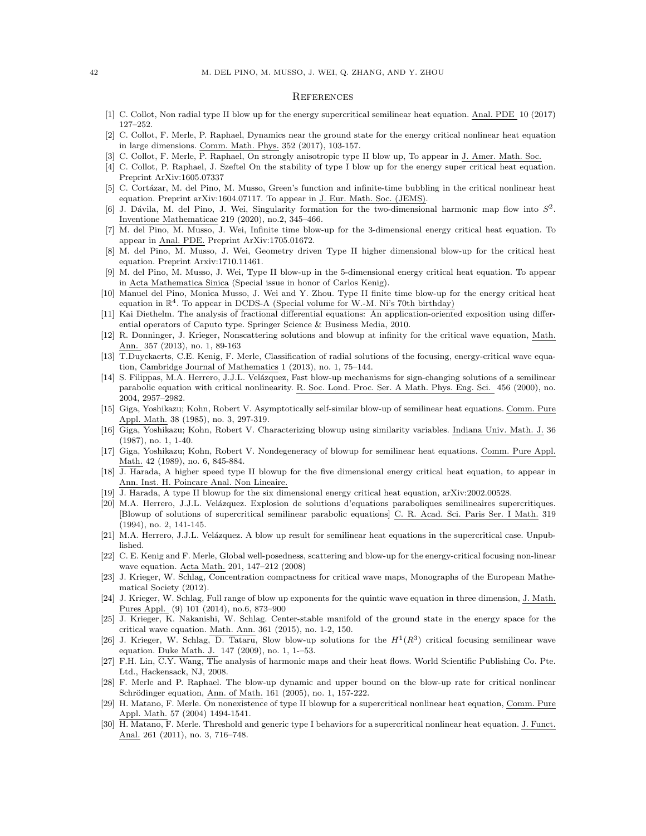#### **REFERENCES**

- <span id="page-41-7"></span>[1] C. Collot, Non radial type II blow up for the energy supercritical semilinear heat equation. Anal. PDE 10 (2017) 127–252.
- <span id="page-41-18"></span>[2] C. Collot, F. Merle, P. Raphael, Dynamics near the ground state for the energy critical nonlinear heat equation in large dimensions. Comm. Math. Phys. 352 (2017), 103-157.
- <span id="page-41-8"></span>[3] C. Collot, F. Merle, P. Raphael, On strongly anisotropic type II blow up, To appear in J. Amer. Math. Soc.
- <span id="page-41-3"></span>[4] C. Collot, P. Raphael, J. Szeftel On the stability of type I blow up for the energy super critical heat equation. Preprint ArXiv:1605.07337
- <span id="page-41-15"></span>[5] C. Cortázar, M. del Pino, M. Musso, Green's function and infinite-time bubbling in the critical nonlinear heat equation. Preprint arXiv:1604.07117. To appear in J. Eur. Math. Soc. (JEMS).
- <span id="page-41-13"></span>[6] J. Dávila, M. del Pino, J. Wei, Singularity formation for the two-dimensional harmonic map flow into  $S^2$ . Inventione Mathematicae 219 (2020), no.2, 345–466.
- <span id="page-41-16"></span>[7] M. del Pino, M. Musso, J. Wei, Infinite time blow-up for the 3-dimensional energy critical heat equation. To appear in Anal. PDE. Preprint ArXiv:1705.01672.
- <span id="page-41-19"></span>[8] M. del Pino, M. Musso, J. Wei, Geometry driven Type II higher dimensional blow-up for the critical heat equation. Preprint Arxiv:1710.11461.
- <span id="page-41-9"></span>[9] M. del Pino, M. Musso, J. Wei, Type II blow-up in the 5-dimensional energy critical heat equation. To appear in Acta Mathematica Sinica (Special issue in honor of Carlos Kenig).
- <span id="page-41-12"></span>[10] Manuel del Pino, Monica Musso, J. Wei and Y. Zhou. Type II finite time blow-up for the energy critical heat equation in  $\mathbb{R}^4$ . To appear in DCDS-A (Special volume for W.-M. Ni's 70th birthday)
- <span id="page-41-27"></span>[11] Kai Diethelm. The analysis of fractional differential equations: An application-oriented exposition using differential operators of Caputo type. Springer Science & Business Media, 2010.
- <span id="page-41-22"></span>[12] R. Donninger, J. Krieger, Nonscattering solutions and blowup at infinity for the critical wave equation, Math. Ann. 357 (2013), no. 1, 89-163
- <span id="page-41-23"></span>[13] T.Duyckaerts, C.E. Kenig, F. Merle, Classification of radial solutions of the focusing, energy-critical wave equation, Cambridge Journal of Mathematics 1 (2013), no. 1, 75–144.
- <span id="page-41-0"></span>[14] S. Filippas, M.A. Herrero, J.J.L. Velázquez, Fast blow-up mechanisms for sign-changing solutions of a semilinear parabolic equation with critical nonlinearity. R. Soc. Lond. Proc. Ser. A Math. Phys. Eng. Sci. 456 (2000), no. 2004, 2957–2982.
- <span id="page-41-1"></span>[15] Giga, Yoshikazu; Kohn, Robert V. Asymptotically self-similar blow-up of semilinear heat equations. Comm. Pure Appl. Math. 38 (1985), no. 3, 297-319.
- [16] Giga, Yoshikazu; Kohn, Robert V. Characterizing blowup using similarity variables. Indiana Univ. Math. J. 36 (1987), no. 1, 1-40.
- <span id="page-41-2"></span>[17] Giga, Yoshikazu; Kohn, Robert V. Nondegeneracy of blowup for semilinear heat equations. Comm. Pure Appl. Math. 42 (1989), no. 6, 845-884.
- <span id="page-41-11"></span>[18] J. Harada, A higher speed type II blowup for the five dimensional energy critical heat equation, to appear in Ann. Inst. H. Poincare Anal. Non Lineaire.
- <span id="page-41-14"></span>[19] J. Harada, A type II blowup for the six dimensional energy critical heat equation, arXiv:2002.00528.
- <span id="page-41-5"></span>[20] M.A. Herrero, J.J.L. Velázquez. Explosion de solutions d'equations paraboliques semilineaires supercritiques. [Blowup of solutions of supercritical semilinear parabolic equations] C. R. Acad. Sci. Paris Ser. I Math. 319 (1994), no. 2, 141-145.
- <span id="page-41-6"></span>[21] M.A. Herrero, J.J.L. Velázquez. A blow up result for semilinear heat equations in the supercritical case. Unpublished.
- <span id="page-41-24"></span>[22] C. E. Kenig and F. Merle, Global well-posedness, scattering and blow-up for the energy-critical focusing non-linear wave equation. Acta Math. 201, 147–212 (2008)
- <span id="page-41-21"></span>[23] J. Krieger, W. Schlag, Concentration compactness for critical wave maps, Monographs of the European Mathematical Society (2012).
- <span id="page-41-25"></span>[24] J. Krieger, W. Schlag, Full range of blow up exponents for the quintic wave equation in three dimension, J. Math. Pures Appl. (9) 101 (2014), no.6, 873–900
- [25] J. Krieger, K. Nakanishi, W. Schlag. Center-stable manifold of the ground state in the energy space for the critical wave equation. Math. Ann. 361 (2015), no. 1-2, 150.
- <span id="page-41-26"></span>[26] J. Krieger, W. Schlag, D. Tataru, Slow blow-up solutions for the  $H^1(R^3)$  critical focusing semilinear wave equation. Duke Math. J. 147 (2009), no. 1, 1-–53.
- <span id="page-41-17"></span>[27] F.H. Lin, C.Y. Wang, The analysis of harmonic maps and their heat flows. World Scientific Publishing Co. Pte. Ltd., Hackensack, NJ, 2008.
- <span id="page-41-20"></span>[28] F. Merle and P. Raphael. The blow-up dynamic and upper bound on the blow-up rate for critical nonlinear Schrödinger equation, Ann. of Math. 161 (2005), no. 1, 157-222.
- <span id="page-41-10"></span>[29] H. Matano, F. Merle. On nonexistence of type II blowup for a supercritical nonlinear heat equation, Comm. Pure Appl. Math. 57 (2004) 1494-1541.
- <span id="page-41-4"></span>[30] H. Matano, F. Merle. Threshold and generic type I behaviors for a supercritical nonlinear heat equation. J. Funct. Anal. 261 (2011), no. 3, 716–748.